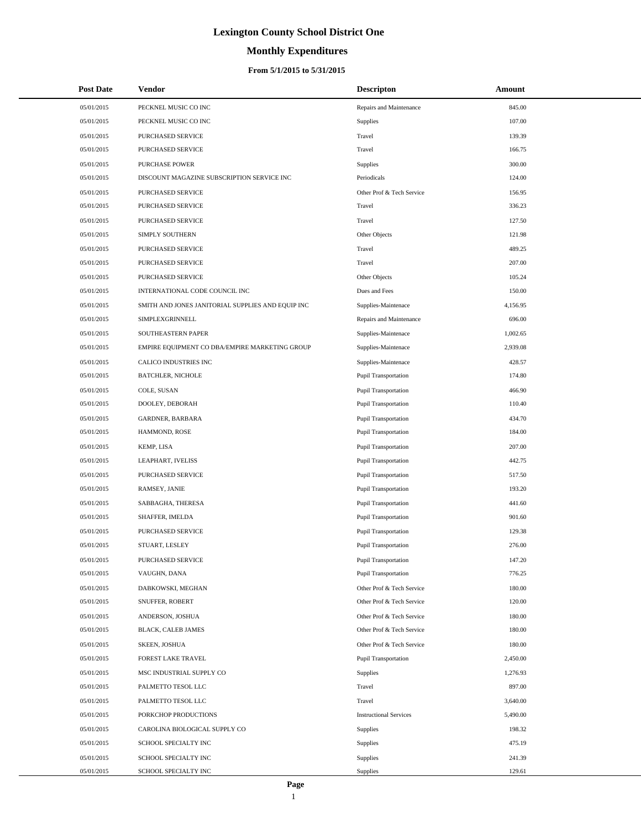# **Monthly Expenditures**

#### **From 5/1/2015 to 5/31/2015**

| <b>Post Date</b> | <b>Vendor</b>                                     | <b>Descripton</b>             | Amount   |  |
|------------------|---------------------------------------------------|-------------------------------|----------|--|
| 05/01/2015       | PECKNEL MUSIC CO INC                              | Repairs and Maintenance       | 845.00   |  |
| 05/01/2015       | PECKNEL MUSIC CO INC                              | Supplies                      | 107.00   |  |
| 05/01/2015       | PURCHASED SERVICE                                 | Travel                        | 139.39   |  |
| 05/01/2015       | PURCHASED SERVICE                                 | Travel                        | 166.75   |  |
| 05/01/2015       | <b>PURCHASE POWER</b>                             | Supplies                      | 300.00   |  |
| 05/01/2015       | DISCOUNT MAGAZINE SUBSCRIPTION SERVICE INC        | Periodicals                   | 124.00   |  |
| 05/01/2015       | PURCHASED SERVICE                                 | Other Prof & Tech Service     | 156.95   |  |
| 05/01/2015       | PURCHASED SERVICE                                 | Travel                        | 336.23   |  |
| 05/01/2015       | PURCHASED SERVICE                                 | Travel                        | 127.50   |  |
| 05/01/2015       | SIMPLY SOUTHERN                                   | Other Objects                 | 121.98   |  |
| 05/01/2015       | PURCHASED SERVICE                                 | Travel                        | 489.25   |  |
| 05/01/2015       | PURCHASED SERVICE                                 | Travel                        | 207.00   |  |
| 05/01/2015       | PURCHASED SERVICE                                 | Other Objects                 | 105.24   |  |
| 05/01/2015       | INTERNATIONAL CODE COUNCIL INC                    | Dues and Fees                 | 150.00   |  |
| 05/01/2015       | SMITH AND JONES JANITORIAL SUPPLIES AND EQUIP INC | Supplies-Maintenace           | 4,156.95 |  |
| 05/01/2015       | SIMPLEXGRINNELL                                   | Repairs and Maintenance       | 696.00   |  |
| 05/01/2015       | SOUTHEASTERN PAPER                                | Supplies-Maintenace           | 1,002.65 |  |
| 05/01/2015       | EMPIRE EQUIPMENT CO DBA/EMPIRE MARKETING GROUP    | Supplies-Maintenace           | 2,939.08 |  |
| 05/01/2015       | CALICO INDUSTRIES INC                             | Supplies-Maintenace           | 428.57   |  |
| 05/01/2015       | <b>BATCHLER, NICHOLE</b>                          | <b>Pupil Transportation</b>   | 174.80   |  |
| 05/01/2015       | COLE, SUSAN                                       | Pupil Transportation          | 466.90   |  |
| 05/01/2015       | DOOLEY, DEBORAH                                   | <b>Pupil Transportation</b>   | 110.40   |  |
| 05/01/2015       | GARDNER, BARBARA                                  | <b>Pupil Transportation</b>   | 434.70   |  |
| 05/01/2015       | HAMMOND, ROSE                                     | <b>Pupil Transportation</b>   | 184.00   |  |
| 05/01/2015       | KEMP, LISA                                        | Pupil Transportation          | 207.00   |  |
| 05/01/2015       | LEAPHART, IVELISS                                 | <b>Pupil Transportation</b>   | 442.75   |  |
| 05/01/2015       | PURCHASED SERVICE                                 | <b>Pupil Transportation</b>   | 517.50   |  |
| 05/01/2015       | RAMSEY, JANIE                                     | <b>Pupil Transportation</b>   | 193.20   |  |
| 05/01/2015       | SABBAGHA, THERESA                                 | Pupil Transportation          | 441.60   |  |
| 05/01/2015       | SHAFFER, IMELDA                                   | Pupil Transportation          | 901.60   |  |
| 05/01/2015       | PURCHASED SERVICE                                 | <b>Pupil Transportation</b>   | 129.38   |  |
| 05/01/2015       | STUART, LESLEY                                    | <b>Pupil Transportation</b>   | 276.00   |  |
| 05/01/2015       | PURCHASED SERVICE                                 | <b>Pupil Transportation</b>   | 147.20   |  |
| 05/01/2015       | VAUGHN, DANA                                      | <b>Pupil Transportation</b>   | 776.25   |  |
| 05/01/2015       | DABKOWSKI, MEGHAN                                 | Other Prof & Tech Service     | 180.00   |  |
| 05/01/2015       | SNUFFER, ROBERT                                   | Other Prof & Tech Service     | 120.00   |  |
| 05/01/2015       | ANDERSON, JOSHUA                                  | Other Prof & Tech Service     | 180.00   |  |
| 05/01/2015       | BLACK, CALEB JAMES                                | Other Prof & Tech Service     | 180.00   |  |
| 05/01/2015       | SKEEN, JOSHUA                                     | Other Prof & Tech Service     | 180.00   |  |
| 05/01/2015       | FOREST LAKE TRAVEL                                | <b>Pupil Transportation</b>   | 2,450.00 |  |
| 05/01/2015       | MSC INDUSTRIAL SUPPLY CO                          | Supplies                      | 1,276.93 |  |
| 05/01/2015       | PALMETTO TESOL LLC                                | Travel                        | 897.00   |  |
| 05/01/2015       | PALMETTO TESOL LLC                                | Travel                        | 3,640.00 |  |
| 05/01/2015       | PORKCHOP PRODUCTIONS                              | <b>Instructional Services</b> | 5,490.00 |  |
| 05/01/2015       | CAROLINA BIOLOGICAL SUPPLY CO                     | Supplies                      | 198.32   |  |
| 05/01/2015       | SCHOOL SPECIALTY INC                              | Supplies                      | 475.19   |  |
| 05/01/2015       | SCHOOL SPECIALTY INC                              | Supplies                      | 241.39   |  |
| 05/01/2015       | SCHOOL SPECIALTY INC                              | Supplies                      | 129.61   |  |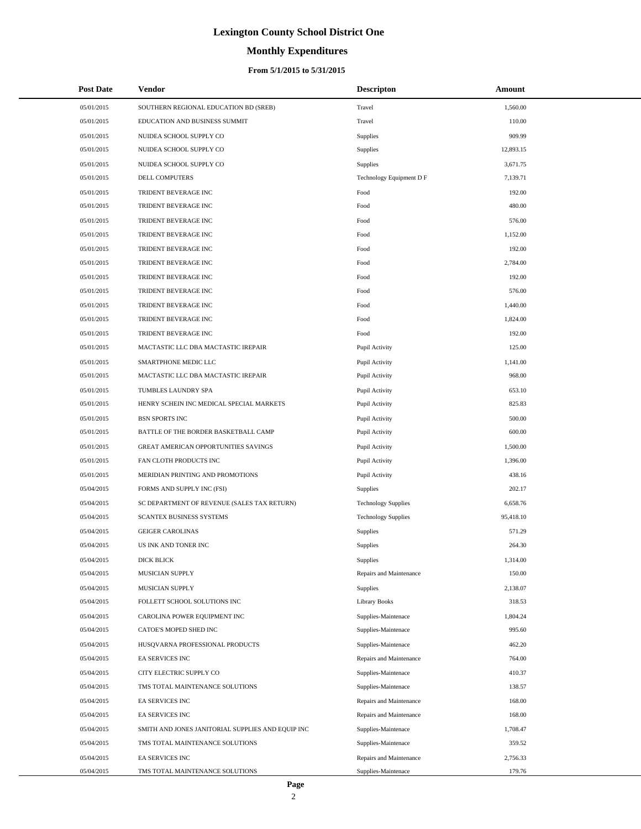# **Monthly Expenditures**

#### **From 5/1/2015 to 5/31/2015**

| <b>Post Date</b> | Vendor                                            | <b>Descripton</b>          | Amount    |  |
|------------------|---------------------------------------------------|----------------------------|-----------|--|
| 05/01/2015       | SOUTHERN REGIONAL EDUCATION BD (SREB)             | Travel                     | 1,560.00  |  |
| 05/01/2015       | EDUCATION AND BUSINESS SUMMIT                     | Travel                     | 110.00    |  |
| 05/01/2015       | NUIDEA SCHOOL SUPPLY CO                           | Supplies                   | 909.99    |  |
| 05/01/2015       | NUIDEA SCHOOL SUPPLY CO                           | Supplies                   | 12,893.15 |  |
| 05/01/2015       | NUIDEA SCHOOL SUPPLY CO                           | Supplies                   | 3,671.75  |  |
| 05/01/2015       | DELL COMPUTERS                                    | Technology Equipment D F   | 7,139.71  |  |
| 05/01/2015       | TRIDENT BEVERAGE INC                              | Food                       | 192.00    |  |
| 05/01/2015       | TRIDENT BEVERAGE INC                              | Food                       | 480.00    |  |
| 05/01/2015       | TRIDENT BEVERAGE INC                              | Food                       | 576.00    |  |
| 05/01/2015       | TRIDENT BEVERAGE INC                              | Food                       | 1,152.00  |  |
| 05/01/2015       | TRIDENT BEVERAGE INC                              | Food                       | 192.00    |  |
| 05/01/2015       | TRIDENT BEVERAGE INC                              | Food                       | 2,784.00  |  |
| 05/01/2015       | TRIDENT BEVERAGE INC                              | Food                       | 192.00    |  |
| 05/01/2015       | TRIDENT BEVERAGE INC                              | Food                       | 576.00    |  |
| 05/01/2015       | TRIDENT BEVERAGE INC                              | Food                       | 1,440.00  |  |
| 05/01/2015       | TRIDENT BEVERAGE INC                              | Food                       | 1,824.00  |  |
| 05/01/2015       | TRIDENT BEVERAGE INC                              | Food                       | 192.00    |  |
| 05/01/2015       | MACTASTIC LLC DBA MACTASTIC IREPAIR               | Pupil Activity             | 125.00    |  |
| 05/01/2015       | SMARTPHONE MEDIC LLC                              | Pupil Activity             | 1,141.00  |  |
| 05/01/2015       | MACTASTIC LLC DBA MACTASTIC IREPAIR               | Pupil Activity             | 968.00    |  |
| 05/01/2015       | TUMBLES LAUNDRY SPA                               | Pupil Activity             | 653.10    |  |
| 05/01/2015       | HENRY SCHEIN INC MEDICAL SPECIAL MARKETS          | Pupil Activity             | 825.83    |  |
| 05/01/2015       | <b>BSN SPORTS INC</b>                             | Pupil Activity             | 500.00    |  |
| 05/01/2015       | BATTLE OF THE BORDER BASKETBALL CAMP              | Pupil Activity             | 600.00    |  |
| 05/01/2015       | GREAT AMERICAN OPPORTUNITIES SAVINGS              | Pupil Activity             | 1,500.00  |  |
| 05/01/2015       | FAN CLOTH PRODUCTS INC                            | Pupil Activity             | 1,396.00  |  |
| 05/01/2015       | MERIDIAN PRINTING AND PROMOTIONS                  | Pupil Activity             | 438.16    |  |
| 05/04/2015       | FORMS AND SUPPLY INC (FSI)                        | Supplies                   | 202.17    |  |
| 05/04/2015       | SC DEPARTMENT OF REVENUE (SALES TAX RETURN)       | <b>Technology Supplies</b> | 6,658.76  |  |
| 05/04/2015       | SCANTEX BUSINESS SYSTEMS                          | <b>Technology Supplies</b> | 95,418.10 |  |
| 05/04/2015       | <b>GEIGER CAROLINAS</b>                           | Supplies                   | 571.29    |  |
| 05/04/2015       | US INK AND TONER INC                              | Supplies                   | 264.30    |  |
| 05/04/2015       | DICK BLICK                                        | Supplies                   | 1,314.00  |  |
| 05/04/2015       | <b>MUSICIAN SUPPLY</b>                            | Repairs and Maintenance    | 150.00    |  |
| 05/04/2015       | MUSICIAN SUPPLY                                   | Supplies                   | 2,138.07  |  |
| 05/04/2015       | FOLLETT SCHOOL SOLUTIONS INC                      | <b>Library Books</b>       | 318.53    |  |
| 05/04/2015       | CAROLINA POWER EQUIPMENT INC                      | Supplies-Maintenace        | 1,804.24  |  |
| 05/04/2015       | CATOE'S MOPED SHED INC                            | Supplies-Maintenace        | 995.60    |  |
| 05/04/2015       | HUSQVARNA PROFESSIONAL PRODUCTS                   | Supplies-Maintenace        | 462.20    |  |
| 05/04/2015       | EA SERVICES INC                                   | Repairs and Maintenance    | 764.00    |  |
| 05/04/2015       | CITY ELECTRIC SUPPLY CO                           | Supplies-Maintenace        | 410.37    |  |
| 05/04/2015       | TMS TOTAL MAINTENANCE SOLUTIONS                   | Supplies-Maintenace        | 138.57    |  |
| 05/04/2015       | EA SERVICES INC                                   | Repairs and Maintenance    | 168.00    |  |
| 05/04/2015       | <b>EA SERVICES INC</b>                            | Repairs and Maintenance    | 168.00    |  |
| 05/04/2015       | SMITH AND JONES JANITORIAL SUPPLIES AND EQUIP INC | Supplies-Maintenace        | 1,708.47  |  |
| 05/04/2015       | TMS TOTAL MAINTENANCE SOLUTIONS                   | Supplies-Maintenace        | 359.52    |  |
| 05/04/2015       | EA SERVICES INC                                   | Repairs and Maintenance    | 2,756.33  |  |
| 05/04/2015       | TMS TOTAL MAINTENANCE SOLUTIONS                   | Supplies-Maintenace        | 179.76    |  |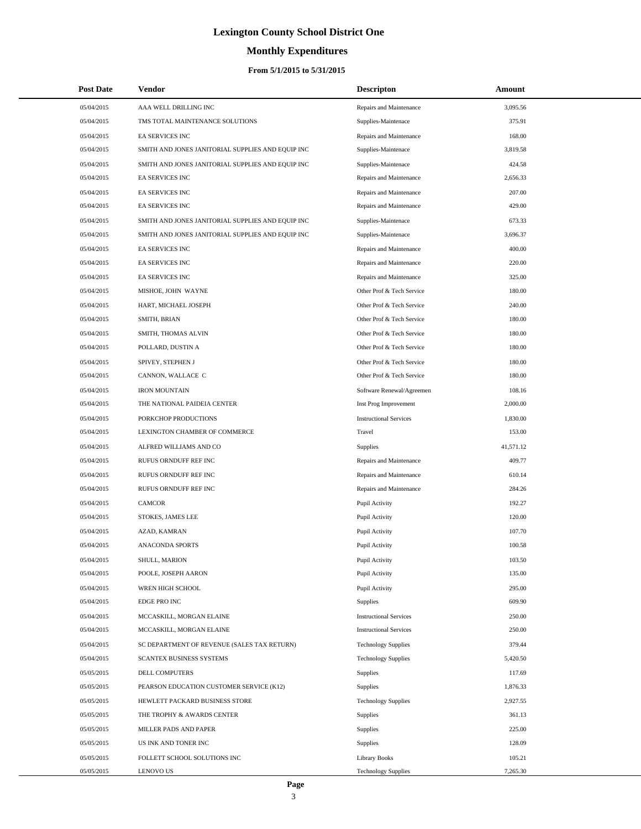# **Monthly Expenditures**

#### **From 5/1/2015 to 5/31/2015**

| <b>Post Date</b> | Vendor                                            | <b>Descripton</b>             | Amount    |  |
|------------------|---------------------------------------------------|-------------------------------|-----------|--|
| 05/04/2015       | AAA WELL DRILLING INC                             | Repairs and Maintenance       | 3,095.56  |  |
| 05/04/2015       | TMS TOTAL MAINTENANCE SOLUTIONS                   | Supplies-Maintenace           | 375.91    |  |
| 05/04/2015       | <b>EA SERVICES INC</b>                            | Repairs and Maintenance       | 168.00    |  |
| 05/04/2015       | SMITH AND JONES JANITORIAL SUPPLIES AND EQUIP INC | Supplies-Maintenace           | 3,819.58  |  |
| 05/04/2015       | SMITH AND JONES JANITORIAL SUPPLIES AND EQUIP INC | Supplies-Maintenace           | 424.58    |  |
| 05/04/2015       | <b>EA SERVICES INC</b>                            | Repairs and Maintenance       | 2,656.33  |  |
| 05/04/2015       | <b>EA SERVICES INC</b>                            | Repairs and Maintenance       | 207.00    |  |
| 05/04/2015       | <b>EA SERVICES INC</b>                            | Repairs and Maintenance       | 429.00    |  |
| 05/04/2015       | SMITH AND JONES JANITORIAL SUPPLIES AND EQUIP INC | Supplies-Maintenace           | 673.33    |  |
| 05/04/2015       | SMITH AND JONES JANITORIAL SUPPLIES AND EQUIP INC | Supplies-Maintenace           | 3,696.37  |  |
| 05/04/2015       | <b>EA SERVICES INC</b>                            | Repairs and Maintenance       | 400.00    |  |
| 05/04/2015       | <b>EA SERVICES INC</b>                            | Repairs and Maintenance       | 220.00    |  |
| 05/04/2015       | EA SERVICES INC                                   | Repairs and Maintenance       | 325.00    |  |
| 05/04/2015       | MISHOE, JOHN WAYNE                                | Other Prof & Tech Service     | 180.00    |  |
| 05/04/2015       | HART, MICHAEL JOSEPH                              | Other Prof & Tech Service     | 240.00    |  |
| 05/04/2015       | SMITH, BRIAN                                      | Other Prof & Tech Service     | 180.00    |  |
| 05/04/2015       | SMITH, THOMAS ALVIN                               | Other Prof & Tech Service     | 180.00    |  |
| 05/04/2015       | POLLARD, DUSTIN A                                 | Other Prof & Tech Service     | 180.00    |  |
| 05/04/2015       | SPIVEY, STEPHEN J                                 | Other Prof & Tech Service     | 180.00    |  |
| 05/04/2015       | CANNON, WALLACE C                                 | Other Prof & Tech Service     | 180.00    |  |
| 05/04/2015       | <b>IRON MOUNTAIN</b>                              | Software Renewal/Agreemen     | 108.16    |  |
| 05/04/2015       | THE NATIONAL PAIDEIA CENTER                       | Inst Prog Improvement         | 2,000.00  |  |
| 05/04/2015       | PORKCHOP PRODUCTIONS                              | <b>Instructional Services</b> | 1,830.00  |  |
| 05/04/2015       | LEXINGTON CHAMBER OF COMMERCE                     | Travel                        | 153.00    |  |
| 05/04/2015       | ALFRED WILLIAMS AND CO                            | Supplies                      | 41,571.12 |  |
| 05/04/2015       | RUFUS ORNDUFF REF INC                             | Repairs and Maintenance       | 409.77    |  |
| 05/04/2015       | RUFUS ORNDUFF REF INC                             | Repairs and Maintenance       | 610.14    |  |
| 05/04/2015       | RUFUS ORNDUFF REF INC                             | Repairs and Maintenance       | 284.26    |  |
| 05/04/2015       | <b>CAMCOR</b>                                     | Pupil Activity                | 192.27    |  |
| 05/04/2015       | STOKES, JAMES LEE                                 | Pupil Activity                | 120.00    |  |
| 05/04/2015       | AZAD, KAMRAN                                      | Pupil Activity                | 107.70    |  |
| 05/04/2015       | ANACONDA SPORTS                                   | Pupil Activity                | 100.58    |  |
| 05/04/2015       | SHULL, MARION                                     | Pupil Activity                | 103.50    |  |
| 05/04/2015       | POOLE, JOSEPH AARON                               | Pupil Activity                | 135.00    |  |
| 05/04/2015       | WREN HIGH SCHOOL                                  | Pupil Activity                | 295.00    |  |
| 05/04/2015       | EDGE PRO INC                                      | Supplies                      | 609.90    |  |
| 05/04/2015       | MCCASKILL, MORGAN ELAINE                          | <b>Instructional Services</b> | 250.00    |  |
| 05/04/2015       | MCCASKILL, MORGAN ELAINE                          | <b>Instructional Services</b> | 250.00    |  |
| 05/04/2015       | SC DEPARTMENT OF REVENUE (SALES TAX RETURN)       | <b>Technology Supplies</b>    | 379.44    |  |
| 05/04/2015       | SCANTEX BUSINESS SYSTEMS                          | <b>Technology Supplies</b>    | 5,420.50  |  |
| 05/05/2015       | DELL COMPUTERS                                    | Supplies                      | 117.69    |  |
| 05/05/2015       | PEARSON EDUCATION CUSTOMER SERVICE (K12)          | Supplies                      | 1,876.33  |  |
| 05/05/2015       | HEWLETT PACKARD BUSINESS STORE                    | <b>Technology Supplies</b>    | 2,927.55  |  |
| 05/05/2015       | THE TROPHY & AWARDS CENTER                        | Supplies                      | 361.13    |  |
| 05/05/2015       | MILLER PADS AND PAPER                             | Supplies                      | 225.00    |  |
| 05/05/2015       | US INK AND TONER INC                              | Supplies                      | 128.09    |  |
| 05/05/2015       | FOLLETT SCHOOL SOLUTIONS INC                      | <b>Library Books</b>          | 105.21    |  |
| 05/05/2015       | <b>LENOVO US</b>                                  | <b>Technology Supplies</b>    | 7,265.30  |  |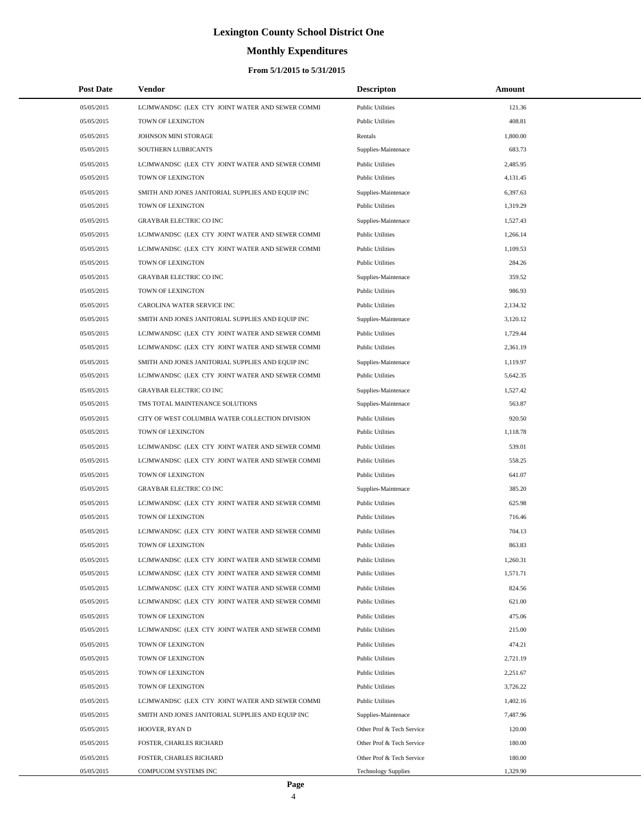# **Monthly Expenditures**

#### **From 5/1/2015 to 5/31/2015**

| <b>Post Date</b> | Vendor                                            | <b>Descripton</b>          | Amount   |  |
|------------------|---------------------------------------------------|----------------------------|----------|--|
| 05/05/2015       | LCJMWANDSC (LEX CTY JOINT WATER AND SEWER COMMI   | <b>Public Utilities</b>    | 121.36   |  |
| 05/05/2015       | TOWN OF LEXINGTON                                 | <b>Public Utilities</b>    | 408.81   |  |
| 05/05/2015       | JOHNSON MINI STORAGE                              | Rentals                    | 1,800.00 |  |
| 05/05/2015       | SOUTHERN LUBRICANTS                               | Supplies-Maintenace        | 683.73   |  |
| 05/05/2015       | LCJMWANDSC (LEX CTY JOINT WATER AND SEWER COMMI   | <b>Public Utilities</b>    | 2,485.95 |  |
| 05/05/2015       | TOWN OF LEXINGTON                                 | <b>Public Utilities</b>    | 4,131.45 |  |
| 05/05/2015       | SMITH AND JONES JANITORIAL SUPPLIES AND EQUIP INC | Supplies-Maintenace        | 6,397.63 |  |
| 05/05/2015       | TOWN OF LEXINGTON                                 | <b>Public Utilities</b>    | 1,319.29 |  |
| 05/05/2015       | <b>GRAYBAR ELECTRIC CO INC</b>                    | Supplies-Maintenace        | 1,527.43 |  |
| 05/05/2015       | LCJMWANDSC (LEX CTY JOINT WATER AND SEWER COMMI   | <b>Public Utilities</b>    | 1,266.14 |  |
| 05/05/2015       | LCJMWANDSC (LEX CTY JOINT WATER AND SEWER COMMI   | <b>Public Utilities</b>    | 1,109.53 |  |
| 05/05/2015       | TOWN OF LEXINGTON                                 | <b>Public Utilities</b>    | 284.26   |  |
| 05/05/2015       | <b>GRAYBAR ELECTRIC CO INC</b>                    | Supplies-Maintenace        | 359.52   |  |
| 05/05/2015       | TOWN OF LEXINGTON                                 | <b>Public Utilities</b>    | 986.93   |  |
| 05/05/2015       | CAROLINA WATER SERVICE INC                        | <b>Public Utilities</b>    | 2,134.32 |  |
| 05/05/2015       | SMITH AND JONES JANITORIAL SUPPLIES AND EQUIP INC | Supplies-Maintenace        | 3,120.12 |  |
| 05/05/2015       | LCJMWANDSC (LEX CTY JOINT WATER AND SEWER COMMI   | <b>Public Utilities</b>    | 1,729.44 |  |
| 05/05/2015       | LCJMWANDSC (LEX CTY JOINT WATER AND SEWER COMMI   | <b>Public Utilities</b>    | 2,361.19 |  |
| 05/05/2015       | SMITH AND JONES JANITORIAL SUPPLIES AND EQUIP INC | Supplies-Maintenace        | 1,119.97 |  |
| 05/05/2015       | LCJMWANDSC (LEX CTY JOINT WATER AND SEWER COMMI   | <b>Public Utilities</b>    | 5,642.35 |  |
| 05/05/2015       | <b>GRAYBAR ELECTRIC CO INC</b>                    | Supplies-Maintenace        | 1,527.42 |  |
| 05/05/2015       | TMS TOTAL MAINTENANCE SOLUTIONS                   | Supplies-Maintenace        | 563.87   |  |
| 05/05/2015       | CITY OF WEST COLUMBIA WATER COLLECTION DIVISION   | <b>Public Utilities</b>    | 920.50   |  |
| 05/05/2015       | TOWN OF LEXINGTON                                 | <b>Public Utilities</b>    | 1,118.78 |  |
| 05/05/2015       | LCJMWANDSC (LEX CTY JOINT WATER AND SEWER COMMI   | <b>Public Utilities</b>    | 539.01   |  |
| 05/05/2015       | LCJMWANDSC (LEX CTY JOINT WATER AND SEWER COMMI   | <b>Public Utilities</b>    | 558.25   |  |
| 05/05/2015       | TOWN OF LEXINGTON                                 | <b>Public Utilities</b>    | 641.07   |  |
| 05/05/2015       | <b>GRAYBAR ELECTRIC CO INC</b>                    | Supplies-Maintenace        | 385.20   |  |
| 05/05/2015       | LCJMWANDSC (LEX CTY JOINT WATER AND SEWER COMMI   | <b>Public Utilities</b>    | 625.98   |  |
| 05/05/2015       | TOWN OF LEXINGTON                                 | <b>Public Utilities</b>    | 716.46   |  |
| 05/05/2015       | LCJMWANDSC (LEX CTY JOINT WATER AND SEWER COMMI   | <b>Public Utilities</b>    | 704.13   |  |
| 05/05/2015       | <b>TOWN OF LEXINGTON</b>                          | <b>Public Utilities</b>    | 863.83   |  |
| 05/05/2015       | LCJMWANDSC (LEX CTY JOINT WATER AND SEWER COMMI   | <b>Public Utilities</b>    | 1,260.31 |  |
| 05/05/2015       | LCJMWANDSC (LEX CTY JOINT WATER AND SEWER COMMI   | <b>Public Utilities</b>    | 1,571.71 |  |
| 05/05/2015       | LCJMWANDSC (LEX CTY JOINT WATER AND SEWER COMMI   | <b>Public Utilities</b>    | 824.56   |  |
| 05/05/2015       | LCJMWANDSC (LEX CTY JOINT WATER AND SEWER COMMI   | <b>Public Utilities</b>    | 621.00   |  |
| 05/05/2015       | TOWN OF LEXINGTON                                 | <b>Public Utilities</b>    | 475.06   |  |
| 05/05/2015       | LCJMWANDSC (LEX CTY JOINT WATER AND SEWER COMMI   | <b>Public Utilities</b>    | 215.00   |  |
| 05/05/2015       | TOWN OF LEXINGTON                                 | <b>Public Utilities</b>    | 474.21   |  |
| 05/05/2015       | TOWN OF LEXINGTON                                 | <b>Public Utilities</b>    | 2,721.19 |  |
| 05/05/2015       | TOWN OF LEXINGTON                                 | <b>Public Utilities</b>    | 2,251.67 |  |
| 05/05/2015       | TOWN OF LEXINGTON                                 | <b>Public Utilities</b>    | 3,726.22 |  |
| 05/05/2015       | LCJMWANDSC (LEX CTY JOINT WATER AND SEWER COMMI   | <b>Public Utilities</b>    | 1,402.16 |  |
| 05/05/2015       | SMITH AND JONES JANITORIAL SUPPLIES AND EQUIP INC | Supplies-Maintenace        | 7,487.96 |  |
| 05/05/2015       | HOOVER, RYAN D                                    | Other Prof & Tech Service  | 120.00   |  |
| 05/05/2015       | <b>FOSTER, CHARLES RICHARD</b>                    | Other Prof & Tech Service  | 180.00   |  |
| 05/05/2015       | FOSTER, CHARLES RICHARD                           | Other Prof & Tech Service  | 180.00   |  |
| 05/05/2015       | COMPUCOM SYSTEMS INC                              | <b>Technology Supplies</b> | 1,329.90 |  |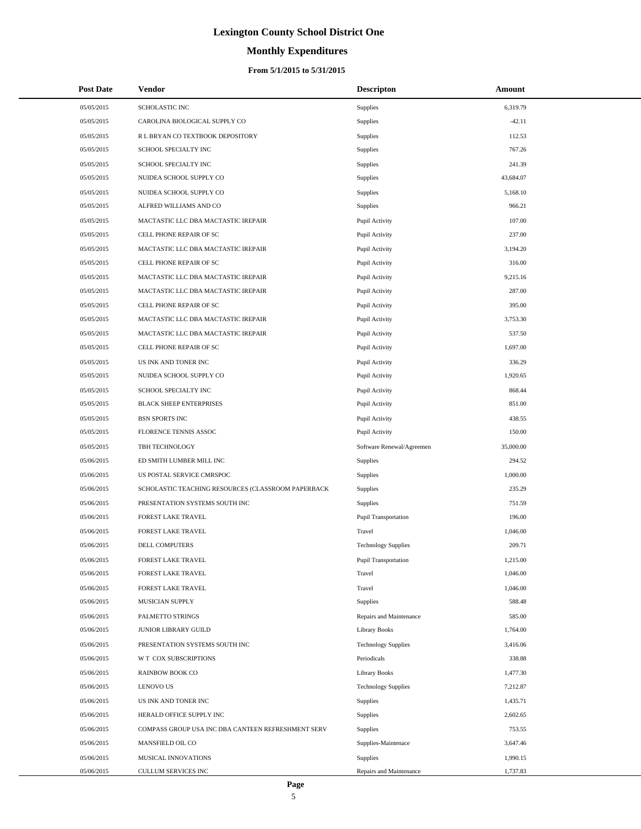# **Monthly Expenditures**

| <b>Post Date</b> | <b>Vendor</b>                                      | <b>Descripton</b>          | Amount    |
|------------------|----------------------------------------------------|----------------------------|-----------|
| 05/05/2015       | <b>SCHOLASTIC INC</b>                              | Supplies                   | 6,319.79  |
| 05/05/2015       | CAROLINA BIOLOGICAL SUPPLY CO                      | Supplies                   | $-42.11$  |
| 05/05/2015       | R L BRYAN CO TEXTBOOK DEPOSITORY                   | Supplies                   | 112.53    |
| 05/05/2015       | SCHOOL SPECIALTY INC                               | Supplies                   | 767.26    |
| 05/05/2015       | SCHOOL SPECIALTY INC                               | Supplies                   | 241.39    |
| 05/05/2015       | NUIDEA SCHOOL SUPPLY CO                            | Supplies                   | 43,684.07 |
| 05/05/2015       | NUIDEA SCHOOL SUPPLY CO                            | Supplies                   | 5,168.10  |
| 05/05/2015       | ALFRED WILLIAMS AND CO                             | Supplies                   | 966.21    |
| 05/05/2015       | MACTASTIC LLC DBA MACTASTIC IREPAIR                | Pupil Activity             | 107.00    |
| 05/05/2015       | CELL PHONE REPAIR OF SC                            | Pupil Activity             | 237.00    |
| 05/05/2015       | MACTASTIC LLC DBA MACTASTIC IREPAIR                | Pupil Activity             | 3,194.20  |
| 05/05/2015       | CELL PHONE REPAIR OF SC                            | Pupil Activity             | 316.00    |
| 05/05/2015       | MACTASTIC LLC DBA MACTASTIC IREPAIR                | Pupil Activity             | 9,215.16  |
| 05/05/2015       | MACTASTIC LLC DBA MACTASTIC IREPAIR                | Pupil Activity             | 287.00    |
| 05/05/2015       | CELL PHONE REPAIR OF SC                            | Pupil Activity             | 395.00    |
| 05/05/2015       | MACTASTIC LLC DBA MACTASTIC IREPAIR                | Pupil Activity             | 3,753.30  |
| 05/05/2015       | MACTASTIC LLC DBA MACTASTIC IREPAIR                | Pupil Activity             | 537.50    |
| 05/05/2015       | CELL PHONE REPAIR OF SC                            | Pupil Activity             | 1,697.00  |
| 05/05/2015       | US INK AND TONER INC                               | Pupil Activity             | 336.29    |
| 05/05/2015       | NUIDEA SCHOOL SUPPLY CO                            | Pupil Activity             | 1,920.65  |
| 05/05/2015       | SCHOOL SPECIALTY INC                               | Pupil Activity             | 868.44    |
| 05/05/2015       | <b>BLACK SHEEP ENTERPRISES</b>                     | Pupil Activity             | 851.00    |
| 05/05/2015       | <b>BSN SPORTS INC</b>                              | Pupil Activity             | 438.55    |
| 05/05/2015       | FLORENCE TENNIS ASSOC                              | Pupil Activity             | 150.00    |
| 05/05/2015       | TBH TECHNOLOGY                                     | Software Renewal/Agreemen  | 35,000.00 |
| 05/06/2015       | ED SMITH LUMBER MILL INC                           | Supplies                   | 294.52    |
| 05/06/2015       | US POSTAL SERVICE CMRSPOC                          | Supplies                   | 1,000.00  |
| 05/06/2015       | SCHOLASTIC TEACHING RESOURCES (CLASSROOM PAPERBACK | Supplies                   | 235.29    |
| 05/06/2015       | PRESENTATION SYSTEMS SOUTH INC                     | Supplies                   | 751.59    |
| 05/06/2015       | FOREST LAKE TRAVEL                                 | Pupil Transportation       | 196.00    |
| 05/06/2015       | FOREST LAKE TRAVEL                                 | Travel                     | 1,046.00  |
| 05/06/2015       | DELL COMPUTERS                                     | <b>Technology Supplies</b> | 209.71    |
| 05/06/2015       | FOREST LAKE TRAVEL                                 | Pupil Transportation       | 1,215.00  |
| 05/06/2015       | <b>FOREST LAKE TRAVEL</b>                          | Travel                     | 1,046.00  |
| 05/06/2015       | FOREST LAKE TRAVEL                                 | Travel                     | 1,046.00  |
| 05/06/2015       | MUSICIAN SUPPLY                                    | Supplies                   | 588.48    |
| 05/06/2015       | PALMETTO STRINGS                                   | Repairs and Maintenance    | 585.00    |
| 05/06/2015       | JUNIOR LIBRARY GUILD                               | Library Books              | 1,764.00  |
| 05/06/2015       | PRESENTATION SYSTEMS SOUTH INC                     | <b>Technology Supplies</b> | 3,416.06  |
| 05/06/2015       | W T COX SUBSCRIPTIONS                              | Periodicals                | 338.88    |
| 05/06/2015       | <b>RAINBOW BOOK CO</b>                             | Library Books              | 1,477.30  |
| 05/06/2015       | <b>LENOVO US</b>                                   | <b>Technology Supplies</b> | 7,212.87  |
| 05/06/2015       | US INK AND TONER INC                               | Supplies                   | 1,435.71  |
| 05/06/2015       | HERALD OFFICE SUPPLY INC                           | Supplies                   | 2,602.65  |
| 05/06/2015       | COMPASS GROUP USA INC DBA CANTEEN REFRESHMENT SERV | Supplies                   | 753.55    |
| 05/06/2015       | MANSFIELD OIL CO                                   | Supplies-Maintenace        | 3,647.46  |
| 05/06/2015       | MUSICAL INNOVATIONS                                | Supplies                   | 1,990.15  |
| 05/06/2015       | CULLUM SERVICES INC                                | Repairs and Maintenance    | 1,737.83  |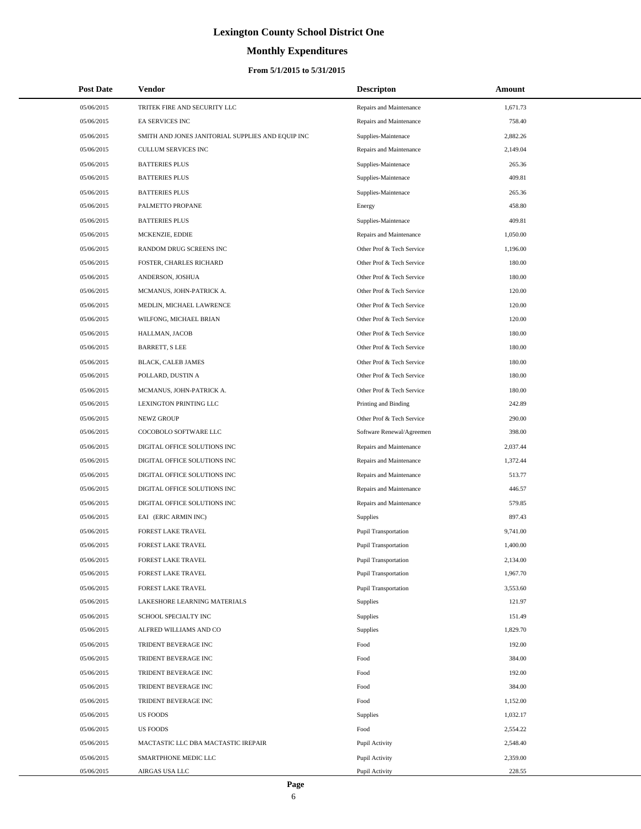# **Monthly Expenditures**

#### **From 5/1/2015 to 5/31/2015**

| <b>Post Date</b> | Vendor                                            | <b>Descripton</b>           | Amount   |
|------------------|---------------------------------------------------|-----------------------------|----------|
| 05/06/2015       | TRITEK FIRE AND SECURITY LLC                      | Repairs and Maintenance     | 1,671.73 |
| 05/06/2015       | <b>EA SERVICES INC</b>                            | Repairs and Maintenance     | 758.40   |
| 05/06/2015       | SMITH AND JONES JANITORIAL SUPPLIES AND EQUIP INC | Supplies-Maintenace         | 2,882.26 |
| 05/06/2015       | CULLUM SERVICES INC                               | Repairs and Maintenance     | 2,149.04 |
| 05/06/2015       | <b>BATTERIES PLUS</b>                             | Supplies-Maintenace         | 265.36   |
| 05/06/2015       | <b>BATTERIES PLUS</b>                             | Supplies-Maintenace         | 409.81   |
| 05/06/2015       | <b>BATTERIES PLUS</b>                             | Supplies-Maintenace         | 265.36   |
| 05/06/2015       | PALMETTO PROPANE                                  | Energy                      | 458.80   |
| 05/06/2015       | <b>BATTERIES PLUS</b>                             | Supplies-Maintenace         | 409.81   |
| 05/06/2015       | MCKENZIE, EDDIE                                   | Repairs and Maintenance     | 1,050.00 |
| 05/06/2015       | RANDOM DRUG SCREENS INC                           | Other Prof & Tech Service   | 1,196.00 |
| 05/06/2015       | FOSTER, CHARLES RICHARD                           | Other Prof & Tech Service   | 180.00   |
| 05/06/2015       | ANDERSON, JOSHUA                                  | Other Prof & Tech Service   | 180.00   |
| 05/06/2015       | MCMANUS, JOHN-PATRICK A.                          | Other Prof & Tech Service   | 120.00   |
| 05/06/2015       | MEDLIN, MICHAEL LAWRENCE                          | Other Prof & Tech Service   | 120.00   |
| 05/06/2015       | WILFONG, MICHAEL BRIAN                            | Other Prof & Tech Service   | 120.00   |
| 05/06/2015       | HALLMAN, JACOB                                    | Other Prof & Tech Service   | 180.00   |
| 05/06/2015       | <b>BARRETT, S LEE</b>                             | Other Prof & Tech Service   | 180.00   |
| 05/06/2015       | <b>BLACK, CALEB JAMES</b>                         | Other Prof & Tech Service   | 180.00   |
| 05/06/2015       | POLLARD, DUSTIN A                                 | Other Prof & Tech Service   | 180.00   |
| 05/06/2015       | MCMANUS, JOHN-PATRICK A.                          | Other Prof & Tech Service   | 180.00   |
| 05/06/2015       | LEXINGTON PRINTING LLC                            | Printing and Binding        | 242.89   |
| 05/06/2015       | NEWZ GROUP                                        | Other Prof & Tech Service   | 290.00   |
| 05/06/2015       | COCOBOLO SOFTWARE LLC                             | Software Renewal/Agreemen   | 398.00   |
| 05/06/2015       | DIGITAL OFFICE SOLUTIONS INC                      | Repairs and Maintenance     | 2,037.44 |
| 05/06/2015       | DIGITAL OFFICE SOLUTIONS INC                      | Repairs and Maintenance     | 1,372.44 |
| 05/06/2015       | DIGITAL OFFICE SOLUTIONS INC                      | Repairs and Maintenance     | 513.77   |
| 05/06/2015       | DIGITAL OFFICE SOLUTIONS INC                      | Repairs and Maintenance     | 446.57   |
| 05/06/2015       | DIGITAL OFFICE SOLUTIONS INC                      | Repairs and Maintenance     | 579.85   |
| 05/06/2015       | EAI (ERIC ARMIN INC)                              | <b>Supplies</b>             | 897.43   |
| 05/06/2015       | <b>FOREST LAKE TRAVEL</b>                         | <b>Pupil Transportation</b> | 9,741.00 |
| 05/06/2015       | <b>FOREST LAKE TRAVEL</b>                         | <b>Pupil Transportation</b> | 1,400.00 |
| 05/06/2015       | FOREST LAKE TRAVEL                                | <b>Pupil Transportation</b> | 2,134.00 |
| 05/06/2015       | FOREST LAKE TRAVEL                                | <b>Pupil Transportation</b> | 1,967.70 |
| 05/06/2015       | <b>FOREST LAKE TRAVEL</b>                         | <b>Pupil Transportation</b> | 3,553.60 |
| 05/06/2015       | LAKESHORE LEARNING MATERIALS                      | Supplies                    | 121.97   |
| 05/06/2015       | SCHOOL SPECIALTY INC                              | Supplies                    | 151.49   |
| 05/06/2015       | ALFRED WILLIAMS AND CO                            | Supplies                    | 1,829.70 |
| 05/06/2015       | TRIDENT BEVERAGE INC                              | Food                        | 192.00   |
| 05/06/2015       | TRIDENT BEVERAGE INC                              | Food                        | 384.00   |
| 05/06/2015       | TRIDENT BEVERAGE INC                              | Food                        | 192.00   |
| 05/06/2015       | TRIDENT BEVERAGE INC                              | Food                        | 384.00   |
| 05/06/2015       | TRIDENT BEVERAGE INC                              | Food                        | 1,152.00 |
| 05/06/2015       | US FOODS                                          | Supplies                    | 1,032.17 |
| 05/06/2015       | US FOODS                                          | Food                        | 2,554.22 |
| 05/06/2015       | MACTASTIC LLC DBA MACTASTIC IREPAIR               | Pupil Activity              | 2,548.40 |
| 05/06/2015       | SMARTPHONE MEDIC LLC                              | Pupil Activity              | 2,359.00 |
| 05/06/2015       | AIRGAS USA LLC                                    | Pupil Activity              | 228.55   |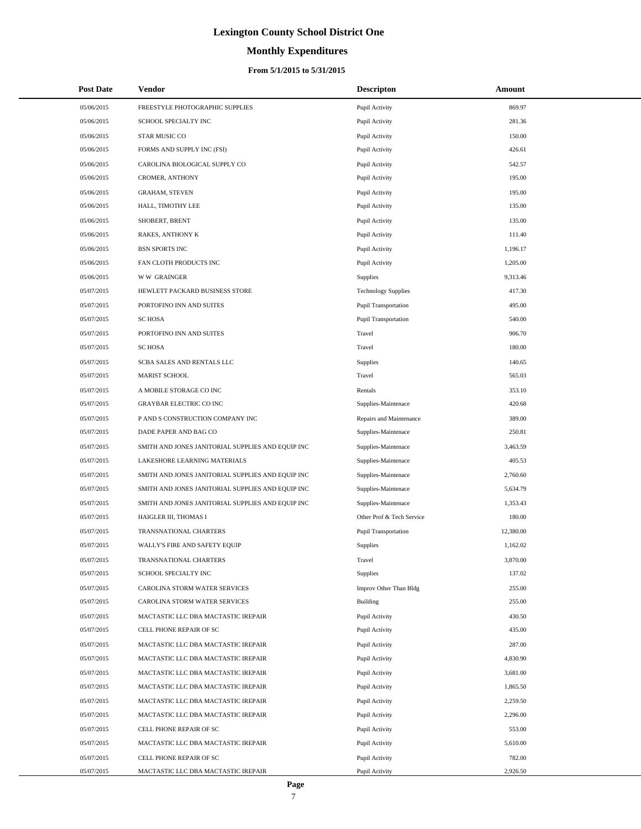# **Monthly Expenditures**

| <b>Post Date</b>         | Vendor                                                                     | <b>Descripton</b>                | Amount               |  |
|--------------------------|----------------------------------------------------------------------------|----------------------------------|----------------------|--|
| 05/06/2015               | FREESTYLE PHOTOGRAPHIC SUPPLIES                                            | Pupil Activity                   | 869.97               |  |
| 05/06/2015               | SCHOOL SPECIALTY INC                                                       | Pupil Activity                   | 281.36               |  |
| 05/06/2015               | STAR MUSIC CO                                                              | Pupil Activity                   | 150.00               |  |
| 05/06/2015               | FORMS AND SUPPLY INC (FSI)                                                 | Pupil Activity                   | 426.61               |  |
| 05/06/2015               | CAROLINA BIOLOGICAL SUPPLY CO                                              | Pupil Activity                   | 542.57               |  |
| 05/06/2015               | CROMER, ANTHONY                                                            | Pupil Activity                   | 195.00               |  |
| 05/06/2015               | <b>GRAHAM, STEVEN</b>                                                      | Pupil Activity                   | 195.00               |  |
| 05/06/2015               | HALL, TIMOTHY LEE                                                          | Pupil Activity                   | 135.00               |  |
| 05/06/2015               | SHOBERT, BRENT                                                             | Pupil Activity                   | 135.00               |  |
| 05/06/2015               | RAKES, ANTHONY K                                                           | Pupil Activity                   | 111.40               |  |
| 05/06/2015               | <b>BSN SPORTS INC</b>                                                      | Pupil Activity                   | 1,196.17             |  |
| 05/06/2015               | FAN CLOTH PRODUCTS INC                                                     | Pupil Activity                   | 1,205.00             |  |
| 05/06/2015               | <b>WW GRAINGER</b>                                                         | Supplies                         | 9,313.46             |  |
| 05/07/2015               | HEWLETT PACKARD BUSINESS STORE                                             | <b>Technology Supplies</b>       | 417.30               |  |
| 05/07/2015               | PORTOFINO INN AND SUITES                                                   | <b>Pupil Transportation</b>      | 495.00               |  |
| 05/07/2015               | <b>SC HOSA</b>                                                             | <b>Pupil Transportation</b>      | 540.00               |  |
| 05/07/2015               | PORTOFINO INN AND SUITES                                                   | Travel                           | 906.70               |  |
| 05/07/2015               | <b>SC HOSA</b>                                                             | Travel                           | 180.00               |  |
| 05/07/2015               | SCBA SALES AND RENTALS LLC                                                 | Supplies                         | 140.65               |  |
| 05/07/2015               | <b>MARIST SCHOOL</b>                                                       | Travel                           | 565.03               |  |
| 05/07/2015               | A MOBILE STORAGE CO INC                                                    | Rentals                          | 353.10               |  |
| 05/07/2015               | <b>GRAYBAR ELECTRIC CO INC</b>                                             | Supplies-Maintenace              | 420.68               |  |
| 05/07/2015               | P AND S CONSTRUCTION COMPANY INC                                           | Repairs and Maintenance          | 389.00               |  |
| 05/07/2015               | DADE PAPER AND BAG CO                                                      | Supplies-Maintenace              | 250.81               |  |
| 05/07/2015               | SMITH AND JONES JANITORIAL SUPPLIES AND EQUIP INC                          | Supplies-Maintenace              | 3,463.59             |  |
| 05/07/2015               | LAKESHORE LEARNING MATERIALS                                               | Supplies-Maintenace              | 405.53               |  |
| 05/07/2015               | SMITH AND JONES JANITORIAL SUPPLIES AND EQUIP INC                          | Supplies-Maintenace              | 2,760.60             |  |
| 05/07/2015               | SMITH AND JONES JANITORIAL SUPPLIES AND EQUIP INC                          | Supplies-Maintenace              | 5,634.79             |  |
| 05/07/2015               | SMITH AND JONES JANITORIAL SUPPLIES AND EQUIP INC                          | Supplies-Maintenace              | 1,353.43             |  |
| 05/07/2015               | HAIGLER III, THOMAS I                                                      | Other Prof & Tech Service        | 180.00               |  |
| 05/07/2015               | TRANSNATIONAL CHARTERS                                                     | <b>Pupil Transportation</b>      | 12,380.00            |  |
| 05/07/2015               | WALLY'S FIRE AND SAFETY EQUIP                                              | Supplies                         | 1,162.02             |  |
| 05/07/2015               | TRANSNATIONAL CHARTERS                                                     | Travel                           | 3,870.00             |  |
| 05/07/2015               | SCHOOL SPECIALTY INC                                                       | <b>Supplies</b>                  | 137.02               |  |
| 05/07/2015               | CAROLINA STORM WATER SERVICES                                              | Improv Other Than Bldg           | 255.00               |  |
| 05/07/2015               | CAROLINA STORM WATER SERVICES                                              | Building                         | 255.00               |  |
| 05/07/2015               | MACTASTIC LLC DBA MACTASTIC IREPAIR<br>CELL PHONE REPAIR OF SC             | Pupil Activity                   | 430.50<br>435.00     |  |
| 05/07/2015<br>05/07/2015 | MACTASTIC LLC DBA MACTASTIC IREPAIR                                        | Pupil Activity<br>Pupil Activity | 287.00               |  |
| 05/07/2015               | MACTASTIC LLC DBA MACTASTIC IREPAIR                                        | Pupil Activity                   | 4,830.90             |  |
| 05/07/2015               | MACTASTIC LLC DBA MACTASTIC IREPAIR                                        | Pupil Activity                   | 3,681.00             |  |
| 05/07/2015               | MACTASTIC LLC DBA MACTASTIC IREPAIR                                        | Pupil Activity                   | 1,865.50             |  |
|                          |                                                                            |                                  |                      |  |
| 05/07/2015<br>05/07/2015 | MACTASTIC LLC DBA MACTASTIC IREPAIR<br>MACTASTIC LLC DBA MACTASTIC IREPAIR | Pupil Activity<br>Pupil Activity | 2,259.50<br>2,296.00 |  |
| 05/07/2015               | CELL PHONE REPAIR OF SC                                                    | Pupil Activity                   | 553.00               |  |
| 05/07/2015               | MACTASTIC LLC DBA MACTASTIC IREPAIR                                        | Pupil Activity                   | 5,610.00             |  |
| 05/07/2015               | CELL PHONE REPAIR OF SC                                                    | Pupil Activity                   | 782.00               |  |
| 05/07/2015               | MACTASTIC LLC DBA MACTASTIC IREPAIR                                        | Pupil Activity                   | 2,926.50             |  |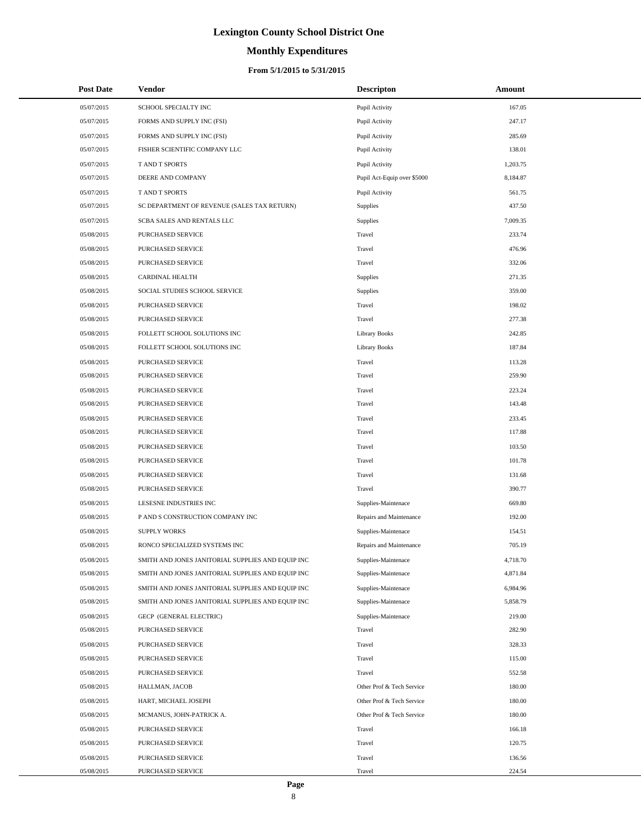# **Monthly Expenditures**

| <b>Post Date</b> | Vendor                                            | <b>Descripton</b>           | Amount   |
|------------------|---------------------------------------------------|-----------------------------|----------|
| 05/07/2015       | SCHOOL SPECIALTY INC                              | Pupil Activity              | 167.05   |
| 05/07/2015       | FORMS AND SUPPLY INC (FSI)                        | Pupil Activity              | 247.17   |
| 05/07/2015       | FORMS AND SUPPLY INC (FSI)                        | Pupil Activity              | 285.69   |
| 05/07/2015       | FISHER SCIENTIFIC COMPANY LLC                     | Pupil Activity              | 138.01   |
| 05/07/2015       | T AND T SPORTS                                    | Pupil Activity              | 1,203.75 |
| 05/07/2015       | DEERE AND COMPANY                                 | Pupil Act-Equip over \$5000 | 8,184.87 |
| 05/07/2015       | T AND T SPORTS                                    | Pupil Activity              | 561.75   |
| 05/07/2015       | SC DEPARTMENT OF REVENUE (SALES TAX RETURN)       | <b>Supplies</b>             | 437.50   |
| 05/07/2015       | SCBA SALES AND RENTALS LLC                        | <b>Supplies</b>             | 7,009.35 |
| 05/08/2015       | PURCHASED SERVICE                                 | Travel                      | 233.74   |
| 05/08/2015       | PURCHASED SERVICE                                 | Travel                      | 476.96   |
| 05/08/2015       | PURCHASED SERVICE                                 | Travel                      | 332.06   |
| 05/08/2015       | CARDINAL HEALTH                                   | Supplies                    | 271.35   |
| 05/08/2015       | SOCIAL STUDIES SCHOOL SERVICE                     | Supplies                    | 359.00   |
| 05/08/2015       | PURCHASED SERVICE                                 | Travel                      | 198.02   |
| 05/08/2015       | PURCHASED SERVICE                                 | Travel                      | 277.38   |
| 05/08/2015       | FOLLETT SCHOOL SOLUTIONS INC                      | Library Books               | 242.85   |
| 05/08/2015       | FOLLETT SCHOOL SOLUTIONS INC                      | <b>Library Books</b>        | 187.84   |
| 05/08/2015       | PURCHASED SERVICE                                 | Travel                      | 113.28   |
| 05/08/2015       | PURCHASED SERVICE                                 | Travel                      | 259.90   |
| 05/08/2015       | PURCHASED SERVICE                                 | Travel                      | 223.24   |
| 05/08/2015       | PURCHASED SERVICE                                 | Travel                      | 143.48   |
| 05/08/2015       | PURCHASED SERVICE                                 | Travel                      | 233.45   |
| 05/08/2015       | PURCHASED SERVICE                                 | Travel                      | 117.88   |
| 05/08/2015       | PURCHASED SERVICE                                 | Travel                      | 103.50   |
| 05/08/2015       | PURCHASED SERVICE                                 | Travel                      | 101.78   |
| 05/08/2015       | PURCHASED SERVICE                                 | Travel                      | 131.68   |
| 05/08/2015       | PURCHASED SERVICE                                 | Travel                      | 390.77   |
| 05/08/2015       | LESESNE INDUSTRIES INC                            | Supplies-Maintenace         | 669.80   |
| 05/08/2015       | P AND S CONSTRUCTION COMPANY INC                  | Repairs and Maintenance     | 192.00   |
| 05/08/2015       | <b>SUPPLY WORKS</b>                               | Supplies-Maintenace         | 154.51   |
| 05/08/2015       | RONCO SPECIALIZED SYSTEMS INC                     | Repairs and Maintenance     | 705.19   |
| 05/08/2015       | SMITH AND JONES JANITORIAL SUPPLIES AND EQUIP INC | Supplies-Maintenace         | 4,718.70 |
| 05/08/2015       | SMITH AND JONES JANITORIAL SUPPLIES AND EQUIP INC | Supplies-Maintenace         | 4,871.84 |
| 05/08/2015       | SMITH AND JONES JANITORIAL SUPPLIES AND EQUIP INC | Supplies-Maintenace         | 6,984.96 |
| 05/08/2015       | SMITH AND JONES JANITORIAL SUPPLIES AND EQUIP INC | Supplies-Maintenace         | 5,858.79 |
| 05/08/2015       | GECP (GENERAL ELECTRIC)                           | Supplies-Maintenace         | 219.00   |
| 05/08/2015       | PURCHASED SERVICE                                 | Travel                      | 282.90   |
| 05/08/2015       | PURCHASED SERVICE                                 | Travel                      | 328.33   |
| 05/08/2015       | PURCHASED SERVICE                                 | Travel                      | 115.00   |
| 05/08/2015       | PURCHASED SERVICE                                 | Travel                      | 552.58   |
| 05/08/2015       | HALLMAN, JACOB                                    | Other Prof & Tech Service   | 180.00   |
| 05/08/2015       | HART, MICHAEL JOSEPH                              | Other Prof & Tech Service   | 180.00   |
| 05/08/2015       | MCMANUS, JOHN-PATRICK A.                          | Other Prof & Tech Service   | 180.00   |
| 05/08/2015       | PURCHASED SERVICE                                 | Travel                      | 166.18   |
| 05/08/2015       | PURCHASED SERVICE                                 | Travel                      | 120.75   |
| 05/08/2015       | PURCHASED SERVICE                                 | Travel                      | 136.56   |
| 05/08/2015       | PURCHASED SERVICE                                 | Travel                      | 224.54   |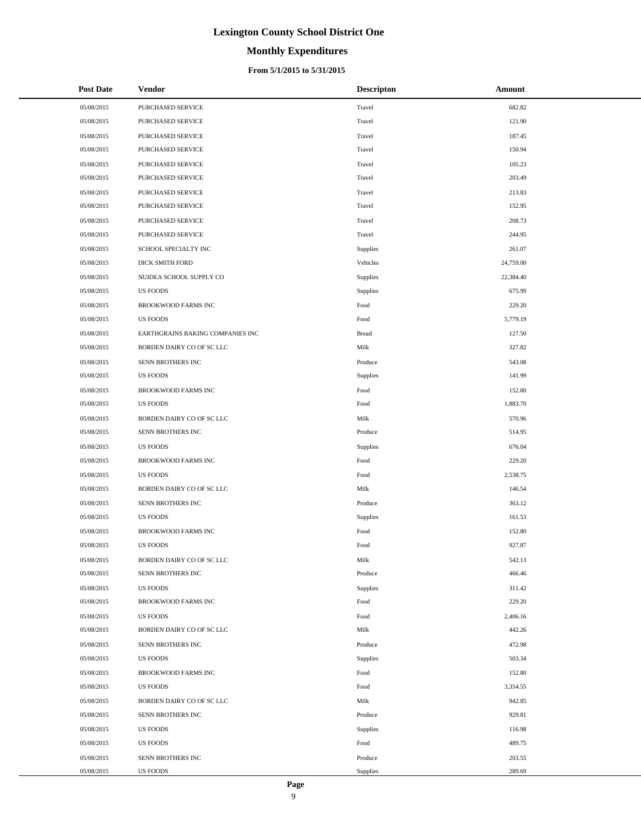#### **Monthly Expenditures**

#### **From 5/1/2015 to 5/31/2015**

| <b>Post Date</b> | Vendor                           | <b>Descripton</b> | Amount    |
|------------------|----------------------------------|-------------------|-----------|
| 05/08/2015       | PURCHASED SERVICE                | Travel            | 682.82    |
| 05/08/2015       | PURCHASED SERVICE                | Travel            | 121.90    |
| 05/08/2015       | PURCHASED SERVICE                | Travel            | 187.45    |
| 05/08/2015       | PURCHASED SERVICE                | Travel            | 150.94    |
| 05/08/2015       | PURCHASED SERVICE                | Travel            | 105.23    |
| 05/08/2015       | PURCHASED SERVICE                | Travel            | 203.49    |
| 05/08/2015       | <b>PURCHASED SERVICE</b>         | Travel            | 213.83    |
| 05/08/2015       | <b>PURCHASED SERVICE</b>         | Travel            | 152.95    |
| 05/08/2015       | PURCHASED SERVICE                | Travel            | 208.73    |
| 05/08/2015       | PURCHASED SERVICE                | Travel            | 244.95    |
| 05/08/2015       | SCHOOL SPECIALTY INC             | Supplies          | 261.07    |
| 05/08/2015       | DICK SMITH FORD                  | Vehicles          | 24,759.00 |
| 05/08/2015       | NUIDEA SCHOOL SUPPLY CO          | Supplies          | 22,384.40 |
| 05/08/2015       | <b>US FOODS</b>                  | <b>Supplies</b>   | 675.99    |
| 05/08/2015       | <b>BROOKWOOD FARMS INC</b>       | Food              | 229.20    |
| 05/08/2015       | <b>US FOODS</b>                  | Food              | 5,779.19  |
| 05/08/2015       | EARTHGRAINS BAKING COMPANIES INC | <b>Bread</b>      | 127.50    |
| 05/08/2015       | BORDEN DAIRY CO OF SC LLC        | Milk              | 327.82    |
| 05/08/2015       | SENN BROTHERS INC                | Produce           | 543.08    |
| 05/08/2015       | <b>US FOODS</b>                  | <b>Supplies</b>   | 141.99    |
| 05/08/2015       | BROOKWOOD FARMS INC              | Food              | 152.80    |
| 05/08/2015       | <b>US FOODS</b>                  | Food              | 1,883.70  |
| 05/08/2015       | BORDEN DAIRY CO OF SC LLC        | Milk              | 570.96    |
| 05/08/2015       | SENN BROTHERS INC                | Produce           | 514.95    |
| 05/08/2015       | <b>US FOODS</b>                  | Supplies          | 676.04    |
| 05/08/2015       | <b>BROOKWOOD FARMS INC</b>       | Food              | 229.20    |
| 05/08/2015       | <b>US FOODS</b>                  | Food              | 2,538.75  |
| 05/08/2015       | BORDEN DAIRY CO OF SC LLC        | Milk              | 146.54    |
| 05/08/2015       | SENN BROTHERS INC                | Produce           | 363.12    |
| 05/08/2015       | <b>US FOODS</b>                  | <b>Supplies</b>   | 161.53    |
| 05/08/2015       | BROOKWOOD FARMS INC              | Food              | 152.80    |
| 05/08/2015       | <b>US FOODS</b>                  | Food              | 927.87    |
| 05/08/2015       | BORDEN DAIRY CO OF SC LLC        | Milk              | 542.13    |
| 05/08/2015       | SENN BROTHERS INC                | Produce           | 466.46    |
| 05/08/2015       | <b>US FOODS</b>                  | Supplies          | 311.42    |
| 05/08/2015       | BROOKWOOD FARMS INC              | Food              | 229.20    |
| 05/08/2015       | <b>US FOODS</b>                  | Food              | 2,406.16  |
| 05/08/2015       | BORDEN DAIRY CO OF SC LLC        | Milk              | 442.26    |
| 05/08/2015       | SENN BROTHERS INC                | Produce           | 472.98    |
| 05/08/2015       | <b>US FOODS</b>                  | <b>Supplies</b>   | 503.34    |
| 05/08/2015       | BROOKWOOD FARMS INC              | Food              | 152.80    |
| 05/08/2015       | <b>US FOODS</b>                  | Food              | 3,354.55  |
| 05/08/2015       | BORDEN DAIRY CO OF SC LLC        | Milk              | 942.85    |
| 05/08/2015       | SENN BROTHERS INC                | Produce           | 929.81    |
| 05/08/2015       | <b>US FOODS</b>                  | Supplies          | 116.98    |
| 05/08/2015       | <b>US FOODS</b>                  | Food              | 489.75    |
| 05/08/2015       | SENN BROTHERS INC                | Produce           | 203.55    |
| 05/08/2015       | <b>US FOODS</b>                  | Supplies          | 289.69    |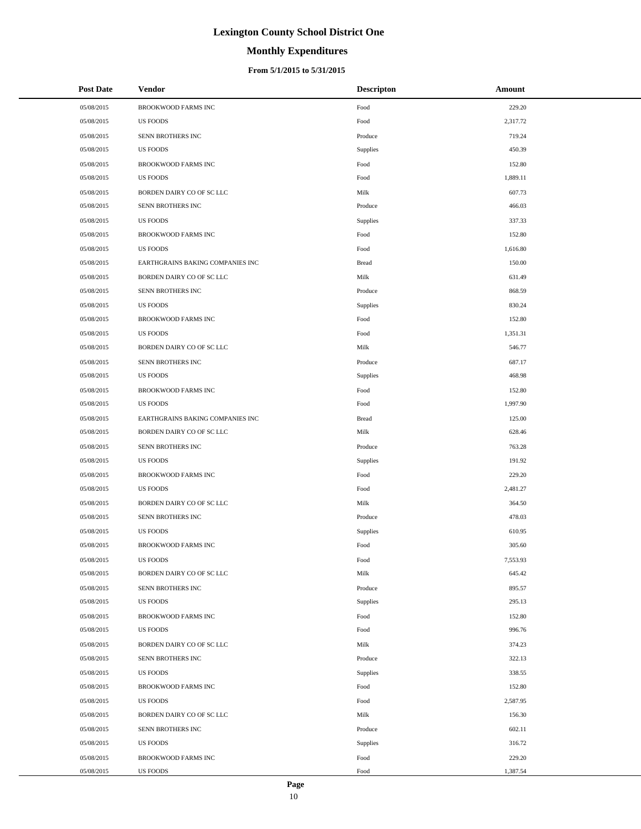# **Monthly Expenditures**

#### **From 5/1/2015 to 5/31/2015**

| <b>Post Date</b> | <b>Vendor</b>                    | <b>Descripton</b> | Amount   |
|------------------|----------------------------------|-------------------|----------|
| 05/08/2015       | <b>BROOKWOOD FARMS INC</b>       | Food              | 229.20   |
| 05/08/2015       | <b>US FOODS</b>                  | Food              | 2,317.72 |
| 05/08/2015       | SENN BROTHERS INC                | Produce           | 719.24   |
| 05/08/2015       | <b>US FOODS</b>                  | Supplies          | 450.39   |
| 05/08/2015       | BROOKWOOD FARMS INC              | Food              | 152.80   |
| 05/08/2015       | <b>US FOODS</b>                  | Food              | 1,889.11 |
| 05/08/2015       | BORDEN DAIRY CO OF SC LLC        | Milk              | 607.73   |
| 05/08/2015       | SENN BROTHERS INC                | Produce           | 466.03   |
| 05/08/2015       | <b>US FOODS</b>                  | Supplies          | 337.33   |
| 05/08/2015       | BROOKWOOD FARMS INC              | Food              | 152.80   |
| 05/08/2015       | <b>US FOODS</b>                  | Food              | 1,616.80 |
| 05/08/2015       | EARTHGRAINS BAKING COMPANIES INC | <b>Bread</b>      | 150.00   |
| 05/08/2015       | BORDEN DAIRY CO OF SC LLC        | Milk              | 631.49   |
| 05/08/2015       | SENN BROTHERS INC                | Produce           | 868.59   |
| 05/08/2015       | <b>US FOODS</b>                  | Supplies          | 830.24   |
| 05/08/2015       | BROOKWOOD FARMS INC              | Food              | 152.80   |
| 05/08/2015       | <b>US FOODS</b>                  | Food              | 1,351.31 |
| 05/08/2015       | BORDEN DAIRY CO OF SC LLC        | Milk              | 546.77   |
| 05/08/2015       | SENN BROTHERS INC                | Produce           | 687.17   |
| 05/08/2015       | <b>US FOODS</b>                  | Supplies          | 468.98   |
| 05/08/2015       | BROOKWOOD FARMS INC              | Food              | 152.80   |
| 05/08/2015       | <b>US FOODS</b>                  | Food              | 1,997.90 |
| 05/08/2015       | EARTHGRAINS BAKING COMPANIES INC | <b>Bread</b>      | 125.00   |
| 05/08/2015       | BORDEN DAIRY CO OF SC LLC        | Milk              | 628.46   |
| 05/08/2015       | SENN BROTHERS INC                | Produce           | 763.28   |
| 05/08/2015       | <b>US FOODS</b>                  | Supplies          | 191.92   |
| 05/08/2015       | BROOKWOOD FARMS INC              | Food              | 229.20   |
| 05/08/2015       | <b>US FOODS</b>                  | Food              | 2,481.27 |
| 05/08/2015       | BORDEN DAIRY CO OF SC LLC        | Milk              | 364.50   |
| 05/08/2015       | SENN BROTHERS INC                | Produce           | 478.03   |
| 05/08/2015       | <b>US FOODS</b>                  | Supplies          | 610.95   |
| 05/08/2015       | BROOKWOOD FARMS INC              | Food              | 305.60   |
| 05/08/2015       | US FOODS                         | Food              | 7,553.93 |
| 05/08/2015       | BORDEN DAIRY CO OF SC LLC        | Milk              | 645.42   |
| 05/08/2015       | SENN BROTHERS INC                | Produce           | 895.57   |
| 05/08/2015       | <b>US FOODS</b>                  | Supplies          | 295.13   |
| 05/08/2015       | <b>BROOKWOOD FARMS INC</b>       | Food              | 152.80   |
| 05/08/2015       | <b>US FOODS</b>                  | Food              | 996.76   |
| 05/08/2015       | BORDEN DAIRY CO OF SC LLC        | Milk              | 374.23   |
| 05/08/2015       | SENN BROTHERS INC                | Produce           | 322.13   |
| 05/08/2015       | <b>US FOODS</b>                  | <b>Supplies</b>   | 338.55   |
| 05/08/2015       | BROOKWOOD FARMS INC              | Food              | 152.80   |
| 05/08/2015       | <b>US FOODS</b>                  | Food              | 2,587.95 |
| 05/08/2015       | BORDEN DAIRY CO OF SC LLC        | Milk              | 156.30   |
| 05/08/2015       | SENN BROTHERS INC                | Produce           | 602.11   |
| 05/08/2015       | <b>US FOODS</b>                  | Supplies          | 316.72   |
| 05/08/2015       | BROOKWOOD FARMS INC              | Food              | 229.20   |
| 05/08/2015       | US FOODS                         | Food              | 1,387.54 |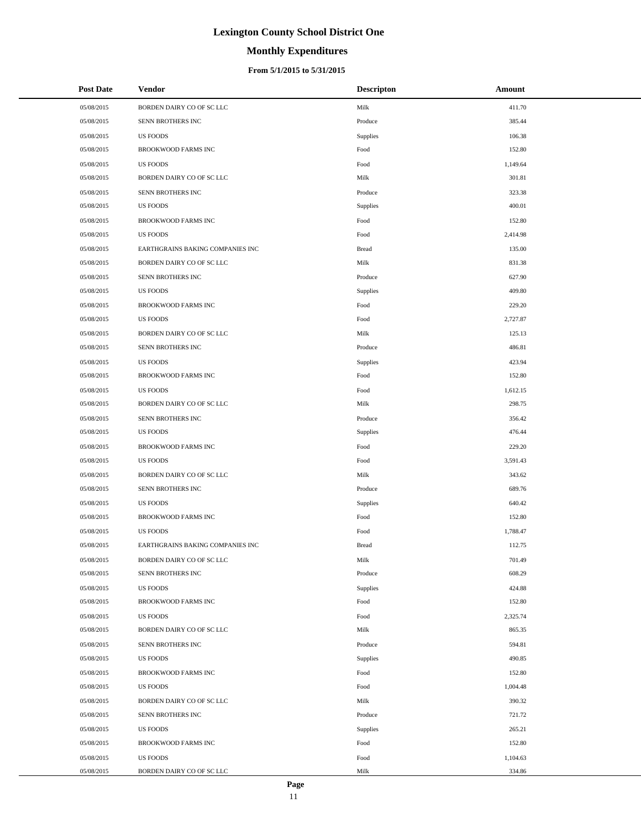# **Monthly Expenditures**

#### **From 5/1/2015 to 5/31/2015**

| <b>Post Date</b> | <b>Vendor</b>                    | <b>Descripton</b> | Amount   |
|------------------|----------------------------------|-------------------|----------|
| 05/08/2015       | BORDEN DAIRY CO OF SC LLC        | Milk              | 411.70   |
| 05/08/2015       | SENN BROTHERS INC                | Produce           | 385.44   |
| 05/08/2015       | <b>US FOODS</b>                  | Supplies          | 106.38   |
| 05/08/2015       | <b>BROOKWOOD FARMS INC</b>       | Food              | 152.80   |
| 05/08/2015       | <b>US FOODS</b>                  | Food              | 1,149.64 |
| 05/08/2015       | BORDEN DAIRY CO OF SC LLC        | Milk              | 301.81   |
| 05/08/2015       | <b>SENN BROTHERS INC</b>         | Produce           | 323.38   |
| 05/08/2015       | <b>US FOODS</b>                  | Supplies          | 400.01   |
| 05/08/2015       | <b>BROOKWOOD FARMS INC</b>       | Food              | 152.80   |
| 05/08/2015       | <b>US FOODS</b>                  | Food              | 2,414.98 |
| 05/08/2015       | EARTHGRAINS BAKING COMPANIES INC | <b>Bread</b>      | 135.00   |
| 05/08/2015       | BORDEN DAIRY CO OF SC LLC        | Milk              | 831.38   |
| 05/08/2015       | SENN BROTHERS INC                | Produce           | 627.90   |
| 05/08/2015       | <b>US FOODS</b>                  | Supplies          | 409.80   |
| 05/08/2015       | <b>BROOKWOOD FARMS INC</b>       | Food              | 229.20   |
| 05/08/2015       | <b>US FOODS</b>                  | Food              | 2,727.87 |
| 05/08/2015       | BORDEN DAIRY CO OF SC LLC        | Milk              | 125.13   |
| 05/08/2015       | SENN BROTHERS INC                | Produce           | 486.81   |
| 05/08/2015       | <b>US FOODS</b>                  | Supplies          | 423.94   |
| 05/08/2015       | <b>BROOKWOOD FARMS INC</b>       | Food              | 152.80   |
| 05/08/2015       | <b>US FOODS</b>                  | Food              | 1,612.15 |
| 05/08/2015       | BORDEN DAIRY CO OF SC LLC        | Milk              | 298.75   |
| 05/08/2015       | SENN BROTHERS INC                | Produce           | 356.42   |
| 05/08/2015       | <b>US FOODS</b>                  | Supplies          | 476.44   |
| 05/08/2015       | <b>BROOKWOOD FARMS INC</b>       | Food              | 229.20   |
| 05/08/2015       | <b>US FOODS</b>                  | Food              | 3,591.43 |
| 05/08/2015       | BORDEN DAIRY CO OF SC LLC        | Milk              | 343.62   |
| 05/08/2015       | SENN BROTHERS INC                | Produce           | 689.76   |
| 05/08/2015       | <b>US FOODS</b>                  | Supplies          | 640.42   |
| 05/08/2015       | BROOKWOOD FARMS INC              | Food              | 152.80   |
| 05/08/2015       | <b>US FOODS</b>                  | Food              | 1,788.47 |
| 05/08/2015       | EARTHGRAINS BAKING COMPANIES INC | <b>Bread</b>      | 112.75   |
| 05/08/2015       | BORDEN DAIRY CO OF SC LLC        | Milk              | 701.49   |
| 05/08/2015       | SENN BROTHERS INC                | Produce           | 608.29   |
| 05/08/2015       | <b>US FOODS</b>                  | Supplies          | 424.88   |
| 05/08/2015       | <b>BROOKWOOD FARMS INC</b>       | Food              | 152.80   |
| 05/08/2015       | <b>US FOODS</b>                  | Food              | 2,325.74 |
| 05/08/2015       | BORDEN DAIRY CO OF SC LLC        | Milk              | 865.35   |
| 05/08/2015       | SENN BROTHERS INC                | Produce           | 594.81   |
| 05/08/2015       | US FOODS                         | Supplies          | 490.85   |
| 05/08/2015       | BROOKWOOD FARMS INC              | Food              | 152.80   |
| 05/08/2015       | <b>US FOODS</b>                  | Food              | 1,004.48 |
| 05/08/2015       | BORDEN DAIRY CO OF SC LLC        | Milk              | 390.32   |
| 05/08/2015       | SENN BROTHERS INC                | Produce           | 721.72   |
| 05/08/2015       | US FOODS                         | Supplies          | 265.21   |
| 05/08/2015       | BROOKWOOD FARMS INC              | Food              | 152.80   |
| 05/08/2015       | <b>US FOODS</b>                  | Food              | 1,104.63 |
| 05/08/2015       | BORDEN DAIRY CO OF SC LLC        | Milk              | 334.86   |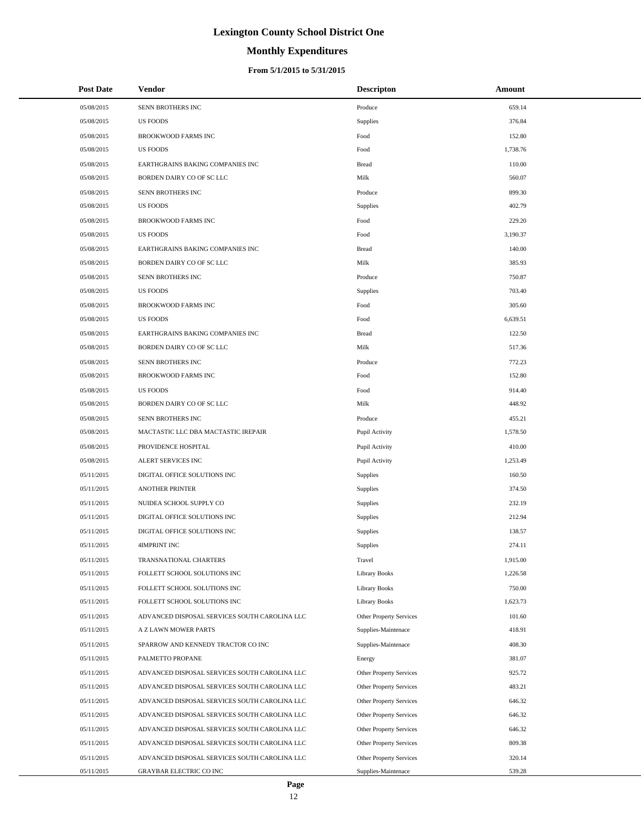# **Monthly Expenditures**

#### **From 5/1/2015 to 5/31/2015**

| <b>Post Date</b> | Vendor                                        | <b>Descripton</b>              | Amount   |
|------------------|-----------------------------------------------|--------------------------------|----------|
| 05/08/2015       | SENN BROTHERS INC                             | Produce                        | 659.14   |
| 05/08/2015       | <b>US FOODS</b>                               | Supplies                       | 376.84   |
| 05/08/2015       | <b>BROOKWOOD FARMS INC</b>                    | Food                           | 152.80   |
| 05/08/2015       | <b>US FOODS</b>                               | Food                           | 1,738.76 |
| 05/08/2015       | EARTHGRAINS BAKING COMPANIES INC              | <b>Bread</b>                   | 110.00   |
| 05/08/2015       | BORDEN DAIRY CO OF SC LLC                     | Milk                           | 560.07   |
| 05/08/2015       | SENN BROTHERS INC                             | Produce                        | 899.30   |
| 05/08/2015       | <b>US FOODS</b>                               | Supplies                       | 402.79   |
| 05/08/2015       | <b>BROOKWOOD FARMS INC</b>                    | Food                           | 229.20   |
| 05/08/2015       | <b>US FOODS</b>                               | Food                           | 3,190.37 |
| 05/08/2015       | EARTHGRAINS BAKING COMPANIES INC              | <b>Bread</b>                   | 140.00   |
| 05/08/2015       | BORDEN DAIRY CO OF SC LLC                     | Milk                           | 385.93   |
| 05/08/2015       | SENN BROTHERS INC                             | Produce                        | 750.87   |
| 05/08/2015       | <b>US FOODS</b>                               | Supplies                       | 703.40   |
| 05/08/2015       | <b>BROOKWOOD FARMS INC</b>                    | Food                           | 305.60   |
| 05/08/2015       | <b>US FOODS</b>                               | Food                           | 6,639.51 |
| 05/08/2015       | EARTHGRAINS BAKING COMPANIES INC              | <b>Bread</b>                   | 122.50   |
| 05/08/2015       | BORDEN DAIRY CO OF SC LLC                     | Milk                           | 517.36   |
| 05/08/2015       | SENN BROTHERS INC                             | Produce                        | 772.23   |
| 05/08/2015       | <b>BROOKWOOD FARMS INC</b>                    | Food                           | 152.80   |
| 05/08/2015       | <b>US FOODS</b>                               | Food                           | 914.40   |
| 05/08/2015       | BORDEN DAIRY CO OF SC LLC                     | Milk                           | 448.92   |
| 05/08/2015       | SENN BROTHERS INC                             | Produce                        | 455.21   |
| 05/08/2015       | MACTASTIC LLC DBA MACTASTIC IREPAIR           | Pupil Activity                 | 1,578.50 |
| 05/08/2015       | PROVIDENCE HOSPITAL                           | Pupil Activity                 | 410.00   |
| 05/08/2015       | ALERT SERVICES INC                            | Pupil Activity                 | 1,253.49 |
| 05/11/2015       | DIGITAL OFFICE SOLUTIONS INC                  | Supplies                       | 160.50   |
| 05/11/2015       | <b>ANOTHER PRINTER</b>                        | Supplies                       | 374.50   |
| 05/11/2015       | NUIDEA SCHOOL SUPPLY CO                       | Supplies                       | 232.19   |
| 05/11/2015       | DIGITAL OFFICE SOLUTIONS INC                  | Supplies                       | 212.94   |
| 05/11/2015       | DIGITAL OFFICE SOLUTIONS INC                  | Supplies                       | 138.57   |
| 05/11/2015       | <b>4IMPRINT INC</b>                           | Supplies                       | 274.11   |
| 05/11/2015       | TRANSNATIONAL CHARTERS                        | Travel                         | 1,915.00 |
| 05/11/2015       | FOLLETT SCHOOL SOLUTIONS INC                  | Library Books                  | 1,226.58 |
| 05/11/2015       | FOLLETT SCHOOL SOLUTIONS INC                  | Library Books                  | 750.00   |
| 05/11/2015       | FOLLETT SCHOOL SOLUTIONS INC                  | Library Books                  | 1,623.73 |
| 05/11/2015       | ADVANCED DISPOSAL SERVICES SOUTH CAROLINA LLC | Other Property Services        | 101.60   |
| 05/11/2015       | A Z LAWN MOWER PARTS                          | Supplies-Maintenace            | 418.91   |
| 05/11/2015       | SPARROW AND KENNEDY TRACTOR CO INC            | Supplies-Maintenace            | 408.30   |
| 05/11/2015       | PALMETTO PROPANE                              | Energy                         | 381.07   |
| 05/11/2015       | ADVANCED DISPOSAL SERVICES SOUTH CAROLINA LLC | <b>Other Property Services</b> | 925.72   |
| 05/11/2015       | ADVANCED DISPOSAL SERVICES SOUTH CAROLINA LLC | <b>Other Property Services</b> | 483.21   |
| 05/11/2015       | ADVANCED DISPOSAL SERVICES SOUTH CAROLINA LLC | <b>Other Property Services</b> | 646.32   |
| 05/11/2015       | ADVANCED DISPOSAL SERVICES SOUTH CAROLINA LLC | <b>Other Property Services</b> | 646.32   |
| 05/11/2015       | ADVANCED DISPOSAL SERVICES SOUTH CAROLINA LLC | Other Property Services        | 646.32   |
| 05/11/2015       | ADVANCED DISPOSAL SERVICES SOUTH CAROLINA LLC | <b>Other Property Services</b> | 809.38   |
| 05/11/2015       | ADVANCED DISPOSAL SERVICES SOUTH CAROLINA LLC | <b>Other Property Services</b> | 320.14   |
| 05/11/2015       | GRAYBAR ELECTRIC CO INC                       | Supplies-Maintenace            | 539.28   |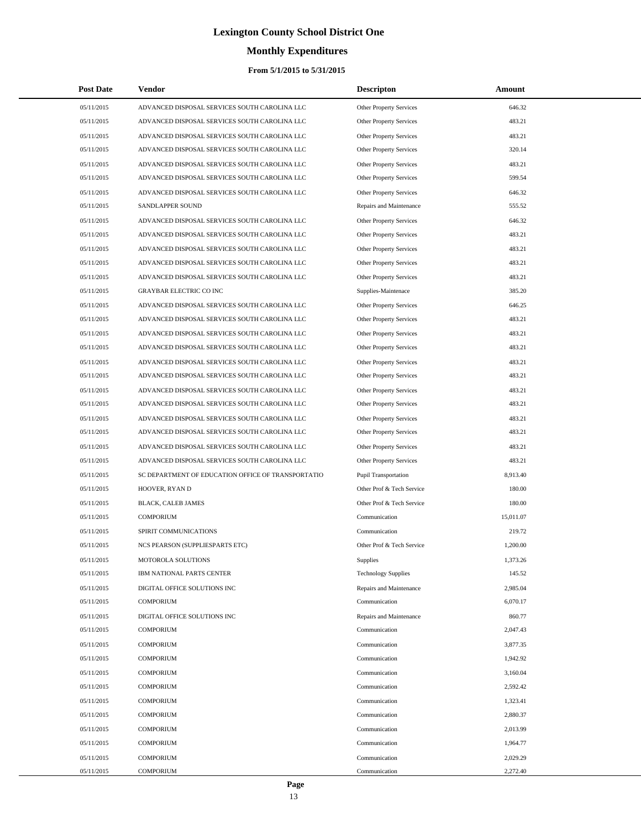# **Monthly Expenditures**

#### **From 5/1/2015 to 5/31/2015**

| <b>Post Date</b> | Vendor                                             | <b>Descripton</b>              | Amount    |
|------------------|----------------------------------------------------|--------------------------------|-----------|
| 05/11/2015       | ADVANCED DISPOSAL SERVICES SOUTH CAROLINA LLC      | Other Property Services        | 646.32    |
| 05/11/2015       | ADVANCED DISPOSAL SERVICES SOUTH CAROLINA LLC      | Other Property Services        | 483.21    |
| 05/11/2015       | ADVANCED DISPOSAL SERVICES SOUTH CAROLINA LLC      | Other Property Services        | 483.21    |
| 05/11/2015       | ADVANCED DISPOSAL SERVICES SOUTH CAROLINA LLC      | <b>Other Property Services</b> | 320.14    |
| 05/11/2015       | ADVANCED DISPOSAL SERVICES SOUTH CAROLINA LLC      | Other Property Services        | 483.21    |
| 05/11/2015       | ADVANCED DISPOSAL SERVICES SOUTH CAROLINA LLC      | Other Property Services        | 599.54    |
| 05/11/2015       | ADVANCED DISPOSAL SERVICES SOUTH CAROLINA LLC      | Other Property Services        | 646.32    |
| 05/11/2015       | SANDLAPPER SOUND                                   | Repairs and Maintenance        | 555.52    |
| 05/11/2015       | ADVANCED DISPOSAL SERVICES SOUTH CAROLINA LLC      | Other Property Services        | 646.32    |
| 05/11/2015       | ADVANCED DISPOSAL SERVICES SOUTH CAROLINA LLC      | Other Property Services        | 483.21    |
| 05/11/2015       | ADVANCED DISPOSAL SERVICES SOUTH CAROLINA LLC      | Other Property Services        | 483.21    |
| 05/11/2015       | ADVANCED DISPOSAL SERVICES SOUTH CAROLINA LLC      | Other Property Services        | 483.21    |
| 05/11/2015       | ADVANCED DISPOSAL SERVICES SOUTH CAROLINA LLC      | Other Property Services        | 483.21    |
| 05/11/2015       | GRAYBAR ELECTRIC CO INC                            | Supplies-Maintenace            | 385.20    |
| 05/11/2015       | ADVANCED DISPOSAL SERVICES SOUTH CAROLINA LLC      | Other Property Services        | 646.25    |
| 05/11/2015       | ADVANCED DISPOSAL SERVICES SOUTH CAROLINA LLC      | Other Property Services        | 483.21    |
| 05/11/2015       | ADVANCED DISPOSAL SERVICES SOUTH CAROLINA LLC      | Other Property Services        | 483.21    |
| 05/11/2015       | ADVANCED DISPOSAL SERVICES SOUTH CAROLINA LLC      | Other Property Services        | 483.21    |
| 05/11/2015       | ADVANCED DISPOSAL SERVICES SOUTH CAROLINA LLC      | Other Property Services        | 483.21    |
| 05/11/2015       | ADVANCED DISPOSAL SERVICES SOUTH CAROLINA LLC      | Other Property Services        | 483.21    |
| 05/11/2015       | ADVANCED DISPOSAL SERVICES SOUTH CAROLINA LLC      | Other Property Services        | 483.21    |
| 05/11/2015       | ADVANCED DISPOSAL SERVICES SOUTH CAROLINA LLC      | Other Property Services        | 483.21    |
| 05/11/2015       | ADVANCED DISPOSAL SERVICES SOUTH CAROLINA LLC      | Other Property Services        | 483.21    |
| 05/11/2015       | ADVANCED DISPOSAL SERVICES SOUTH CAROLINA LLC      | Other Property Services        | 483.21    |
| 05/11/2015       | ADVANCED DISPOSAL SERVICES SOUTH CAROLINA LLC      | Other Property Services        | 483.21    |
| 05/11/2015       | ADVANCED DISPOSAL SERVICES SOUTH CAROLINA LLC      | Other Property Services        | 483.21    |
| 05/11/2015       | SC DEPARTMENT OF EDUCATION OFFICE OF TRANSPORTATIO | Pupil Transportation           | 8,913.40  |
| 05/11/2015       | HOOVER, RYAN D                                     | Other Prof & Tech Service      | 180.00    |
| 05/11/2015       | BLACK, CALEB JAMES                                 | Other Prof & Tech Service      | 180.00    |
| 05/11/2015       | <b>COMPORIUM</b>                                   | Communication                  | 15.011.07 |
| 05/11/2015       | SPIRIT COMMUNICATIONS                              | Communication                  | 219.72    |
| 05/11/2015       | NCS PEARSON (SUPPLIESPARTS ETC)                    | Other Prof & Tech Service      | 1,200.00  |
| 05/11/2015       | MOTOROLA SOLUTIONS                                 | Supplies                       | 1,373.26  |
| 05/11/2015       | IBM NATIONAL PARTS CENTER                          | <b>Technology Supplies</b>     | 145.52    |
| 05/11/2015       | DIGITAL OFFICE SOLUTIONS INC                       | Repairs and Maintenance        | 2,985.04  |
| 05/11/2015       | <b>COMPORIUM</b>                                   | Communication                  | 6,070.17  |
| 05/11/2015       | DIGITAL OFFICE SOLUTIONS INC                       | Repairs and Maintenance        | 860.77    |
| 05/11/2015       | <b>COMPORIUM</b>                                   | Communication                  | 2,047.43  |
| 05/11/2015       | <b>COMPORIUM</b>                                   | Communication                  | 3,877.35  |
| 05/11/2015       | <b>COMPORIUM</b>                                   | Communication                  | 1,942.92  |
| 05/11/2015       | <b>COMPORIUM</b>                                   | Communication                  | 3,160.04  |
| 05/11/2015       | <b>COMPORIUM</b>                                   | Communication                  | 2,592.42  |
| 05/11/2015       | <b>COMPORIUM</b>                                   | Communication                  | 1,323.41  |
| 05/11/2015       | <b>COMPORIUM</b>                                   | Communication                  | 2,880.37  |
| 05/11/2015       | <b>COMPORIUM</b>                                   | Communication                  | 2,013.99  |
| 05/11/2015       | <b>COMPORIUM</b>                                   | Communication                  | 1,964.77  |
| 05/11/2015       | <b>COMPORIUM</b>                                   | Communication                  | 2,029.29  |
| 05/11/2015       | <b>COMPORIUM</b>                                   | Communication                  | 2,272.40  |

÷.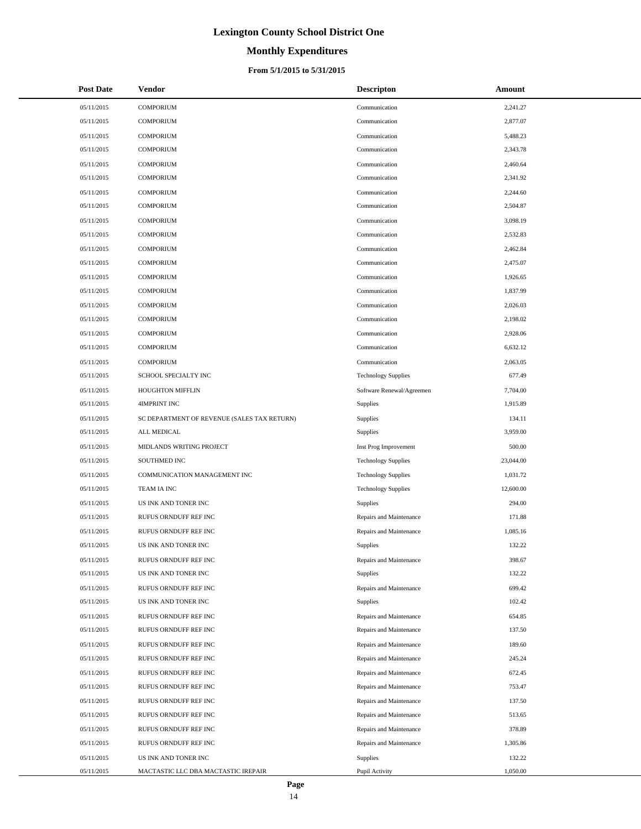# **Monthly Expenditures**

#### **From 5/1/2015 to 5/31/2015**

| <b>Post Date</b> | Vendor                                      | <b>Descripton</b>          | Amount    |
|------------------|---------------------------------------------|----------------------------|-----------|
| 05/11/2015       | COMPORIUM                                   | Communication              | 2,241.27  |
| 05/11/2015       | <b>COMPORIUM</b>                            | Communication              | 2,877.07  |
| 05/11/2015       | <b>COMPORIUM</b>                            | Communication              | 5,488.23  |
| 05/11/2015       | <b>COMPORIUM</b>                            | Communication              | 2,343.78  |
| 05/11/2015       | <b>COMPORIUM</b>                            | Communication              | 2,460.64  |
| 05/11/2015       | <b>COMPORIUM</b>                            | Communication              | 2,341.92  |
| 05/11/2015       | <b>COMPORIUM</b>                            | Communication              | 2,244.60  |
| 05/11/2015       | <b>COMPORIUM</b>                            | Communication              | 2,504.87  |
| 05/11/2015       | <b>COMPORIUM</b>                            | Communication              | 3,098.19  |
| 05/11/2015       | <b>COMPORIUM</b>                            | Communication              | 2,532.83  |
| 05/11/2015       | <b>COMPORIUM</b>                            | Communication              | 2,462.84  |
| 05/11/2015       | <b>COMPORIUM</b>                            | Communication              | 2,475.07  |
| 05/11/2015       | <b>COMPORIUM</b>                            | Communication              | 1,926.65  |
| 05/11/2015       | <b>COMPORIUM</b>                            | Communication              | 1,837.99  |
| 05/11/2015       | <b>COMPORIUM</b>                            | Communication              | 2,026.03  |
| 05/11/2015       | <b>COMPORIUM</b>                            | Communication              | 2,198.02  |
| 05/11/2015       | <b>COMPORIUM</b>                            | Communication              | 2,928.06  |
| 05/11/2015       | <b>COMPORIUM</b>                            | Communication              | 6,632.12  |
| 05/11/2015       | <b>COMPORIUM</b>                            | Communication              | 2,063.05  |
| 05/11/2015       | SCHOOL SPECIALTY INC                        | <b>Technology Supplies</b> | 677.49    |
| 05/11/2015       | HOUGHTON MIFFLIN                            | Software Renewal/Agreemen  | 7,704.00  |
| 05/11/2015       | 4IMPRINT INC                                | Supplies                   | 1,915.89  |
| 05/11/2015       | SC DEPARTMENT OF REVENUE (SALES TAX RETURN) | Supplies                   | 134.11    |
| 05/11/2015       | ALL MEDICAL                                 | Supplies                   | 3,959.00  |
| 05/11/2015       | MIDLANDS WRITING PROJECT                    | Inst Prog Improvement      | 500.00    |
| 05/11/2015       | SOUTHMED INC                                | <b>Technology Supplies</b> | 23,044.00 |
| 05/11/2015       | COMMUNICATION MANAGEMENT INC                | <b>Technology Supplies</b> | 1,031.72  |
| 05/11/2015       | TEAM IA INC                                 | <b>Technology Supplies</b> | 12,600.00 |
| 05/11/2015       | US INK AND TONER INC                        | <b>Supplies</b>            | 294.00    |
| 05/11/2015       | RUFUS ORNDUFF REF INC                       | Repairs and Maintenance    | 171.88    |
| 05/11/2015       | RUFUS ORNDUFF REF INC                       | Repairs and Maintenance    | 1,085.16  |
| 05/11/2015       | US INK AND TONER INC                        | Supplies                   | 132.22    |
| 05/11/2015       | RUFUS ORNDUFF REF INC                       | Repairs and Maintenance    | 398.67    |
| 05/11/2015       | US INK AND TONER INC                        | Supplies                   | 132.22    |
| 05/11/2015       | RUFUS ORNDUFF REF INC                       | Repairs and Maintenance    | 699.42    |
| 05/11/2015       | US INK AND TONER INC                        | Supplies                   | 102.42    |
| 05/11/2015       | RUFUS ORNDUFF REF INC                       | Repairs and Maintenance    | 654.85    |
| 05/11/2015       | RUFUS ORNDUFF REF INC                       | Repairs and Maintenance    | 137.50    |
| 05/11/2015       | RUFUS ORNDUFF REF INC                       | Repairs and Maintenance    | 189.60    |
| 05/11/2015       | RUFUS ORNDUFF REF INC                       | Repairs and Maintenance    | 245.24    |
| 05/11/2015       | RUFUS ORNDUFF REF INC                       | Repairs and Maintenance    | 672.45    |
| 05/11/2015       | RUFUS ORNDUFF REF INC                       | Repairs and Maintenance    | 753.47    |
| 05/11/2015       | RUFUS ORNDUFF REF INC                       | Repairs and Maintenance    | 137.50    |
| 05/11/2015       | RUFUS ORNDUFF REF INC                       | Repairs and Maintenance    | 513.65    |
| 05/11/2015       | RUFUS ORNDUFF REF INC                       | Repairs and Maintenance    | 378.89    |
| 05/11/2015       | RUFUS ORNDUFF REF INC                       | Repairs and Maintenance    | 1,305.86  |
| 05/11/2015       | US INK AND TONER INC                        | Supplies                   | 132.22    |
| 05/11/2015       | MACTASTIC LLC DBA MACTASTIC IREPAIR         | Pupil Activity             | 1,050.00  |

 $\overline{a}$ 

÷.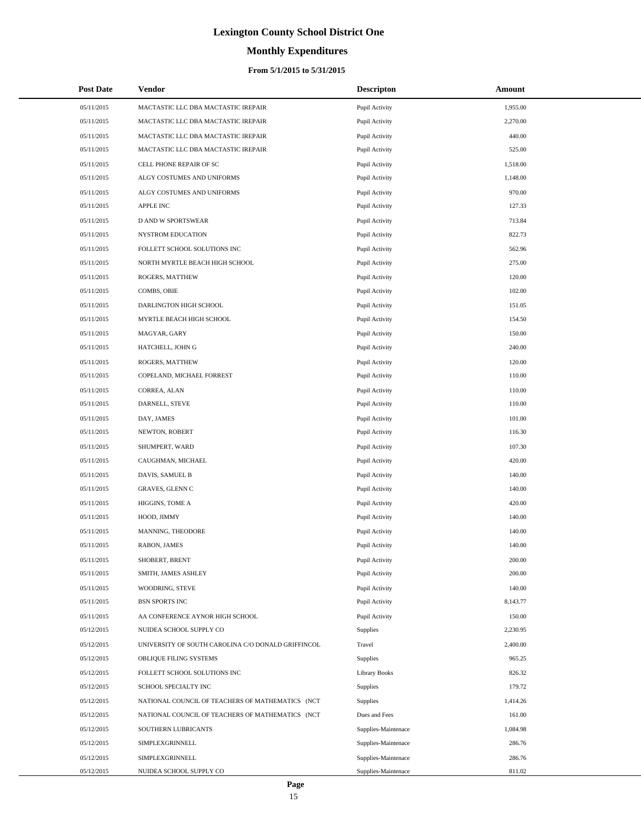# **Monthly Expenditures**

#### **From 5/1/2015 to 5/31/2015**

| <b>Post Date</b> | <b>Vendor</b>                                      | <b>Descripton</b>    | Amount   |  |
|------------------|----------------------------------------------------|----------------------|----------|--|
| 05/11/2015       | MACTASTIC LLC DBA MACTASTIC IREPAIR                | Pupil Activity       | 1,955.00 |  |
| 05/11/2015       | MACTASTIC LLC DBA MACTASTIC IREPAIR                | Pupil Activity       | 2,270.00 |  |
| 05/11/2015       | MACTASTIC LLC DBA MACTASTIC IREPAIR                | Pupil Activity       | 440.00   |  |
| 05/11/2015       | MACTASTIC LLC DBA MACTASTIC IREPAIR                | Pupil Activity       | 525.00   |  |
| 05/11/2015       | CELL PHONE REPAIR OF SC                            | Pupil Activity       | 1,518.00 |  |
| 05/11/2015       | ALGY COSTUMES AND UNIFORMS                         | Pupil Activity       | 1,148.00 |  |
| 05/11/2015       | ALGY COSTUMES AND UNIFORMS                         | Pupil Activity       | 970.00   |  |
| 05/11/2015       | <b>APPLE INC</b>                                   | Pupil Activity       | 127.33   |  |
| 05/11/2015       | <b>D AND W SPORTSWEAR</b>                          | Pupil Activity       | 713.84   |  |
| 05/11/2015       | NYSTROM EDUCATION                                  | Pupil Activity       | 822.73   |  |
| 05/11/2015       | FOLLETT SCHOOL SOLUTIONS INC                       | Pupil Activity       | 562.96   |  |
| 05/11/2015       | NORTH MYRTLE BEACH HIGH SCHOOL                     | Pupil Activity       | 275.00   |  |
| 05/11/2015       | ROGERS, MATTHEW                                    | Pupil Activity       | 120.00   |  |
| 05/11/2015       | COMBS, OBIE                                        | Pupil Activity       | 102.00   |  |
| 05/11/2015       | DARLINGTON HIGH SCHOOL                             | Pupil Activity       | 151.05   |  |
| 05/11/2015       | MYRTLE BEACH HIGH SCHOOL                           | Pupil Activity       | 154.50   |  |
| 05/11/2015       | MAGYAR, GARY                                       | Pupil Activity       | 150.00   |  |
| 05/11/2015       | HATCHELL, JOHN G                                   | Pupil Activity       | 240.00   |  |
| 05/11/2015       | ROGERS, MATTHEW                                    | Pupil Activity       | 120.00   |  |
| 05/11/2015       | COPELAND, MICHAEL FORREST                          | Pupil Activity       | 110.00   |  |
| 05/11/2015       | CORREA, ALAN                                       | Pupil Activity       | 110.00   |  |
| 05/11/2015       | DARNELL, STEVE                                     | Pupil Activity       | 110.00   |  |
| 05/11/2015       | DAY, JAMES                                         | Pupil Activity       | 101.00   |  |
| 05/11/2015       | NEWTON, ROBERT                                     | Pupil Activity       | 116.30   |  |
| 05/11/2015       | SHUMPERT, WARD                                     | Pupil Activity       | 107.30   |  |
| 05/11/2015       | CAUGHMAN, MICHAEL                                  | Pupil Activity       | 420.00   |  |
| 05/11/2015       | DAVIS, SAMUEL B                                    | Pupil Activity       | 140.00   |  |
| 05/11/2015       | GRAVES, GLENN C                                    | Pupil Activity       | 140.00   |  |
| 05/11/2015       | HIGGINS, TOME A                                    | Pupil Activity       | 420.00   |  |
| 05/11/2015       | HOOD, JIMMY                                        | Pupil Activity       | 140.00   |  |
| 05/11/2015       | MANNING, THEODORE                                  | Pupil Activity       | 140.00   |  |
| 05/11/2015       | RABON, JAMES                                       | Pupil Activity       | 140.00   |  |
| 05/11/2015       | SHOBERT, BRENT                                     | Pupil Activity       | 200.00   |  |
| 05/11/2015       | SMITH, JAMES ASHLEY                                | Pupil Activity       | 200.00   |  |
| 05/11/2015       | WOODRING, STEVE                                    | Pupil Activity       | 140.00   |  |
| 05/11/2015       | <b>BSN SPORTS INC</b>                              | Pupil Activity       | 8,143.77 |  |
| 05/11/2015       | AA CONFERENCE AYNOR HIGH SCHOOL                    | Pupil Activity       | 150.00   |  |
| 05/12/2015       | NUIDEA SCHOOL SUPPLY CO                            | <b>Supplies</b>      | 2,230.95 |  |
| 05/12/2015       | UNIVERSITY OF SOUTH CAROLINA C/O DONALD GRIFFINCOL | Travel               | 2,400.00 |  |
| 05/12/2015       | OBLIQUE FILING SYSTEMS                             | Supplies             | 965.25   |  |
| 05/12/2015       | FOLLETT SCHOOL SOLUTIONS INC                       | <b>Library Books</b> | 826.32   |  |
| 05/12/2015       | SCHOOL SPECIALTY INC                               | Supplies             | 179.72   |  |
| 05/12/2015       | NATIONAL COUNCIL OF TEACHERS OF MATHEMATICS (NCT   | Supplies             | 1,414.26 |  |
| 05/12/2015       | NATIONAL COUNCIL OF TEACHERS OF MATHEMATICS (NCT   | Dues and Fees        | 161.00   |  |
| 05/12/2015       | SOUTHERN LUBRICANTS                                | Supplies-Maintenace  | 1,084.98 |  |
| 05/12/2015       | SIMPLEXGRINNELL                                    | Supplies-Maintenace  | 286.76   |  |
| 05/12/2015       | SIMPLEXGRINNELL                                    | Supplies-Maintenace  | 286.76   |  |
| 05/12/2015       | NUIDEA SCHOOL SUPPLY CO                            | Supplies-Maintenace  | 811.02   |  |

÷.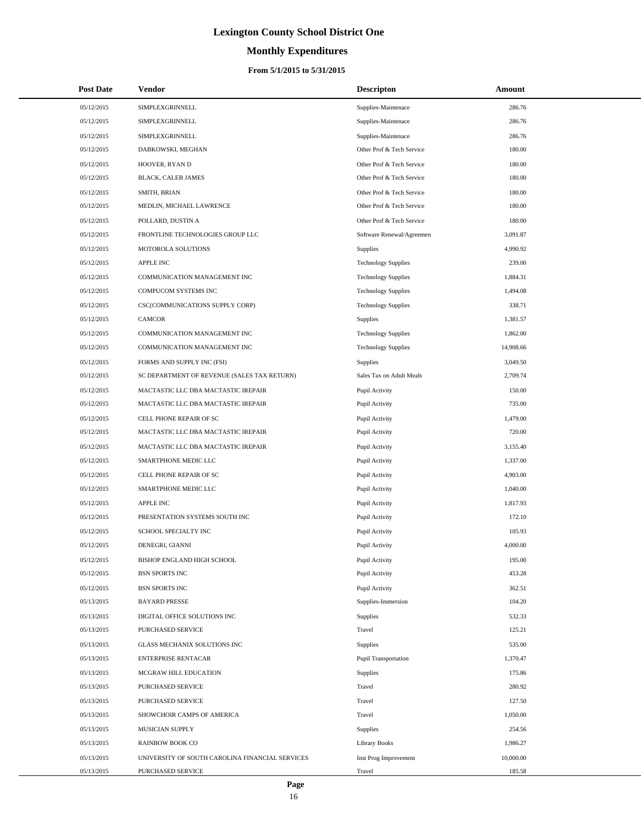# **Monthly Expenditures**

#### **From 5/1/2015 to 5/31/2015**

| <b>Post Date</b> | Vendor                                          | <b>Descripton</b>           | Amount    |
|------------------|-------------------------------------------------|-----------------------------|-----------|
| 05/12/2015       | SIMPLEXGRINNELL                                 | Supplies-Maintenace         | 286.76    |
| 05/12/2015       | SIMPLEXGRINNELL                                 | Supplies-Maintenace         | 286.76    |
| 05/12/2015       | SIMPLEXGRINNELL                                 | Supplies-Maintenace         | 286.76    |
| 05/12/2015       | DABKOWSKI, MEGHAN                               | Other Prof & Tech Service   | 180.00    |
| 05/12/2015       | HOOVER, RYAN D                                  | Other Prof & Tech Service   | 180.00    |
| 05/12/2015       | BLACK, CALEB JAMES                              | Other Prof & Tech Service   | 180.00    |
| 05/12/2015       | SMITH, BRIAN                                    | Other Prof & Tech Service   | 180.00    |
| 05/12/2015       | MEDLIN, MICHAEL LAWRENCE                        | Other Prof & Tech Service   | 180.00    |
| 05/12/2015       | POLLARD, DUSTIN A                               | Other Prof & Tech Service   | 180.00    |
| 05/12/2015       | FRONTLINE TECHNOLOGIES GROUP LLC                | Software Renewal/Agreemen   | 3,091.87  |
| 05/12/2015       | MOTOROLA SOLUTIONS                              | Supplies                    | 4,990.92  |
| 05/12/2015       | <b>APPLE INC</b>                                | <b>Technology Supplies</b>  | 239.00    |
| 05/12/2015       | COMMUNICATION MANAGEMENT INC                    | <b>Technology Supplies</b>  | 1,884.31  |
| 05/12/2015       | COMPUCOM SYSTEMS INC                            | <b>Technology Supplies</b>  | 1,494.08  |
| 05/12/2015       | CSC(COMMUNICATIONS SUPPLY CORP)                 | <b>Technology Supplies</b>  | 338.71    |
| 05/12/2015       | <b>CAMCOR</b>                                   | <b>Supplies</b>             | 1,381.57  |
| 05/12/2015       | COMMUNICATION MANAGEMENT INC                    | <b>Technology Supplies</b>  | 1,862.00  |
| 05/12/2015       | COMMUNICATION MANAGEMENT INC                    | <b>Technology Supplies</b>  | 14,908.66 |
| 05/12/2015       | FORMS AND SUPPLY INC (FSI)                      | Supplies                    | 3,049.50  |
| 05/12/2015       | SC DEPARTMENT OF REVENUE (SALES TAX RETURN)     | Sales Tax on Adult Meals    | 2,709.74  |
| 05/12/2015       | MACTASTIC LLC DBA MACTASTIC IREPAIR             | Pupil Activity              | 150.00    |
| 05/12/2015       | MACTASTIC LLC DBA MACTASTIC IREPAIR             | Pupil Activity              | 735.00    |
| 05/12/2015       | CELL PHONE REPAIR OF SC                         | Pupil Activity              | 1,479.00  |
| 05/12/2015       | MACTASTIC LLC DBA MACTASTIC IREPAIR             | Pupil Activity              | 720.00    |
| 05/12/2015       | MACTASTIC LLC DBA MACTASTIC IREPAIR             | Pupil Activity              | 3,155.40  |
| 05/12/2015       | SMARTPHONE MEDIC LLC                            | Pupil Activity              | 1,337.00  |
| 05/12/2015       | CELL PHONE REPAIR OF SC                         | Pupil Activity              | 4,903.00  |
| 05/12/2015       | SMARTPHONE MEDIC LLC                            | Pupil Activity              | 1,040.00  |
| 05/12/2015       | <b>APPLE INC</b>                                | Pupil Activity              | 1,817.93  |
| 05/12/2015       | PRESENTATION SYSTEMS SOUTH INC                  | Pupil Activity              | 172.10    |
| 05/12/2015       | SCHOOL SPECIALTY INC                            | Pupil Activity              | 105.93    |
| 05/12/2015       | DENEGRI, GIANNI                                 | Pupil Activity              | 4,000.00  |
| 05/12/2015       | BISHOP ENGLAND HIGH SCHOOL                      | Pupil Activity              | 195.00    |
| 05/12/2015       | <b>BSN SPORTS INC</b>                           | Pupil Activity              | 453.28    |
| 05/12/2015       | <b>BSN SPORTS INC</b>                           | Pupil Activity              | 362.51    |
| 05/13/2015       | <b>BAYARD PRESSE</b>                            | Supplies-Immersion          | 104.20    |
| 05/13/2015       | DIGITAL OFFICE SOLUTIONS INC                    | Supplies                    | 532.33    |
| 05/13/2015       | PURCHASED SERVICE                               | Travel                      | 125.21    |
| 05/13/2015       | GLASS MECHANIX SOLUTIONS INC                    | Supplies                    | 535.00    |
| 05/13/2015       | <b>ENTERPRISE RENTACAR</b>                      | <b>Pupil Transportation</b> | 1,370.47  |
| 05/13/2015       | MCGRAW HILL EDUCATION                           | Supplies                    | 175.86    |
| 05/13/2015       | PURCHASED SERVICE                               | Travel                      | 280.92    |
| 05/13/2015       | PURCHASED SERVICE                               | Travel                      | 127.50    |
| 05/13/2015       | SHOWCHOIR CAMPS OF AMERICA                      | Travel                      | 1,050.00  |
| 05/13/2015       | MUSICIAN SUPPLY                                 | Supplies                    | 254.56    |
| 05/13/2015       | <b>RAINBOW BOOK CO</b>                          | <b>Library Books</b>        | 1,986.27  |
| 05/13/2015       | UNIVERSITY OF SOUTH CAROLINA FINANCIAL SERVICES | Inst Prog Improvement       | 10,000.00 |
| 05/13/2015       | PURCHASED SERVICE                               | Travel                      | 185.58    |

 $\overline{a}$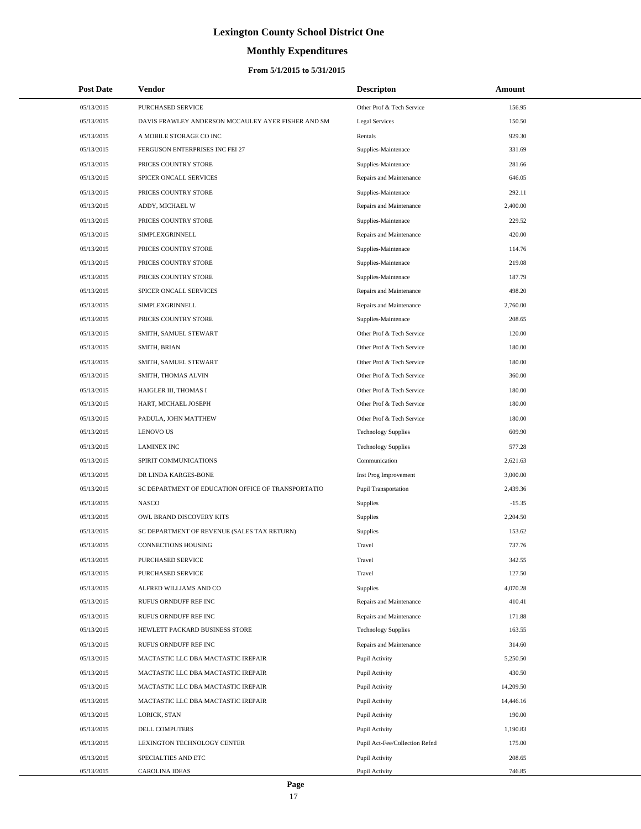# **Monthly Expenditures**

#### **From 5/1/2015 to 5/31/2015**

| <b>Post Date</b> | Vendor                                             | <b>Descripton</b>              | Amount    |  |
|------------------|----------------------------------------------------|--------------------------------|-----------|--|
| 05/13/2015       | PURCHASED SERVICE                                  | Other Prof & Tech Service      | 156.95    |  |
| 05/13/2015       | DAVIS FRAWLEY ANDERSON MCCAULEY AYER FISHER AND SM | <b>Legal Services</b>          | 150.50    |  |
| 05/13/2015       | A MOBILE STORAGE CO INC                            | Rentals                        | 929.30    |  |
| 05/13/2015       | FERGUSON ENTERPRISES INC FEI 27                    | Supplies-Maintenace            | 331.69    |  |
| 05/13/2015       | PRICES COUNTRY STORE                               | Supplies-Maintenace            | 281.66    |  |
| 05/13/2015       | SPICER ONCALL SERVICES                             | Repairs and Maintenance        | 646.05    |  |
| 05/13/2015       | PRICES COUNTRY STORE                               | Supplies-Maintenace            | 292.11    |  |
| 05/13/2015       | ADDY, MICHAEL W                                    | Repairs and Maintenance        | 2,400.00  |  |
| 05/13/2015       | PRICES COUNTRY STORE                               | Supplies-Maintenace            | 229.52    |  |
| 05/13/2015       | SIMPLEXGRINNELL                                    | Repairs and Maintenance        | 420.00    |  |
| 05/13/2015       | PRICES COUNTRY STORE                               | Supplies-Maintenace            | 114.76    |  |
| 05/13/2015       | PRICES COUNTRY STORE                               | Supplies-Maintenace            | 219.08    |  |
| 05/13/2015       | PRICES COUNTRY STORE                               | Supplies-Maintenace            | 187.79    |  |
| 05/13/2015       | SPICER ONCALL SERVICES                             | Repairs and Maintenance        | 498.20    |  |
| 05/13/2015       | SIMPLEXGRINNELL                                    | Repairs and Maintenance        | 2,760.00  |  |
| 05/13/2015       | PRICES COUNTRY STORE                               | Supplies-Maintenace            | 208.65    |  |
| 05/13/2015       | SMITH, SAMUEL STEWART                              | Other Prof & Tech Service      | 120.00    |  |
| 05/13/2015       | SMITH, BRIAN                                       | Other Prof & Tech Service      | 180.00    |  |
| 05/13/2015       | SMITH, SAMUEL STEWART                              | Other Prof & Tech Service      | 180.00    |  |
| 05/13/2015       | SMITH, THOMAS ALVIN                                | Other Prof & Tech Service      | 360.00    |  |
| 05/13/2015       | HAIGLER III, THOMAS I                              | Other Prof & Tech Service      | 180.00    |  |
| 05/13/2015       | HART, MICHAEL JOSEPH                               | Other Prof & Tech Service      | 180.00    |  |
| 05/13/2015       | PADULA, JOHN MATTHEW                               | Other Prof & Tech Service      | 180.00    |  |
| 05/13/2015       | <b>LENOVO US</b>                                   | <b>Technology Supplies</b>     | 609.90    |  |
| 05/13/2015       | <b>LAMINEX INC</b>                                 | <b>Technology Supplies</b>     | 577.28    |  |
| 05/13/2015       | SPIRIT COMMUNICATIONS                              | Communication                  | 2,621.63  |  |
| 05/13/2015       | DR LINDA KARGES-BONE                               | Inst Prog Improvement          | 3,000.00  |  |
| 05/13/2015       | SC DEPARTMENT OF EDUCATION OFFICE OF TRANSPORTATIO | <b>Pupil Transportation</b>    | 2,439.36  |  |
| 05/13/2015       | <b>NASCO</b>                                       | Supplies                       | $-15.35$  |  |
| 05/13/2015       | OWL BRAND DISCOVERY KITS                           | Supplies                       | 2,204.50  |  |
| 05/13/2015       | SC DEPARTMENT OF REVENUE (SALES TAX RETURN)        | Supplies                       | 153.62    |  |
| 05/13/2015       | <b>CONNECTIONS HOUSING</b>                         | Travel                         | 737.76    |  |
| 05/13/2015       | PURCHASED SERVICE                                  | Travel                         | 342.55    |  |
| 05/13/2015       | PURCHASED SERVICE                                  | Travel                         | 127.50    |  |
| 05/13/2015       | ALFRED WILLIAMS AND CO                             | Supplies                       | 4,070.28  |  |
| 05/13/2015       | RUFUS ORNDUFF REF INC                              | Repairs and Maintenance        | 410.41    |  |
| 05/13/2015       | RUFUS ORNDUFF REF INC                              | Repairs and Maintenance        | 171.88    |  |
| 05/13/2015       | HEWLETT PACKARD BUSINESS STORE                     | <b>Technology Supplies</b>     | 163.55    |  |
| 05/13/2015       | RUFUS ORNDUFF REF INC                              | Repairs and Maintenance        | 314.60    |  |
| 05/13/2015       | MACTASTIC LLC DBA MACTASTIC IREPAIR                | Pupil Activity                 | 5,250.50  |  |
| 05/13/2015       | MACTASTIC LLC DBA MACTASTIC IREPAIR                | Pupil Activity                 | 430.50    |  |
| 05/13/2015       | MACTASTIC LLC DBA MACTASTIC IREPAIR                | Pupil Activity                 | 14,209.50 |  |
| 05/13/2015       | MACTASTIC LLC DBA MACTASTIC IREPAIR                | Pupil Activity                 | 14,446.16 |  |
| 05/13/2015       | LORICK, STAN                                       | Pupil Activity                 | 190.00    |  |
| 05/13/2015       | DELL COMPUTERS                                     | Pupil Activity                 | 1,190.83  |  |
| 05/13/2015       | LEXINGTON TECHNOLOGY CENTER                        | Pupil Act-Fee/Collection Refnd | 175.00    |  |
| 05/13/2015       | SPECIALTIES AND ETC                                | Pupil Activity                 | 208.65    |  |
| 05/13/2015       | CAROLINA IDEAS                                     | Pupil Activity                 | 746.85    |  |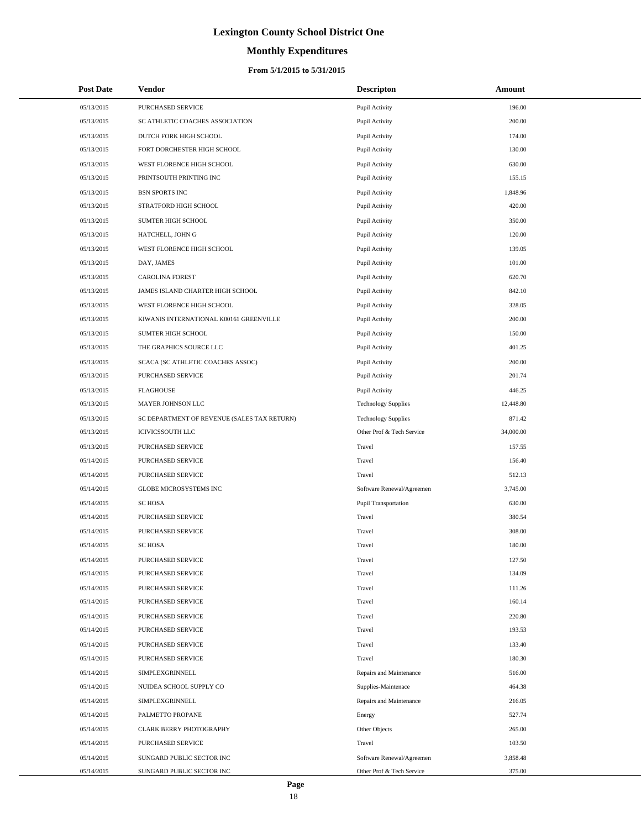# **Monthly Expenditures**

#### **From 5/1/2015 to 5/31/2015**

| <b>Post Date</b> | Vendor                                      | <b>Descripton</b>          | Amount    |
|------------------|---------------------------------------------|----------------------------|-----------|
| 05/13/2015       | PURCHASED SERVICE                           | Pupil Activity             | 196.00    |
| 05/13/2015       | SC ATHLETIC COACHES ASSOCIATION             | Pupil Activity             | 200.00    |
| 05/13/2015       | DUTCH FORK HIGH SCHOOL                      | Pupil Activity             | 174.00    |
| 05/13/2015       | FORT DORCHESTER HIGH SCHOOL                 | Pupil Activity             | 130.00    |
| 05/13/2015       | WEST FLORENCE HIGH SCHOOL                   | Pupil Activity             | 630.00    |
| 05/13/2015       | PRINTSOUTH PRINTING INC                     | Pupil Activity             | 155.15    |
| 05/13/2015       | <b>BSN SPORTS INC</b>                       | Pupil Activity             | 1,848.96  |
| 05/13/2015       | STRATFORD HIGH SCHOOL                       | Pupil Activity             | 420.00    |
| 05/13/2015       | SUMTER HIGH SCHOOL                          | Pupil Activity             | 350.00    |
| 05/13/2015       | HATCHELL, JOHN G                            | Pupil Activity             | 120.00    |
| 05/13/2015       | WEST FLORENCE HIGH SCHOOL                   | Pupil Activity             | 139.05    |
| 05/13/2015       | DAY, JAMES                                  | Pupil Activity             | 101.00    |
| 05/13/2015       | <b>CAROLINA FOREST</b>                      | Pupil Activity             | 620.70    |
| 05/13/2015       | JAMES ISLAND CHARTER HIGH SCHOOL            | Pupil Activity             | 842.10    |
| 05/13/2015       | WEST FLORENCE HIGH SCHOOL                   | Pupil Activity             | 328.05    |
| 05/13/2015       | KIWANIS INTERNATIONAL K00161 GREENVILLE     | Pupil Activity             | 200.00    |
| 05/13/2015       | SUMTER HIGH SCHOOL                          | Pupil Activity             | 150.00    |
| 05/13/2015       | THE GRAPHICS SOURCE LLC                     | Pupil Activity             | 401.25    |
| 05/13/2015       | SCACA (SC ATHLETIC COACHES ASSOC)           | Pupil Activity             | 200.00    |
| 05/13/2015       | PURCHASED SERVICE                           | Pupil Activity             | 201.74    |
| 05/13/2015       | <b>FLAGHOUSE</b>                            | Pupil Activity             | 446.25    |
| 05/13/2015       | MAYER JOHNSON LLC                           | <b>Technology Supplies</b> | 12,448.80 |
| 05/13/2015       | SC DEPARTMENT OF REVENUE (SALES TAX RETURN) | <b>Technology Supplies</b> | 871.42    |
| 05/13/2015       | <b>ICIVICSSOUTH LLC</b>                     | Other Prof & Tech Service  | 34,000.00 |
| 05/13/2015       | PURCHASED SERVICE                           | Travel                     | 157.55    |
| 05/14/2015       | PURCHASED SERVICE                           | Travel                     | 156.40    |
| 05/14/2015       | PURCHASED SERVICE                           | Travel                     | 512.13    |
| 05/14/2015       | <b>GLOBE MICROSYSTEMS INC</b>               | Software Renewal/Agreemen  | 3,745.00  |
| 05/14/2015       | <b>SCHOSA</b>                               | Pupil Transportation       | 630.00    |
| 05/14/2015       | PURCHASED SERVICE                           | Travel                     | 380.54    |
| 05/14/2015       | <b>PURCHASED SERVICE</b>                    | Travel                     | 308.00    |
| 05/14/2015       | <b>SC HOSA</b>                              | Travel                     | 180.00    |
| 05/14/2015       | PURCHASED SERVICE                           | Travel                     | 127.50    |
| 05/14/2015       | PURCHASED SERVICE                           | Travel                     | 134.09    |
| 05/14/2015       | PURCHASED SERVICE                           | Travel                     | 111.26    |
| 05/14/2015       | PURCHASED SERVICE                           | Travel                     | 160.14    |
| 05/14/2015       | PURCHASED SERVICE                           | Travel                     | 220.80    |
| 05/14/2015       | PURCHASED SERVICE                           | Travel                     | 193.53    |
| 05/14/2015       | PURCHASED SERVICE                           | Travel                     | 133.40    |
| 05/14/2015       | <b>PURCHASED SERVICE</b>                    | Travel                     | 180.30    |
| 05/14/2015       | SIMPLEXGRINNELL                             | Repairs and Maintenance    | 516.00    |
| 05/14/2015       | NUIDEA SCHOOL SUPPLY CO                     | Supplies-Maintenace        | 464.38    |
| 05/14/2015       | SIMPLEXGRINNELL                             | Repairs and Maintenance    | 216.05    |
| 05/14/2015       | PALMETTO PROPANE                            | Energy                     | 527.74    |
| 05/14/2015       | CLARK BERRY PHOTOGRAPHY                     | Other Objects              | 265.00    |
| 05/14/2015       | PURCHASED SERVICE                           | Travel                     | 103.50    |
| 05/14/2015       | SUNGARD PUBLIC SECTOR INC                   | Software Renewal/Agreemen  | 3,858.48  |
| 05/14/2015       | SUNGARD PUBLIC SECTOR INC                   | Other Prof & Tech Service  | 375.00    |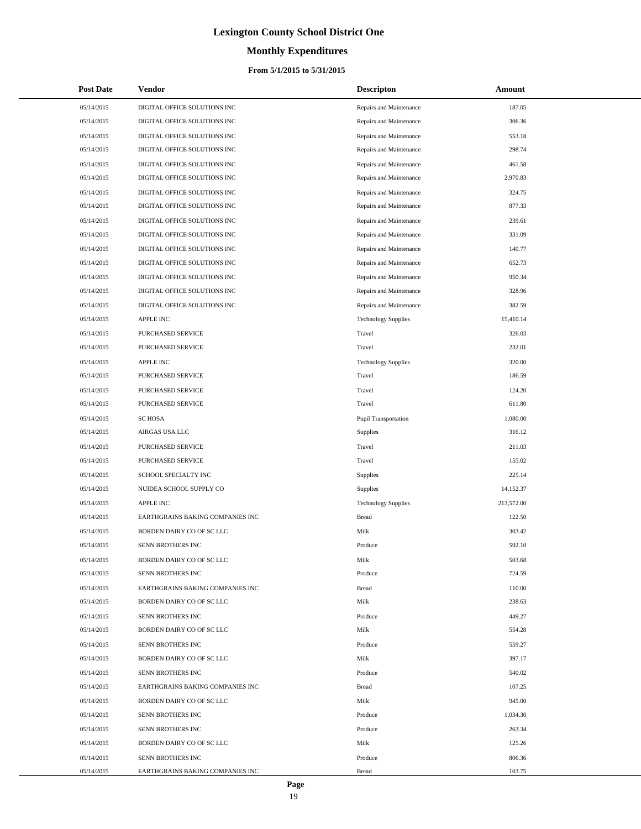# **Monthly Expenditures**

#### **From 5/1/2015 to 5/31/2015**

| <b>Post Date</b> | <b>Vendor</b>                    | <b>Descripton</b>           | Amount     |
|------------------|----------------------------------|-----------------------------|------------|
| 05/14/2015       | DIGITAL OFFICE SOLUTIONS INC     | Repairs and Maintenance     | 187.05     |
| 05/14/2015       | DIGITAL OFFICE SOLUTIONS INC     | Repairs and Maintenance     | 306.36     |
| 05/14/2015       | DIGITAL OFFICE SOLUTIONS INC     | Repairs and Maintenance     | 553.18     |
| 05/14/2015       | DIGITAL OFFICE SOLUTIONS INC     | Repairs and Maintenance     | 298.74     |
| 05/14/2015       | DIGITAL OFFICE SOLUTIONS INC     | Repairs and Maintenance     | 461.58     |
| 05/14/2015       | DIGITAL OFFICE SOLUTIONS INC     | Repairs and Maintenance     | 2,970.83   |
| 05/14/2015       | DIGITAL OFFICE SOLUTIONS INC     | Repairs and Maintenance     | 324.75     |
| 05/14/2015       | DIGITAL OFFICE SOLUTIONS INC     | Repairs and Maintenance     | 877.33     |
| 05/14/2015       | DIGITAL OFFICE SOLUTIONS INC     | Repairs and Maintenance     | 239.61     |
| 05/14/2015       | DIGITAL OFFICE SOLUTIONS INC     | Repairs and Maintenance     | 331.09     |
| 05/14/2015       | DIGITAL OFFICE SOLUTIONS INC     | Repairs and Maintenance     | 140.77     |
| 05/14/2015       | DIGITAL OFFICE SOLUTIONS INC     | Repairs and Maintenance     | 652.73     |
| 05/14/2015       | DIGITAL OFFICE SOLUTIONS INC     | Repairs and Maintenance     | 950.34     |
| 05/14/2015       | DIGITAL OFFICE SOLUTIONS INC     | Repairs and Maintenance     | 328.96     |
| 05/14/2015       | DIGITAL OFFICE SOLUTIONS INC     | Repairs and Maintenance     | 382.59     |
| 05/14/2015       | <b>APPLE INC</b>                 | <b>Technology Supplies</b>  | 15,410.14  |
| 05/14/2015       | PURCHASED SERVICE                | Travel                      | 326.03     |
| 05/14/2015       | PURCHASED SERVICE                | Travel                      | 232.01     |
| 05/14/2015       | APPLE INC                        | <b>Technology Supplies</b>  | 320.00     |
| 05/14/2015       | PURCHASED SERVICE                | Travel                      | 186.59     |
| 05/14/2015       | PURCHASED SERVICE                | Travel                      | 124.20     |
| 05/14/2015       | PURCHASED SERVICE                | Travel                      | 611.80     |
| 05/14/2015       | <b>SC HOSA</b>                   | <b>Pupil Transportation</b> | 1,080.00   |
| 05/14/2015       | AIRGAS USA LLC                   | Supplies                    | 316.12     |
| 05/14/2015       | PURCHASED SERVICE                | Travel                      | 211.03     |
| 05/14/2015       | PURCHASED SERVICE                | Travel                      | 155.02     |
| 05/14/2015       | SCHOOL SPECIALTY INC             | Supplies                    | 225.14     |
| 05/14/2015       | NUIDEA SCHOOL SUPPLY CO          | Supplies                    | 14,152.37  |
| 05/14/2015       | APPLE INC                        | <b>Technology Supplies</b>  | 213,572.00 |
| 05/14/2015       | EARTHGRAINS BAKING COMPANIES INC | <b>Bread</b>                | 122.50     |
| 05/14/2015       | BORDEN DAIRY CO OF SC LLC        | Milk                        | 303.42     |
| 05/14/2015       | <b>SENN BROTHERS INC</b>         | Produce                     | 592.10     |
| 05/14/2015       | BORDEN DAIRY CO OF SC LLC        | Milk                        | 503.68     |
| 05/14/2015       | <b>SENN BROTHERS INC</b>         | Produce                     | 724.59     |
| 05/14/2015       | EARTHGRAINS BAKING COMPANIES INC | <b>Bread</b>                | 110.00     |
| 05/14/2015       | BORDEN DAIRY CO OF SC LLC        | Milk                        | 238.63     |
| 05/14/2015       | SENN BROTHERS INC                | Produce                     | 449.27     |
| 05/14/2015       | BORDEN DAIRY CO OF SC LLC        | Milk                        | 554.28     |
| 05/14/2015       | SENN BROTHERS INC                | Produce                     | 559.27     |
| 05/14/2015       | BORDEN DAIRY CO OF SC LLC        | Milk                        | 397.17     |
| 05/14/2015       | SENN BROTHERS INC                | Produce                     | 540.02     |
| 05/14/2015       | EARTHGRAINS BAKING COMPANIES INC | <b>Bread</b>                | 107.25     |
| 05/14/2015       | BORDEN DAIRY CO OF SC LLC        | Milk                        | 945.00     |
| 05/14/2015       | SENN BROTHERS INC                | Produce                     | 1,034.30   |
| 05/14/2015       | SENN BROTHERS INC                | Produce                     | 263.34     |
| 05/14/2015       | BORDEN DAIRY CO OF SC LLC        | Milk                        | 125.26     |
| 05/14/2015       | SENN BROTHERS INC                | Produce                     | 806.36     |
| 05/14/2015       | EARTHGRAINS BAKING COMPANIES INC | <b>Bread</b>                | 103.75     |

 $\overline{a}$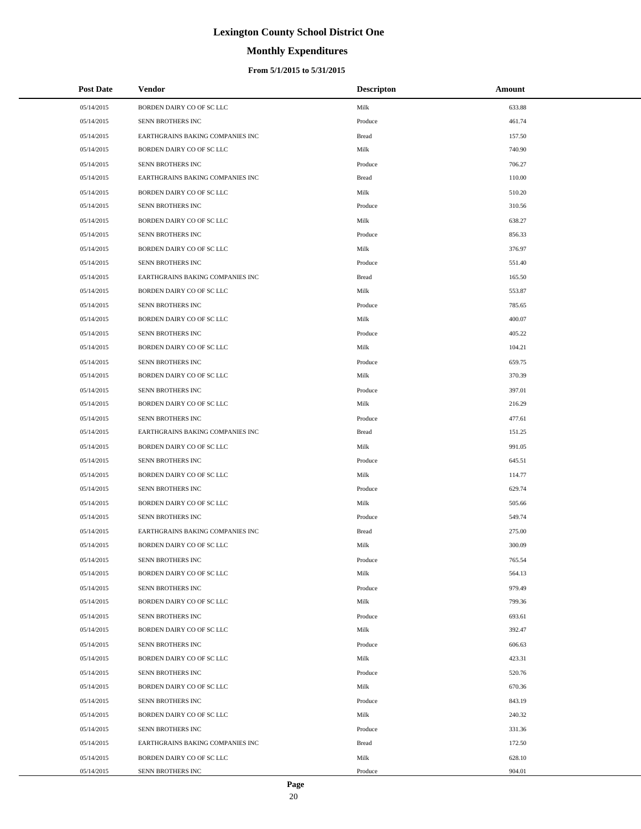# **Monthly Expenditures**

#### **From 5/1/2015 to 5/31/2015**

| <b>Post Date</b> | Vendor                           | <b>Descripton</b> | Amount |
|------------------|----------------------------------|-------------------|--------|
| 05/14/2015       | BORDEN DAIRY CO OF SC LLC        | Milk              | 633.88 |
| 05/14/2015       | SENN BROTHERS INC                | Produce           | 461.74 |
| 05/14/2015       | EARTHGRAINS BAKING COMPANIES INC | Bread             | 157.50 |
| 05/14/2015       | BORDEN DAIRY CO OF SC LLC        | Milk              | 740.90 |
| 05/14/2015       | SENN BROTHERS INC                | Produce           | 706.27 |
| 05/14/2015       | EARTHGRAINS BAKING COMPANIES INC | <b>Bread</b>      | 110.00 |
| 05/14/2015       | BORDEN DAIRY CO OF SC LLC        | Milk              | 510.20 |
| 05/14/2015       | SENN BROTHERS INC                | Produce           | 310.56 |
| 05/14/2015       | BORDEN DAIRY CO OF SC LLC        | Milk              | 638.27 |
| 05/14/2015       | SENN BROTHERS INC                | Produce           | 856.33 |
| 05/14/2015       | BORDEN DAIRY CO OF SC LLC        | Milk              | 376.97 |
| 05/14/2015       | SENN BROTHERS INC                | Produce           | 551.40 |
| 05/14/2015       | EARTHGRAINS BAKING COMPANIES INC | Bread             | 165.50 |
| 05/14/2015       | BORDEN DAIRY CO OF SC LLC        | Milk              | 553.87 |
| 05/14/2015       | SENN BROTHERS INC                | Produce           | 785.65 |
| 05/14/2015       | BORDEN DAIRY CO OF SC LLC        | Milk              | 400.07 |
| 05/14/2015       | SENN BROTHERS INC                | Produce           | 405.22 |
| 05/14/2015       | BORDEN DAIRY CO OF SC LLC        | Milk              | 104.21 |
| 05/14/2015       | SENN BROTHERS INC                | Produce           | 659.75 |
| 05/14/2015       | BORDEN DAIRY CO OF SC LLC        | Milk              | 370.39 |
| 05/14/2015       | SENN BROTHERS INC                | Produce           | 397.01 |
| 05/14/2015       | BORDEN DAIRY CO OF SC LLC        | Milk              | 216.29 |
| 05/14/2015       | SENN BROTHERS INC                | Produce           | 477.61 |
| 05/14/2015       | EARTHGRAINS BAKING COMPANIES INC | Bread             | 151.25 |
| 05/14/2015       | BORDEN DAIRY CO OF SC LLC        | Milk              | 991.05 |
| 05/14/2015       | SENN BROTHERS INC                | Produce           | 645.51 |
| 05/14/2015       | BORDEN DAIRY CO OF SC LLC        | Milk              | 114.77 |
| 05/14/2015       | SENN BROTHERS INC                | Produce           | 629.74 |
| 05/14/2015       | BORDEN DAIRY CO OF SC LLC        | Milk              | 505.66 |
| 05/14/2015       | SENN BROTHERS INC                | Produce           | 549.74 |
| 05/14/2015       | EARTHGRAINS BAKING COMPANIES INC | <b>Bread</b>      | 275.00 |
| 05/14/2015       | BORDEN DAIRY CO OF SC LLC        | Milk              | 300.09 |
| 05/14/2015       | SENN BROTHERS INC                | Produce           | 765.54 |
| 05/14/2015       | BORDEN DAIRY CO OF SC LLC        | Milk              | 564.13 |
| 05/14/2015       | SENN BROTHERS INC                | Produce           | 979.49 |
| 05/14/2015       | BORDEN DAIRY CO OF SC LLC        | Milk              | 799.36 |
| 05/14/2015       | SENN BROTHERS INC                | Produce           | 693.61 |
| 05/14/2015       | BORDEN DAIRY CO OF SC LLC        | Milk              | 392.47 |
| 05/14/2015       | SENN BROTHERS INC                | Produce           | 606.63 |
| 05/14/2015       | BORDEN DAIRY CO OF SC LLC        | Milk              | 423.31 |
| 05/14/2015       | SENN BROTHERS INC                | Produce           | 520.76 |
| 05/14/2015       | BORDEN DAIRY CO OF SC LLC        | Milk              | 670.36 |
| 05/14/2015       | SENN BROTHERS INC                | Produce           | 843.19 |
| 05/14/2015       | BORDEN DAIRY CO OF SC LLC        | Milk              | 240.32 |
| 05/14/2015       | SENN BROTHERS INC                | Produce           | 331.36 |
| 05/14/2015       | EARTHGRAINS BAKING COMPANIES INC | <b>Bread</b>      | 172.50 |
| 05/14/2015       | BORDEN DAIRY CO OF SC LLC        | Milk              | 628.10 |
| 05/14/2015       | SENN BROTHERS INC                | Produce           | 904.01 |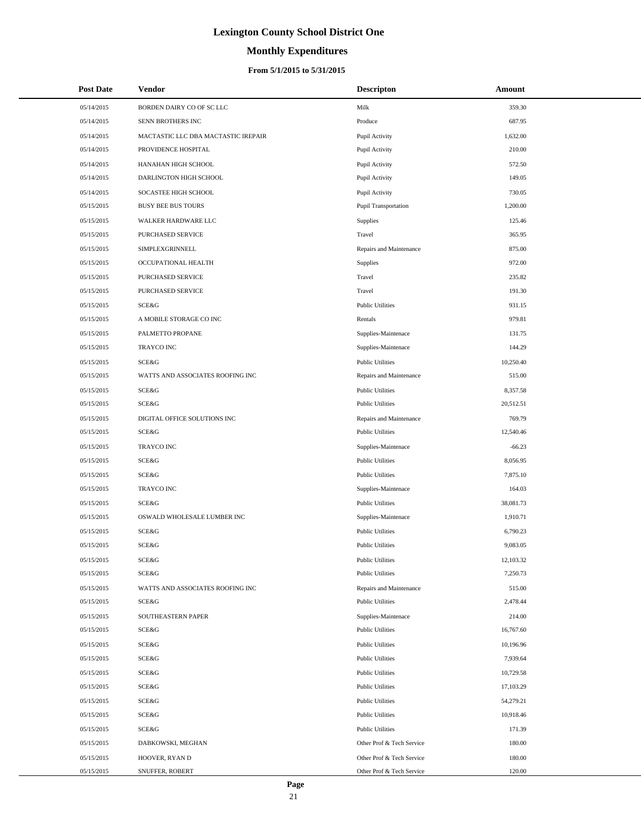# **Monthly Expenditures**

| <b>Post Date</b> | Vendor                              | <b>Descripton</b>         | Amount    |
|------------------|-------------------------------------|---------------------------|-----------|
| 05/14/2015       | BORDEN DAIRY CO OF SC LLC           | Milk                      | 359.30    |
| 05/14/2015       | SENN BROTHERS INC                   | Produce                   | 687.95    |
| 05/14/2015       | MACTASTIC LLC DBA MACTASTIC IREPAIR | Pupil Activity            | 1,632.00  |
| 05/14/2015       | PROVIDENCE HOSPITAL                 | Pupil Activity            | 210.00    |
| 05/14/2015       | HANAHAN HIGH SCHOOL                 | Pupil Activity            | 572.50    |
| 05/14/2015       | DARLINGTON HIGH SCHOOL              | Pupil Activity            | 149.05    |
| 05/14/2015       | SOCASTEE HIGH SCHOOL                | Pupil Activity            | 730.05    |
| 05/15/2015       | <b>BUSY BEE BUS TOURS</b>           | Pupil Transportation      | 1,200.00  |
| 05/15/2015       | WALKER HARDWARE LLC                 | Supplies                  | 125.46    |
| 05/15/2015       | PURCHASED SERVICE                   | Travel                    | 365.95    |
| 05/15/2015       | SIMPLEXGRINNELL                     | Repairs and Maintenance   | 875.00    |
| 05/15/2015       | OCCUPATIONAL HEALTH                 | Supplies                  | 972.00    |
| 05/15/2015       | PURCHASED SERVICE                   | Travel                    | 235.82    |
| 05/15/2015       | PURCHASED SERVICE                   | Travel                    | 191.30    |
| 05/15/2015       | SCE&G                               | <b>Public Utilities</b>   | 931.15    |
| 05/15/2015       | A MOBILE STORAGE CO INC             | Rentals                   | 979.81    |
| 05/15/2015       | PALMETTO PROPANE                    | Supplies-Maintenace       | 131.75    |
| 05/15/2015       | <b>TRAYCO INC</b>                   | Supplies-Maintenace       | 144.29    |
| 05/15/2015       | SCE&G                               | <b>Public Utilities</b>   | 10,250.40 |
| 05/15/2015       | WATTS AND ASSOCIATES ROOFING INC    | Repairs and Maintenance   | 515.00    |
| 05/15/2015       | SCE&G                               | <b>Public Utilities</b>   | 8,357.58  |
| 05/15/2015       | SCE&G                               | <b>Public Utilities</b>   | 20,512.51 |
| 05/15/2015       | DIGITAL OFFICE SOLUTIONS INC        | Repairs and Maintenance   | 769.79    |
| 05/15/2015       | SCE&G                               | <b>Public Utilities</b>   | 12,540.46 |
| 05/15/2015       | <b>TRAYCO INC</b>                   | Supplies-Maintenace       | $-66.23$  |
| 05/15/2015       | SCE&G                               | <b>Public Utilities</b>   | 8,056.95  |
| 05/15/2015       | SCE&G                               | <b>Public Utilities</b>   | 7,875.10  |
| 05/15/2015       | <b>TRAYCO INC</b>                   | Supplies-Maintenace       | 164.03    |
| 05/15/2015       | SCE&G                               | <b>Public Utilities</b>   | 38,081.73 |
| 05/15/2015       | OSWALD WHOLESALE LUMBER INC         | Supplies-Maintenace       | 1,910.71  |
| 05/15/2015       | SCE&G                               | <b>Public Utilities</b>   | 6,790.23  |
| 05/15/2015       | <b>SCE&amp;G</b>                    | <b>Public Utilities</b>   | 9,083.05  |
| 05/15/2015       | SCE&G                               | <b>Public Utilities</b>   | 12,103.32 |
| 05/15/2015       | SCE&G                               | <b>Public Utilities</b>   | 7,250.73  |
| 05/15/2015       | WATTS AND ASSOCIATES ROOFING INC    | Repairs and Maintenance   | 515.00    |
| 05/15/2015       | SCE&G                               | <b>Public Utilities</b>   | 2,478.44  |
| 05/15/2015       | SOUTHEASTERN PAPER                  | Supplies-Maintenace       | 214.00    |
| 05/15/2015       | SCE&G                               | <b>Public Utilities</b>   | 16,767.60 |
| 05/15/2015       | SCE&G                               | <b>Public Utilities</b>   | 10,196.96 |
| 05/15/2015       | SCE&G                               | <b>Public Utilities</b>   | 7,939.64  |
| 05/15/2015       | SCE&G                               | <b>Public Utilities</b>   | 10,729.58 |
| 05/15/2015       | SCE&G                               | <b>Public Utilities</b>   | 17,103.29 |
| 05/15/2015       | SCE&G                               | <b>Public Utilities</b>   | 54,279.21 |
| 05/15/2015       | SCE&G                               | <b>Public Utilities</b>   | 10,918.46 |
| 05/15/2015       | SCE&G                               | <b>Public Utilities</b>   | 171.39    |
| 05/15/2015       | DABKOWSKI, MEGHAN                   | Other Prof & Tech Service | 180.00    |
| 05/15/2015       | HOOVER, RYAN D                      | Other Prof & Tech Service | 180.00    |
| 05/15/2015       | SNUFFER, ROBERT                     | Other Prof & Tech Service | 120.00    |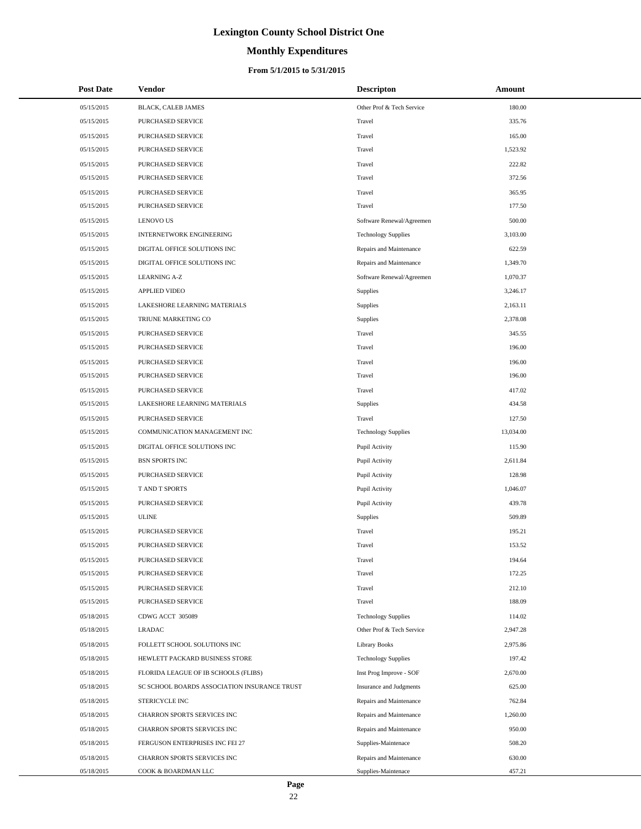# **Monthly Expenditures**

#### **From 5/1/2015 to 5/31/2015**

| <b>Post Date</b> | Vendor                                       | <b>Descripton</b>          | Amount    |
|------------------|----------------------------------------------|----------------------------|-----------|
| 05/15/2015       | BLACK, CALEB JAMES                           | Other Prof & Tech Service  | 180.00    |
| 05/15/2015       | PURCHASED SERVICE                            | Travel                     | 335.76    |
| 05/15/2015       | PURCHASED SERVICE                            | Travel                     | 165.00    |
| 05/15/2015       | PURCHASED SERVICE                            | Travel                     | 1,523.92  |
| 05/15/2015       | PURCHASED SERVICE                            | Travel                     | 222.82    |
| 05/15/2015       | PURCHASED SERVICE                            | Travel                     | 372.56    |
| 05/15/2015       | PURCHASED SERVICE                            | Travel                     | 365.95    |
| 05/15/2015       | PURCHASED SERVICE                            | Travel                     | 177.50    |
| 05/15/2015       | <b>LENOVO US</b>                             | Software Renewal/Agreemen  | 500.00    |
| 05/15/2015       | <b>INTERNETWORK ENGINEERING</b>              | <b>Technology Supplies</b> | 3,103.00  |
| 05/15/2015       | DIGITAL OFFICE SOLUTIONS INC                 | Repairs and Maintenance    | 622.59    |
| 05/15/2015       | DIGITAL OFFICE SOLUTIONS INC                 | Repairs and Maintenance    | 1,349.70  |
| 05/15/2015       | <b>LEARNING A-Z</b>                          | Software Renewal/Agreemen  | 1,070.37  |
| 05/15/2015       | <b>APPLIED VIDEO</b>                         | Supplies                   | 3,246.17  |
| 05/15/2015       | LAKESHORE LEARNING MATERIALS                 | Supplies                   | 2,163.11  |
| 05/15/2015       | TRIUNE MARKETING CO                          | Supplies                   | 2,378.08  |
| 05/15/2015       | PURCHASED SERVICE                            | Travel                     | 345.55    |
| 05/15/2015       | PURCHASED SERVICE                            | Travel                     | 196.00    |
| 05/15/2015       | PURCHASED SERVICE                            | Travel                     | 196.00    |
| 05/15/2015       | PURCHASED SERVICE                            | Travel                     | 196.00    |
| 05/15/2015       | PURCHASED SERVICE                            | Travel                     | 417.02    |
| 05/15/2015       | LAKESHORE LEARNING MATERIALS                 | Supplies                   | 434.58    |
| 05/15/2015       | PURCHASED SERVICE                            | Travel                     | 127.50    |
| 05/15/2015       | COMMUNICATION MANAGEMENT INC                 | <b>Technology Supplies</b> | 13,034.00 |
| 05/15/2015       | DIGITAL OFFICE SOLUTIONS INC                 | Pupil Activity             | 115.90    |
| 05/15/2015       | <b>BSN SPORTS INC</b>                        | Pupil Activity             | 2,611.84  |
| 05/15/2015       | PURCHASED SERVICE                            | Pupil Activity             | 128.98    |
| 05/15/2015       | <b>TAND T SPORTS</b>                         | Pupil Activity             | 1,046.07  |
| 05/15/2015       | PURCHASED SERVICE                            | Pupil Activity             | 439.78    |
| 05/15/2015       | <b>ULINE</b>                                 | Supplies                   | 509.89    |
| 05/15/2015       | PURCHASED SERVICE                            | Travel                     | 195.21    |
| 05/15/2015       | <b>PURCHASED SERVICE</b>                     | Travel                     | 153.52    |
| 05/15/2015       | PURCHASED SERVICE                            | Travel                     | 194.64    |
| 05/15/2015       | PURCHASED SERVICE                            | Travel                     | 172.25    |
| 05/15/2015       | PURCHASED SERVICE                            | Travel                     | 212.10    |
| 05/15/2015       | PURCHASED SERVICE                            | Travel                     | 188.09    |
| 05/18/2015       | CDWG ACCT 305089                             | <b>Technology Supplies</b> | 114.02    |
| 05/18/2015       | <b>LRADAC</b>                                | Other Prof & Tech Service  | 2,947.28  |
| 05/18/2015       | FOLLETT SCHOOL SOLUTIONS INC                 | Library Books              | 2,975.86  |
| 05/18/2015       | HEWLETT PACKARD BUSINESS STORE               | <b>Technology Supplies</b> | 197.42    |
| 05/18/2015       | FLORIDA LEAGUE OF IB SCHOOLS (FLIBS)         | Inst Prog Improve - SOF    | 2,670.00  |
| 05/18/2015       | SC SCHOOL BOARDS ASSOCIATION INSURANCE TRUST | Insurance and Judgments    | 625.00    |
| 05/18/2015       | STERICYCLE INC                               | Repairs and Maintenance    | 762.84    |
| 05/18/2015       | CHARRON SPORTS SERVICES INC                  | Repairs and Maintenance    | 1,260.00  |
| 05/18/2015       | CHARRON SPORTS SERVICES INC                  | Repairs and Maintenance    | 950.00    |
| 05/18/2015       | FERGUSON ENTERPRISES INC FEI 27              | Supplies-Maintenace        | 508.20    |
| 05/18/2015       | CHARRON SPORTS SERVICES INC                  | Repairs and Maintenance    | 630.00    |
| 05/18/2015       | COOK & BOARDMAN LLC                          | Supplies-Maintenace        | 457.21    |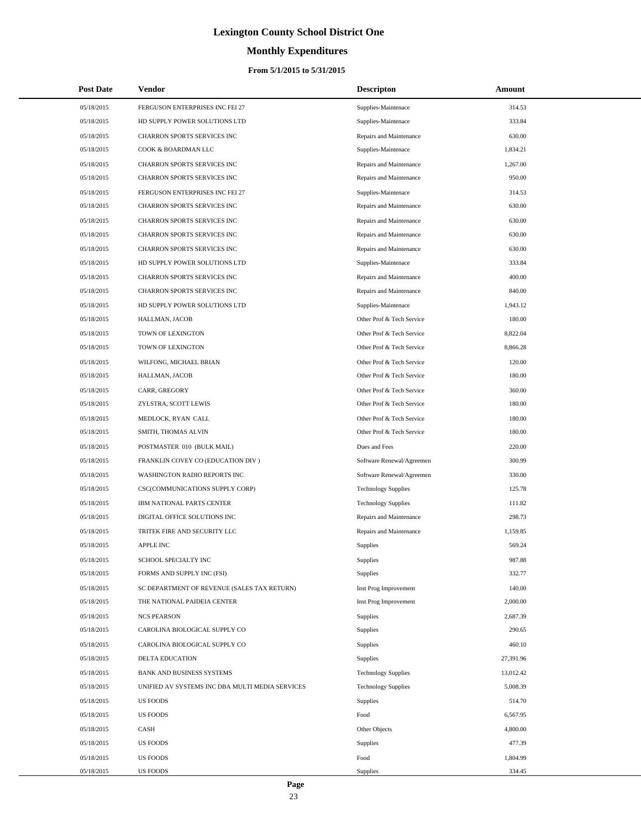# **Monthly Expenditures**

#### **From 5/1/2015 to 5/31/2015**

| <b>Post Date</b> | <b>Vendor</b>                                   | <b>Descripton</b>          | Amount    |
|------------------|-------------------------------------------------|----------------------------|-----------|
| 05/18/2015       | FERGUSON ENTERPRISES INC FEI 27                 | Supplies-Maintenace        | 314.53    |
| 05/18/2015       | HD SUPPLY POWER SOLUTIONS LTD                   | Supplies-Maintenace        | 333.84    |
| 05/18/2015       | CHARRON SPORTS SERVICES INC                     | Repairs and Maintenance    | 630.00    |
| 05/18/2015       | COOK & BOARDMAN LLC                             | Supplies-Maintenace        | 1,834.21  |
| 05/18/2015       | CHARRON SPORTS SERVICES INC                     | Repairs and Maintenance    | 1,267.00  |
| 05/18/2015       | CHARRON SPORTS SERVICES INC                     | Repairs and Maintenance    | 950.00    |
| 05/18/2015       | FERGUSON ENTERPRISES INC FEI 27                 | Supplies-Maintenace        | 314.53    |
| 05/18/2015       | CHARRON SPORTS SERVICES INC                     | Repairs and Maintenance    | 630.00    |
| 05/18/2015       | CHARRON SPORTS SERVICES INC                     | Repairs and Maintenance    | 630.00    |
| 05/18/2015       | CHARRON SPORTS SERVICES INC                     | Repairs and Maintenance    | 630.00    |
| 05/18/2015       | CHARRON SPORTS SERVICES INC                     | Repairs and Maintenance    | 630.00    |
| 05/18/2015       | HD SUPPLY POWER SOLUTIONS LTD                   | Supplies-Maintenace        | 333.84    |
| 05/18/2015       | CHARRON SPORTS SERVICES INC                     | Repairs and Maintenance    | 400.00    |
| 05/18/2015       | CHARRON SPORTS SERVICES INC                     | Repairs and Maintenance    | 840.00    |
| 05/18/2015       | HD SUPPLY POWER SOLUTIONS LTD                   | Supplies-Maintenace        | 1,943.12  |
| 05/18/2015       | HALLMAN, JACOB                                  | Other Prof & Tech Service  | 180.00    |
| 05/18/2015       | TOWN OF LEXINGTON                               | Other Prof & Tech Service  | 8,822.04  |
| 05/18/2015       | TOWN OF LEXINGTON                               | Other Prof & Tech Service  | 8,866.28  |
| 05/18/2015       | WILFONG, MICHAEL BRIAN                          | Other Prof & Tech Service  | 120.00    |
| 05/18/2015       | HALLMAN, JACOB                                  | Other Prof & Tech Service  | 180.00    |
| 05/18/2015       | CARR, GREGORY                                   | Other Prof & Tech Service  | 360.00    |
| 05/18/2015       | ZYLSTRA, SCOTT LEWIS                            | Other Prof & Tech Service  | 180.00    |
| 05/18/2015       | MEDLOCK, RYAN CALL                              | Other Prof & Tech Service  | 180.00    |
| 05/18/2015       | SMITH, THOMAS ALVIN                             | Other Prof & Tech Service  | 180.00    |
| 05/18/2015       | POSTMASTER 010 (BULK MAIL)                      | Dues and Fees              | 220.00    |
| 05/18/2015       | FRANKLIN COVEY CO (EDUCATION DIV)               | Software Renewal/Agreemen  | 300.99    |
| 05/18/2015       | WASHINGTON RADIO REPORTS INC                    | Software Renewal/Agreemen  | 330.00    |
| 05/18/2015       | CSC(COMMUNICATIONS SUPPLY CORP)                 | <b>Technology Supplies</b> | 125.78    |
| 05/18/2015       | IBM NATIONAL PARTS CENTER                       | <b>Technology Supplies</b> | 111.82    |
| 05/18/2015       | DIGITAL OFFICE SOLUTIONS INC                    | Repairs and Maintenance    | 298.73    |
| 05/18/2015       | TRITEK FIRE AND SECURITY LLC                    | Repairs and Maintenance    | 1,159.85  |
| 05/18/2015       | <b>APPLE INC</b>                                | Supplies                   | 569.24    |
| 05/18/2015       | SCHOOL SPECIALTY INC                            | Supplies                   | 987.88    |
| 05/18/2015       | FORMS AND SUPPLY INC (FSI)                      | <b>Supplies</b>            | 332.77    |
| 05/18/2015       | SC DEPARTMENT OF REVENUE (SALES TAX RETURN)     | Inst Prog Improvement      | 140.00    |
| 05/18/2015       | THE NATIONAL PAIDEIA CENTER                     | Inst Prog Improvement      | 2,000.00  |
| 05/18/2015       | <b>NCS PEARSON</b>                              | Supplies                   | 2,687.39  |
| 05/18/2015       | CAROLINA BIOLOGICAL SUPPLY CO                   | Supplies                   | 290.65    |
| 05/18/2015       | CAROLINA BIOLOGICAL SUPPLY CO                   | <b>Supplies</b>            | 460.10    |
| 05/18/2015       | DELTA EDUCATION                                 | Supplies                   | 27,391.96 |
| 05/18/2015       | <b>BANK AND BUSINESS SYSTEMS</b>                | <b>Technology Supplies</b> | 13,012.42 |
| 05/18/2015       | UNIFIED AV SYSTEMS INC DBA MULTI MEDIA SERVICES | <b>Technology Supplies</b> | 5,008.39  |
| 05/18/2015       | <b>US FOODS</b>                                 | <b>Supplies</b>            | 514.70    |
| 05/18/2015       | <b>US FOODS</b>                                 | Food                       | 6,567.95  |
| 05/18/2015       | CASH                                            | Other Objects              | 4,800.00  |
| 05/18/2015       | <b>US FOODS</b>                                 | <b>Supplies</b>            | 477.39    |
| 05/18/2015       | <b>US FOODS</b>                                 | Food                       | 1,804.99  |
| 05/18/2015       | <b>US FOODS</b>                                 | <b>Supplies</b>            | 334.45    |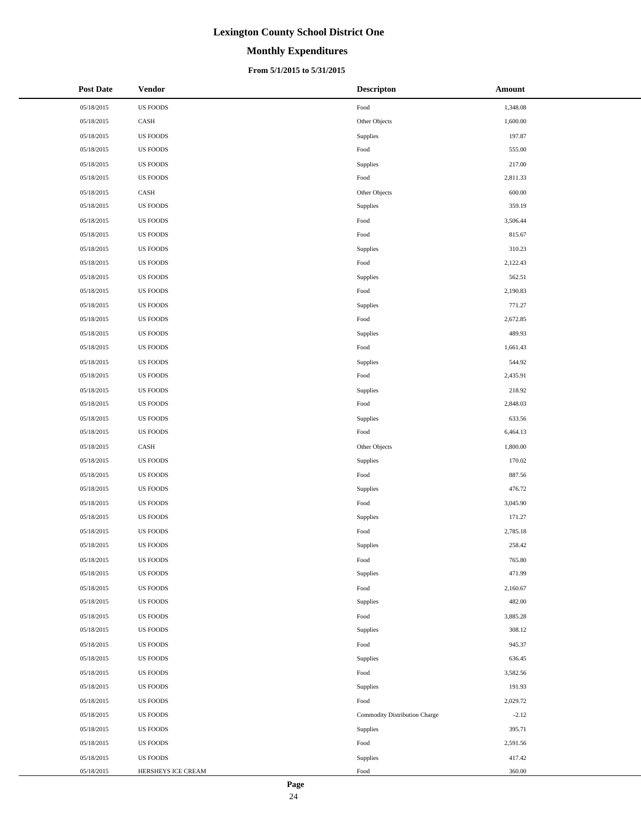# **Monthly Expenditures**

#### **From 5/1/2015 to 5/31/2015**

| <b>Post Date</b> | <b>Vendor</b>      | <b>Descripton</b>             | Amount   |
|------------------|--------------------|-------------------------------|----------|
| 05/18/2015       | <b>US FOODS</b>    | Food                          | 1,348.08 |
| 05/18/2015       | CASH               | Other Objects                 | 1,600.00 |
| 05/18/2015       | <b>US FOODS</b>    | Supplies                      | 197.87   |
| 05/18/2015       | <b>US FOODS</b>    | Food                          | 555.00   |
| 05/18/2015       | <b>US FOODS</b>    | Supplies                      | 217.00   |
| 05/18/2015       | <b>US FOODS</b>    | Food                          | 2,811.33 |
| 05/18/2015       | CASH               | Other Objects                 | 600.00   |
| 05/18/2015       | <b>US FOODS</b>    | Supplies                      | 359.19   |
| 05/18/2015       | <b>US FOODS</b>    | Food                          | 3,506.44 |
| 05/18/2015       | <b>US FOODS</b>    | Food                          | 815.67   |
| 05/18/2015       | <b>US FOODS</b>    | Supplies                      | 310.23   |
| 05/18/2015       | <b>US FOODS</b>    | Food                          | 2,122.43 |
| 05/18/2015       | <b>US FOODS</b>    | Supplies                      | 562.51   |
| 05/18/2015       | <b>US FOODS</b>    | Food                          | 2,190.83 |
| 05/18/2015       | <b>US FOODS</b>    | Supplies                      | 771.27   |
| 05/18/2015       | <b>US FOODS</b>    | Food                          | 2,672.85 |
| 05/18/2015       | <b>US FOODS</b>    | Supplies                      | 489.93   |
| 05/18/2015       | <b>US FOODS</b>    | Food                          | 1,661.43 |
| 05/18/2015       | <b>US FOODS</b>    | Supplies                      | 544.92   |
| 05/18/2015       | <b>US FOODS</b>    | Food                          | 2,435.91 |
| 05/18/2015       | <b>US FOODS</b>    | Supplies                      | 218.92   |
| 05/18/2015       | <b>US FOODS</b>    | Food                          | 2,848.03 |
| 05/18/2015       | <b>US FOODS</b>    | Supplies                      | 633.56   |
| 05/18/2015       | <b>US FOODS</b>    | Food                          | 6,464.13 |
| 05/18/2015       | CASH               | Other Objects                 | 1,800.00 |
| 05/18/2015       | <b>US FOODS</b>    | Supplies                      | 170.02   |
| 05/18/2015       | <b>US FOODS</b>    | Food                          | 887.56   |
| 05/18/2015       | <b>US FOODS</b>    | Supplies                      | 476.72   |
| 05/18/2015       | <b>US FOODS</b>    | Food                          | 3,045.90 |
| 05/18/2015       | <b>US FOODS</b>    | Supplies                      | 171.27   |
| 05/18/2015       | <b>US FOODS</b>    | Food                          | 2,785.18 |
| 05/18/2015       | <b>US FOODS</b>    | Supplies                      | 258.42   |
| 05/18/2015       | <b>US FOODS</b>    | Food                          | 765.80   |
| 05/18/2015       | <b>US FOODS</b>    | Supplies                      | 471.99   |
| 05/18/2015       | <b>US FOODS</b>    | Food                          | 2,160.67 |
| 05/18/2015       | <b>US FOODS</b>    | Supplies                      | 482.00   |
| 05/18/2015       | <b>US FOODS</b>    | Food                          | 3,885.28 |
| 05/18/2015       | <b>US FOODS</b>    | Supplies                      | 308.12   |
| 05/18/2015       | <b>US FOODS</b>    | Food                          | 945.37   |
| 05/18/2015       | <b>US FOODS</b>    | Supplies                      | 636.45   |
| 05/18/2015       | <b>US FOODS</b>    | Food                          | 3,582.56 |
| 05/18/2015       | <b>US FOODS</b>    | Supplies                      | 191.93   |
| 05/18/2015       | <b>US FOODS</b>    | Food                          | 2,029.72 |
| 05/18/2015       | <b>US FOODS</b>    | Commodity Distribution Charge | $-2.12$  |
| 05/18/2015       | <b>US FOODS</b>    | Supplies                      | 395.71   |
| 05/18/2015       | <b>US FOODS</b>    | Food                          | 2,591.56 |
| 05/18/2015       | <b>US FOODS</b>    | Supplies                      | 417.42   |
| 05/18/2015       | HERSHEYS ICE CREAM | Food                          | 360.00   |

 $\overline{a}$  $\overline{\phantom{0}}$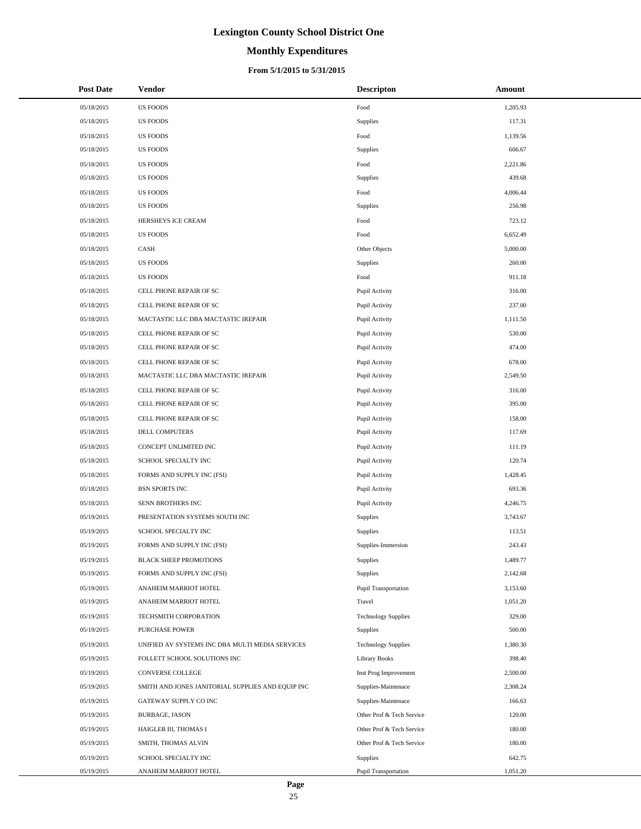# **Monthly Expenditures**

#### **From 5/1/2015 to 5/31/2015**

| <b>Post Date</b> | Vendor                                            | <b>Descripton</b>           | Amount   |
|------------------|---------------------------------------------------|-----------------------------|----------|
| 05/18/2015       | <b>US FOODS</b>                                   | Food                        | 1,205.93 |
| 05/18/2015       | <b>US FOODS</b>                                   | Supplies                    | 117.31   |
| 05/18/2015       | <b>US FOODS</b>                                   | Food                        | 1,139.56 |
| 05/18/2015       | <b>US FOODS</b>                                   | Supplies                    | 606.67   |
| 05/18/2015       | <b>US FOODS</b>                                   | Food                        | 2,221.86 |
| 05/18/2015       | <b>US FOODS</b>                                   | Supplies                    | 439.68   |
| 05/18/2015       | <b>US FOODS</b>                                   | Food                        | 4,006.44 |
| 05/18/2015       | <b>US FOODS</b>                                   | Supplies                    | 256.98   |
| 05/18/2015       | HERSHEYS ICE CREAM                                | Food                        | 723.12   |
| 05/18/2015       | <b>US FOODS</b>                                   | Food                        | 6,652.49 |
| 05/18/2015       | CASH                                              | Other Objects               | 5,000.00 |
| 05/18/2015       | <b>US FOODS</b>                                   | Supplies                    | 260.00   |
| 05/18/2015       | <b>US FOODS</b>                                   | Food                        | 911.18   |
| 05/18/2015       | CELL PHONE REPAIR OF SC                           | Pupil Activity              | 316.00   |
| 05/18/2015       | CELL PHONE REPAIR OF SC                           | Pupil Activity              | 237.00   |
| 05/18/2015       | MACTASTIC LLC DBA MACTASTIC IREPAIR               | Pupil Activity              | 1,111.50 |
| 05/18/2015       | CELL PHONE REPAIR OF SC                           | Pupil Activity              | 530.00   |
| 05/18/2015       | CELL PHONE REPAIR OF SC                           | Pupil Activity              | 474.00   |
| 05/18/2015       | CELL PHONE REPAIR OF SC                           | Pupil Activity              | 678.00   |
| 05/18/2015       | MACTASTIC LLC DBA MACTASTIC IREPAIR               | Pupil Activity              | 2,549.50 |
| 05/18/2015       | CELL PHONE REPAIR OF SC                           | Pupil Activity              | 316.00   |
| 05/18/2015       | CELL PHONE REPAIR OF SC                           | Pupil Activity              | 395.00   |
| 05/18/2015       | CELL PHONE REPAIR OF SC                           | Pupil Activity              | 158.00   |
| 05/18/2015       | DELL COMPUTERS                                    | Pupil Activity              | 117.69   |
| 05/18/2015       | CONCEPT UNLIMITED INC                             | Pupil Activity              | 111.19   |
| 05/18/2015       | SCHOOL SPECIALTY INC                              | Pupil Activity              | 120.74   |
| 05/18/2015       | FORMS AND SUPPLY INC (FSI)                        | Pupil Activity              | 1,428.45 |
| 05/18/2015       | <b>BSN SPORTS INC</b>                             | Pupil Activity              | 693.36   |
| 05/18/2015       | SENN BROTHERS INC                                 | Pupil Activity              | 4,246.75 |
| 05/19/2015       | PRESENTATION SYSTEMS SOUTH INC                    | Supplies                    | 3,743.67 |
| 05/19/2015       | SCHOOL SPECIALTY INC                              | Supplies                    | 113.51   |
| 05/19/2015       | FORMS AND SUPPLY INC (FSI)                        | Supplies-Immersion          | 243.43   |
| 05/19/2015       | <b>BLACK SHEEP PROMOTIONS</b>                     | Supplies                    | 1,489.77 |
| 05/19/2015       | FORMS AND SUPPLY INC (FSI)                        | Supplies                    | 2,142.68 |
| 05/19/2015       | ANAHEIM MARRIOT HOTEL                             | <b>Pupil Transportation</b> | 3,153.60 |
| 05/19/2015       | ANAHEIM MARRIOT HOTEL                             | Travel                      | 1,051.20 |
| 05/19/2015       | TECHSMITH CORPORATION                             | <b>Technology Supplies</b>  | 329.00   |
| 05/19/2015       | <b>PURCHASE POWER</b>                             | <b>Supplies</b>             | 500.00   |
| 05/19/2015       | UNIFIED AV SYSTEMS INC DBA MULTI MEDIA SERVICES   | <b>Technology Supplies</b>  | 1,380.30 |
| 05/19/2015       | FOLLETT SCHOOL SOLUTIONS INC                      | Library Books               | 398.40   |
| 05/19/2015       | <b>CONVERSE COLLEGE</b>                           | Inst Prog Improvement       | 2,500.00 |
| 05/19/2015       | SMITH AND JONES JANITORIAL SUPPLIES AND EQUIP INC | Supplies-Maintenace         | 2,308.24 |
| 05/19/2015       | GATEWAY SUPPLY CO INC                             | Supplies-Maintenace         | 166.63   |
| 05/19/2015       | BURBAGE, JASON                                    | Other Prof & Tech Service   | 120.00   |
| 05/19/2015       | HAIGLER III, THOMAS I                             | Other Prof & Tech Service   | 180.00   |
| 05/19/2015       | SMITH, THOMAS ALVIN                               | Other Prof & Tech Service   | 180.00   |
| 05/19/2015       | SCHOOL SPECIALTY INC                              | Supplies                    | 642.75   |
| 05/19/2015       | ANAHEIM MARRIOT HOTEL                             | Pupil Transportation        | 1,051.20 |

 $\overline{a}$  $\overline{a}$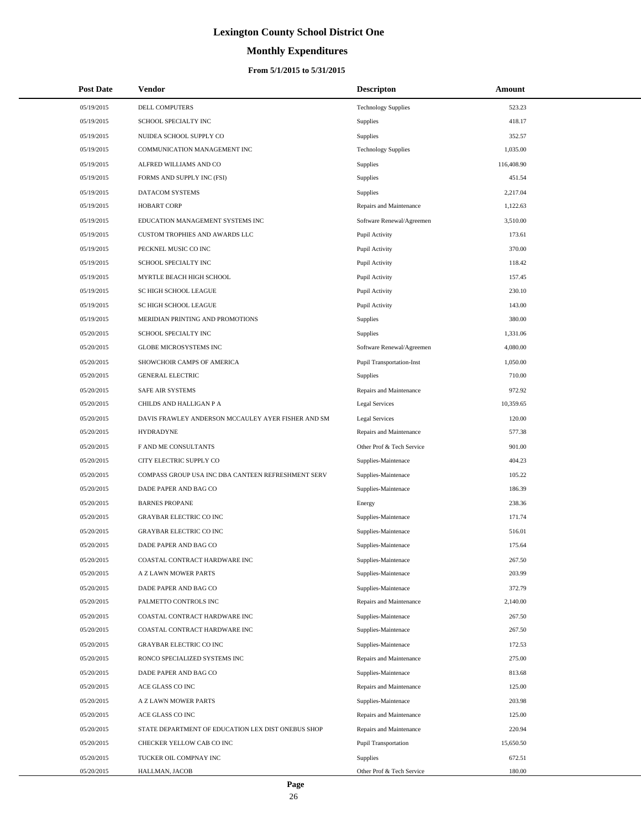# **Monthly Expenditures**

#### **From 5/1/2015 to 5/31/2015**

| <b>Post Date</b> | <b>Vendor</b>                                      | <b>Descripton</b>                | Amount     |  |
|------------------|----------------------------------------------------|----------------------------------|------------|--|
| 05/19/2015       | DELL COMPUTERS                                     | <b>Technology Supplies</b>       | 523.23     |  |
| 05/19/2015       | SCHOOL SPECIALTY INC                               | Supplies                         | 418.17     |  |
| 05/19/2015       | NUIDEA SCHOOL SUPPLY CO                            | Supplies                         | 352.57     |  |
| 05/19/2015       | COMMUNICATION MANAGEMENT INC                       | <b>Technology Supplies</b>       | 1,035.00   |  |
| 05/19/2015       | ALFRED WILLIAMS AND CO                             | Supplies                         | 116,408.90 |  |
| 05/19/2015       | FORMS AND SUPPLY INC (FSI)                         | Supplies                         | 451.54     |  |
| 05/19/2015       | DATACOM SYSTEMS                                    | Supplies                         | 2,217.04   |  |
| 05/19/2015       | <b>HOBART CORP</b>                                 | Repairs and Maintenance          | 1,122.63   |  |
| 05/19/2015       | EDUCATION MANAGEMENT SYSTEMS INC                   | Software Renewal/Agreemen        | 3,510.00   |  |
| 05/19/2015       | CUSTOM TROPHIES AND AWARDS LLC                     | Pupil Activity                   | 173.61     |  |
| 05/19/2015       | PECKNEL MUSIC CO INC                               | Pupil Activity                   | 370.00     |  |
| 05/19/2015       | SCHOOL SPECIALTY INC                               | Pupil Activity                   | 118.42     |  |
| 05/19/2015       | MYRTLE BEACH HIGH SCHOOL                           | Pupil Activity                   | 157.45     |  |
| 05/19/2015       | SC HIGH SCHOOL LEAGUE                              | Pupil Activity                   | 230.10     |  |
| 05/19/2015       | SC HIGH SCHOOL LEAGUE                              | Pupil Activity                   | 143.00     |  |
| 05/19/2015       | MERIDIAN PRINTING AND PROMOTIONS                   | Supplies                         | 380.00     |  |
| 05/20/2015       | SCHOOL SPECIALTY INC                               | Supplies                         | 1,331.06   |  |
| 05/20/2015       | GLOBE MICROSYSTEMS INC                             | Software Renewal/Agreemen        | 4,080.00   |  |
| 05/20/2015       | SHOWCHOIR CAMPS OF AMERICA                         | <b>Pupil Transportation-Inst</b> | 1,050.00   |  |
| 05/20/2015       | <b>GENERAL ELECTRIC</b>                            | Supplies                         | 710.00     |  |
| 05/20/2015       | SAFE AIR SYSTEMS                                   | Repairs and Maintenance          | 972.92     |  |
| 05/20/2015       | CHILDS AND HALLIGAN P A                            | <b>Legal Services</b>            | 10,359.65  |  |
| 05/20/2015       | DAVIS FRAWLEY ANDERSON MCCAULEY AYER FISHER AND SM | <b>Legal Services</b>            | 120.00     |  |
| 05/20/2015       | <b>HYDRADYNE</b>                                   | Repairs and Maintenance          | 577.38     |  |
| 05/20/2015       | F AND ME CONSULTANTS                               | Other Prof & Tech Service        | 901.00     |  |
| 05/20/2015       | CITY ELECTRIC SUPPLY CO                            | Supplies-Maintenace              | 404.23     |  |
| 05/20/2015       | COMPASS GROUP USA INC DBA CANTEEN REFRESHMENT SERV | Supplies-Maintenace              | 105.22     |  |
| 05/20/2015       | DADE PAPER AND BAG CO                              | Supplies-Maintenace              | 186.39     |  |
| 05/20/2015       | <b>BARNES PROPANE</b>                              | Energy                           | 238.36     |  |
| 05/20/2015       | <b>GRAYBAR ELECTRIC CO INC</b>                     | Supplies-Maintenace              | 171.74     |  |
| 05/20/2015       | <b>GRAYBAR ELECTRIC CO INC</b>                     | Supplies-Maintenace              | 516.01     |  |
| 05/20/2015       | DADE PAPER AND BAG CO                              | Supplies-Maintenace              | 175.64     |  |
| 05/20/2015       | COASTAL CONTRACT HARDWARE INC                      | Supplies-Maintenace              | 267.50     |  |
| 05/20/2015       | A Z LAWN MOWER PARTS                               | Supplies-Maintenace              | 203.99     |  |
| 05/20/2015       | DADE PAPER AND BAG CO                              | Supplies-Maintenace              | 372.79     |  |
| 05/20/2015       | PALMETTO CONTROLS INC                              | Repairs and Maintenance          | 2,140.00   |  |
| 05/20/2015       | COASTAL CONTRACT HARDWARE INC                      | Supplies-Maintenace              | 267.50     |  |
| 05/20/2015       | COASTAL CONTRACT HARDWARE INC                      | Supplies-Maintenace              | 267.50     |  |
| 05/20/2015       | <b>GRAYBAR ELECTRIC CO INC</b>                     | Supplies-Maintenace              | 172.53     |  |
| 05/20/2015       | RONCO SPECIALIZED SYSTEMS INC                      | Repairs and Maintenance          | 275.00     |  |
| 05/20/2015       | DADE PAPER AND BAG CO                              | Supplies-Maintenace              | 813.68     |  |
| 05/20/2015       | ACE GLASS CO INC                                   | Repairs and Maintenance          | 125.00     |  |
| 05/20/2015       | A Z LAWN MOWER PARTS                               | Supplies-Maintenace              | 203.98     |  |
| 05/20/2015       | ACE GLASS CO INC                                   | Repairs and Maintenance          | 125.00     |  |
| 05/20/2015       | STATE DEPARTMENT OF EDUCATION LEX DIST ONEBUS SHOP | Repairs and Maintenance          | 220.94     |  |
| 05/20/2015       | CHECKER YELLOW CAB CO INC                          | <b>Pupil Transportation</b>      | 15,650.50  |  |
| 05/20/2015       | TUCKER OIL COMPNAY INC                             | <b>Supplies</b>                  | 672.51     |  |
| 05/20/2015       | HALLMAN, JACOB                                     | Other Prof & Tech Service        | 180.00     |  |

L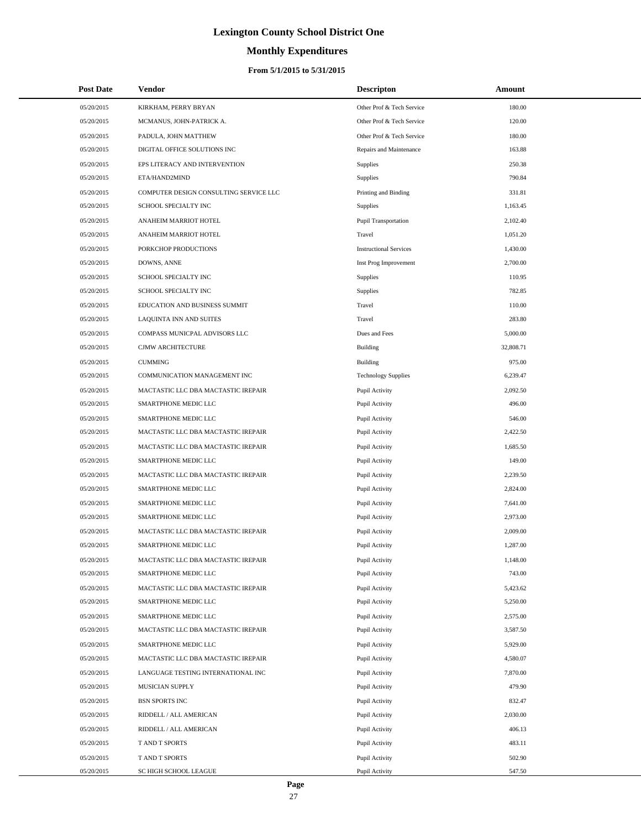# **Monthly Expenditures**

#### **From 5/1/2015 to 5/31/2015**

| <b>Post Date</b> | Vendor                                 | <b>Descripton</b>             | Amount    |
|------------------|----------------------------------------|-------------------------------|-----------|
| 05/20/2015       | KIRKHAM, PERRY BRYAN                   | Other Prof & Tech Service     | 180.00    |
| 05/20/2015       | MCMANUS, JOHN-PATRICK A.               | Other Prof & Tech Service     | 120.00    |
| 05/20/2015       | PADULA, JOHN MATTHEW                   | Other Prof & Tech Service     | 180.00    |
| 05/20/2015       | DIGITAL OFFICE SOLUTIONS INC           | Repairs and Maintenance       | 163.88    |
| 05/20/2015       | EPS LITERACY AND INTERVENTION          | Supplies                      | 250.38    |
| 05/20/2015       | ETA/HAND2MIND                          | Supplies                      | 790.84    |
| 05/20/2015       | COMPUTER DESIGN CONSULTING SERVICE LLC | Printing and Binding          | 331.81    |
| 05/20/2015       | SCHOOL SPECIALTY INC                   | Supplies                      | 1,163.45  |
| 05/20/2015       | ANAHEIM MARRIOT HOTEL                  | Pupil Transportation          | 2,102.40  |
| 05/20/2015       | ANAHEIM MARRIOT HOTEL                  | Travel                        | 1,051.20  |
| 05/20/2015       | PORKCHOP PRODUCTIONS                   | <b>Instructional Services</b> | 1,430.00  |
| 05/20/2015       | DOWNS, ANNE                            | Inst Prog Improvement         | 2,700.00  |
| 05/20/2015       | SCHOOL SPECIALTY INC                   | Supplies                      | 110.95    |
| 05/20/2015       | SCHOOL SPECIALTY INC                   | Supplies                      | 782.85    |
| 05/20/2015       | EDUCATION AND BUSINESS SUMMIT          | Travel                        | 110.00    |
| 05/20/2015       | LAQUINTA INN AND SUITES                | Travel                        | 283.80    |
| 05/20/2015       | COMPASS MUNICPAL ADVISORS LLC          | Dues and Fees                 | 5,000.00  |
| 05/20/2015       | CJMW ARCHITECTURE                      | Building                      | 32,808.71 |
| 05/20/2015       | <b>CUMMING</b>                         | <b>Building</b>               | 975.00    |
| 05/20/2015       | COMMUNICATION MANAGEMENT INC           | <b>Technology Supplies</b>    | 6,239.47  |
| 05/20/2015       | MACTASTIC LLC DBA MACTASTIC IREPAIR    | Pupil Activity                | 2,092.50  |
| 05/20/2015       | SMARTPHONE MEDIC LLC                   | Pupil Activity                | 496.00    |
| 05/20/2015       | SMARTPHONE MEDIC LLC                   | Pupil Activity                | 546.00    |
| 05/20/2015       | MACTASTIC LLC DBA MACTASTIC IREPAIR    | Pupil Activity                | 2,422.50  |
| 05/20/2015       | MACTASTIC LLC DBA MACTASTIC IREPAIR    | Pupil Activity                | 1,685.50  |
| 05/20/2015       | SMARTPHONE MEDIC LLC                   | Pupil Activity                | 149.00    |
| 05/20/2015       | MACTASTIC LLC DBA MACTASTIC IREPAIR    | Pupil Activity                | 2,239.50  |
| 05/20/2015       | SMARTPHONE MEDIC LLC                   | Pupil Activity                | 2,824.00  |
| 05/20/2015       | SMARTPHONE MEDIC LLC                   | Pupil Activity                | 7.641.00  |
| 05/20/2015       | SMARTPHONE MEDIC LLC                   | Pupil Activity                | 2,973.00  |
| 05/20/2015       | MACTASTIC LLC DBA MACTASTIC IREPAIR    | Pupil Activity                | 2,009.00  |
| 05/20/2015       | SMARTPHONE MEDIC LLC                   | Pupil Activity                | 1,287.00  |
| 05/20/2015       | MACTASTIC LLC DBA MACTASTIC IREPAIR    | Pupil Activity                | 1,148.00  |
| 05/20/2015       | SMARTPHONE MEDIC LLC                   | Pupil Activity                | 743.00    |
| 05/20/2015       | MACTASTIC LLC DBA MACTASTIC IREPAIR    | Pupil Activity                | 5,423.62  |
| 05/20/2015       | SMARTPHONE MEDIC LLC                   | Pupil Activity                | 5,250.00  |
| 05/20/2015       | SMARTPHONE MEDIC LLC                   | Pupil Activity                | 2,575.00  |
| 05/20/2015       | MACTASTIC LLC DBA MACTASTIC IREPAIR    | Pupil Activity                | 3,587.50  |
| 05/20/2015       | SMARTPHONE MEDIC LLC                   | Pupil Activity                | 5,929.00  |
| 05/20/2015       | MACTASTIC LLC DBA MACTASTIC IREPAIR    | Pupil Activity                | 4,580.07  |
| 05/20/2015       | LANGUAGE TESTING INTERNATIONAL INC     | Pupil Activity                | 7,870.00  |
| 05/20/2015       | MUSICIAN SUPPLY                        | Pupil Activity                | 479.90    |
| 05/20/2015       | <b>BSN SPORTS INC</b>                  | Pupil Activity                | 832.47    |
| 05/20/2015       | RIDDELL / ALL AMERICAN                 | Pupil Activity                | 2,030.00  |
| 05/20/2015       | RIDDELL / ALL AMERICAN                 | Pupil Activity                | 406.13    |
| 05/20/2015       | T AND T SPORTS                         | Pupil Activity                | 483.11    |
| 05/20/2015       | T AND T SPORTS                         | Pupil Activity                | 502.90    |
| 05/20/2015       | SC HIGH SCHOOL LEAGUE                  | Pupil Activity                | 547.50    |

 $\overline{a}$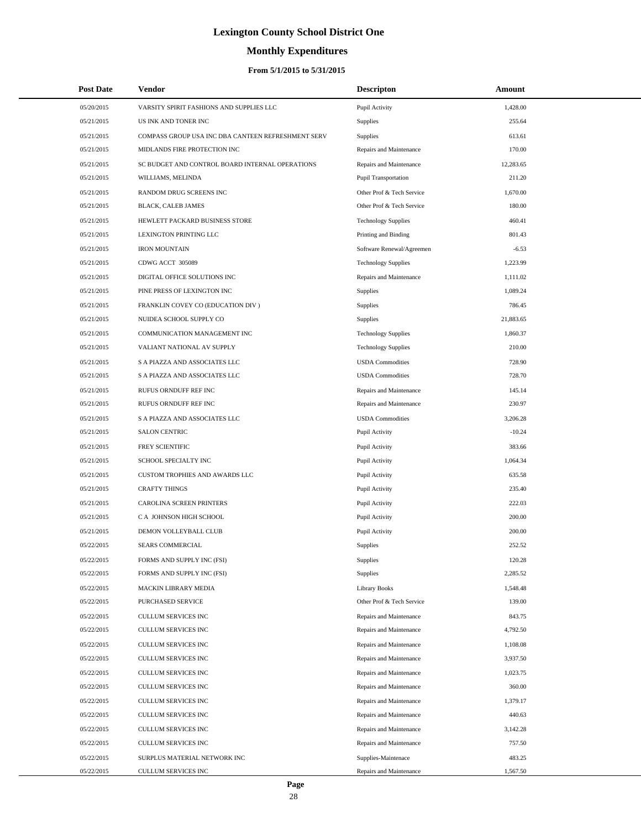# **Monthly Expenditures**

| <b>Post Date</b> | Vendor                                             | <b>Descripton</b>          | Amount    |  |
|------------------|----------------------------------------------------|----------------------------|-----------|--|
| 05/20/2015       | VARSITY SPIRIT FASHIONS AND SUPPLIES LLC           | Pupil Activity             | 1,428.00  |  |
| 05/21/2015       | US INK AND TONER INC                               | <b>Supplies</b>            | 255.64    |  |
| 05/21/2015       | COMPASS GROUP USA INC DBA CANTEEN REFRESHMENT SERV | <b>Supplies</b>            | 613.61    |  |
| 05/21/2015       | MIDLANDS FIRE PROTECTION INC                       | Repairs and Maintenance    | 170.00    |  |
| 05/21/2015       | SC BUDGET AND CONTROL BOARD INTERNAL OPERATIONS    | Repairs and Maintenance    | 12,283.65 |  |
| 05/21/2015       | WILLIAMS, MELINDA                                  | Pupil Transportation       | 211.20    |  |
| 05/21/2015       | RANDOM DRUG SCREENS INC                            | Other Prof & Tech Service  | 1,670.00  |  |
| 05/21/2015       | BLACK, CALEB JAMES                                 | Other Prof & Tech Service  | 180.00    |  |
| 05/21/2015       | HEWLETT PACKARD BUSINESS STORE                     | <b>Technology Supplies</b> | 460.41    |  |
| 05/21/2015       | LEXINGTON PRINTING LLC                             | Printing and Binding       | 801.43    |  |
| 05/21/2015       | <b>IRON MOUNTAIN</b>                               | Software Renewal/Agreemen  | $-6.53$   |  |
| 05/21/2015       | CDWG ACCT 305089                                   | <b>Technology Supplies</b> | 1,223.99  |  |
| 05/21/2015       | DIGITAL OFFICE SOLUTIONS INC                       | Repairs and Maintenance    | 1,111.02  |  |
| 05/21/2015       | PINE PRESS OF LEXINGTON INC                        | <b>Supplies</b>            | 1,089.24  |  |
| 05/21/2015       | FRANKLIN COVEY CO (EDUCATION DIV )                 | Supplies                   | 786.45    |  |
| 05/21/2015       | NUIDEA SCHOOL SUPPLY CO                            | <b>Supplies</b>            | 21,883.65 |  |
| 05/21/2015       | COMMUNICATION MANAGEMENT INC                       | <b>Technology Supplies</b> | 1,860.37  |  |
| 05/21/2015       | VALIANT NATIONAL AV SUPPLY                         | <b>Technology Supplies</b> | 210.00    |  |
| 05/21/2015       | S A PIAZZA AND ASSOCIATES LLC                      | <b>USDA Commodities</b>    | 728.90    |  |
| 05/21/2015       | S A PIAZZA AND ASSOCIATES LLC                      | <b>USDA</b> Commodities    | 728.70    |  |
| 05/21/2015       | RUFUS ORNDUFF REF INC                              | Repairs and Maintenance    | 145.14    |  |
| 05/21/2015       | RUFUS ORNDUFF REF INC                              | Repairs and Maintenance    | 230.97    |  |
| 05/21/2015       | S A PIAZZA AND ASSOCIATES LLC                      | <b>USDA</b> Commodities    | 3,206.28  |  |
| 05/21/2015       | <b>SALON CENTRIC</b>                               | Pupil Activity             | $-10.24$  |  |
| 05/21/2015       | FREY SCIENTIFIC                                    | Pupil Activity             | 383.66    |  |
| 05/21/2015       | SCHOOL SPECIALTY INC                               | Pupil Activity             | 1,064.34  |  |
| 05/21/2015       | CUSTOM TROPHIES AND AWARDS LLC                     | Pupil Activity             | 635.58    |  |
| 05/21/2015       | <b>CRAFTY THINGS</b>                               | Pupil Activity             | 235.40    |  |
| 05/21/2015       | CAROLINA SCREEN PRINTERS                           | Pupil Activity             | 222.03    |  |
| 05/21/2015       | C A JOHNSON HIGH SCHOOL                            | Pupil Activity             | 200.00    |  |
| 05/21/2015       | DEMON VOLLEYBALL CLUB                              | Pupil Activity             | 200.00    |  |
| 05/22/2015       | SEARS COMMERCIAL                                   | <b>Supplies</b>            | 252.52    |  |
| 05/22/2015       | FORMS AND SUPPLY INC (FSI)                         | <b>Supplies</b>            | 120.28    |  |
| 05/22/2015       | FORMS AND SUPPLY INC (FSI)                         | <b>Supplies</b>            | 2,285.52  |  |
| 05/22/2015       | MACKIN LIBRARY MEDIA                               | <b>Library Books</b>       | 1,548.48  |  |
| 05/22/2015       | PURCHASED SERVICE                                  | Other Prof & Tech Service  | 139.00    |  |
| 05/22/2015       | CULLUM SERVICES INC                                | Repairs and Maintenance    | 843.75    |  |
| 05/22/2015       | CULLUM SERVICES INC                                | Repairs and Maintenance    | 4,792.50  |  |
| 05/22/2015       | <b>CULLUM SERVICES INC</b>                         | Repairs and Maintenance    | 1,108.08  |  |
| 05/22/2015       | CULLUM SERVICES INC                                | Repairs and Maintenance    | 3,937.50  |  |
| 05/22/2015       | CULLUM SERVICES INC                                | Repairs and Maintenance    | 1,023.75  |  |
| 05/22/2015       | CULLUM SERVICES INC                                | Repairs and Maintenance    | 360.00    |  |
| 05/22/2015       | CULLUM SERVICES INC                                | Repairs and Maintenance    | 1,379.17  |  |
| 05/22/2015       | CULLUM SERVICES INC                                | Repairs and Maintenance    | 440.63    |  |
| 05/22/2015       | CULLUM SERVICES INC                                | Repairs and Maintenance    | 3,142.28  |  |
| 05/22/2015       | CULLUM SERVICES INC                                | Repairs and Maintenance    | 757.50    |  |
| 05/22/2015       | SURPLUS MATERIAL NETWORK INC                       | Supplies-Maintenace        | 483.25    |  |
| 05/22/2015       | CULLUM SERVICES INC                                | Repairs and Maintenance    | 1,567.50  |  |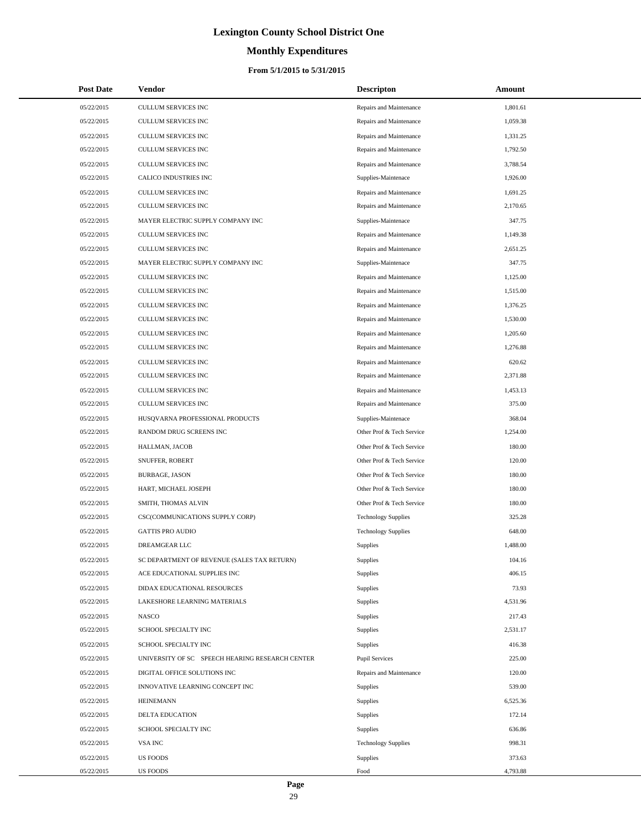# **Monthly Expenditures**

| <b>Post Date</b> | <b>Vendor</b>                                   | <b>Descripton</b>          | Amount   |
|------------------|-------------------------------------------------|----------------------------|----------|
| 05/22/2015       | CULLUM SERVICES INC                             | Repairs and Maintenance    | 1,801.61 |
| 05/22/2015       | <b>CULLUM SERVICES INC</b>                      | Repairs and Maintenance    | 1,059.38 |
| 05/22/2015       | <b>CULLUM SERVICES INC</b>                      | Repairs and Maintenance    | 1,331.25 |
| 05/22/2015       | CULLUM SERVICES INC                             | Repairs and Maintenance    | 1,792.50 |
| 05/22/2015       | <b>CULLUM SERVICES INC</b>                      | Repairs and Maintenance    | 3,788.54 |
| 05/22/2015       | CALICO INDUSTRIES INC                           | Supplies-Maintenace        | 1,926.00 |
| 05/22/2015       | <b>CULLUM SERVICES INC</b>                      | Repairs and Maintenance    | 1,691.25 |
| 05/22/2015       | CULLUM SERVICES INC                             | Repairs and Maintenance    | 2,170.65 |
| 05/22/2015       | MAYER ELECTRIC SUPPLY COMPANY INC               | Supplies-Maintenace        | 347.75   |
| 05/22/2015       | CULLUM SERVICES INC                             | Repairs and Maintenance    | 1,149.38 |
| 05/22/2015       | <b>CULLUM SERVICES INC</b>                      | Repairs and Maintenance    | 2,651.25 |
| 05/22/2015       | MAYER ELECTRIC SUPPLY COMPANY INC               | Supplies-Maintenace        | 347.75   |
| 05/22/2015       | <b>CULLUM SERVICES INC</b>                      | Repairs and Maintenance    | 1,125.00 |
| 05/22/2015       | CULLUM SERVICES INC                             | Repairs and Maintenance    | 1,515.00 |
| 05/22/2015       | <b>CULLUM SERVICES INC</b>                      | Repairs and Maintenance    | 1,376.25 |
| 05/22/2015       | CULLUM SERVICES INC                             | Repairs and Maintenance    | 1,530.00 |
| 05/22/2015       | <b>CULLUM SERVICES INC</b>                      | Repairs and Maintenance    | 1,205.60 |
| 05/22/2015       | CULLUM SERVICES INC                             | Repairs and Maintenance    | 1,276.88 |
| 05/22/2015       | <b>CULLUM SERVICES INC</b>                      | Repairs and Maintenance    | 620.62   |
| 05/22/2015       | CULLUM SERVICES INC                             | Repairs and Maintenance    | 2,371.88 |
| 05/22/2015       | <b>CULLUM SERVICES INC</b>                      | Repairs and Maintenance    | 1,453.13 |
| 05/22/2015       | CULLUM SERVICES INC                             | Repairs and Maintenance    | 375.00   |
| 05/22/2015       | HUSQVARNA PROFESSIONAL PRODUCTS                 | Supplies-Maintenace        | 368.04   |
| 05/22/2015       | RANDOM DRUG SCREENS INC                         | Other Prof & Tech Service  | 1,254.00 |
| 05/22/2015       | HALLMAN, JACOB                                  | Other Prof & Tech Service  | 180.00   |
| 05/22/2015       | SNUFFER, ROBERT                                 | Other Prof & Tech Service  | 120.00   |
| 05/22/2015       | <b>BURBAGE, JASON</b>                           | Other Prof & Tech Service  | 180.00   |
| 05/22/2015       | HART, MICHAEL JOSEPH                            | Other Prof & Tech Service  | 180.00   |
| 05/22/2015       | SMITH, THOMAS ALVIN                             | Other Prof & Tech Service  | 180.00   |
| 05/22/2015       | CSC(COMMUNICATIONS SUPPLY CORP)                 | <b>Technology Supplies</b> | 325.28   |
| 05/22/2015       | <b>GATTIS PRO AUDIO</b>                         | <b>Technology Supplies</b> | 648.00   |
| 05/22/2015       | DREAMGEAR LLC                                   | <b>Supplies</b>            | 1,488.00 |
| 05/22/2015       | SC DEPARTMENT OF REVENUE (SALES TAX RETURN)     | Supplies                   | 104.16   |
| 05/22/2015       | ACE EDUCATIONAL SUPPLIES INC                    | Supplies                   | 406.15   |
| 05/22/2015       | DIDAX EDUCATIONAL RESOURCES                     | Supplies                   | 73.93    |
| 05/22/2015       | LAKESHORE LEARNING MATERIALS                    | Supplies                   | 4,531.96 |
| 05/22/2015       | <b>NASCO</b>                                    | Supplies                   | 217.43   |
| 05/22/2015       | SCHOOL SPECIALTY INC                            | Supplies                   | 2,531.17 |
| 05/22/2015       | SCHOOL SPECIALTY INC                            | Supplies                   | 416.38   |
| 05/22/2015       | UNIVERSITY OF SC SPEECH HEARING RESEARCH CENTER | <b>Pupil Services</b>      | 225.00   |
| 05/22/2015       | DIGITAL OFFICE SOLUTIONS INC                    | Repairs and Maintenance    | 120.00   |
| 05/22/2015       | INNOVATIVE LEARNING CONCEPT INC                 | Supplies                   | 539.00   |
| 05/22/2015       | <b>HEINEMANN</b>                                | Supplies                   | 6,525.36 |
| 05/22/2015       | DELTA EDUCATION                                 | Supplies                   | 172.14   |
| 05/22/2015       | SCHOOL SPECIALTY INC                            | Supplies                   | 636.86   |
| 05/22/2015       | VSA INC                                         | <b>Technology Supplies</b> | 998.31   |
| 05/22/2015       | <b>US FOODS</b>                                 | Supplies                   | 373.63   |
| 05/22/2015       | <b>US FOODS</b>                                 | Food                       | 4,793.88 |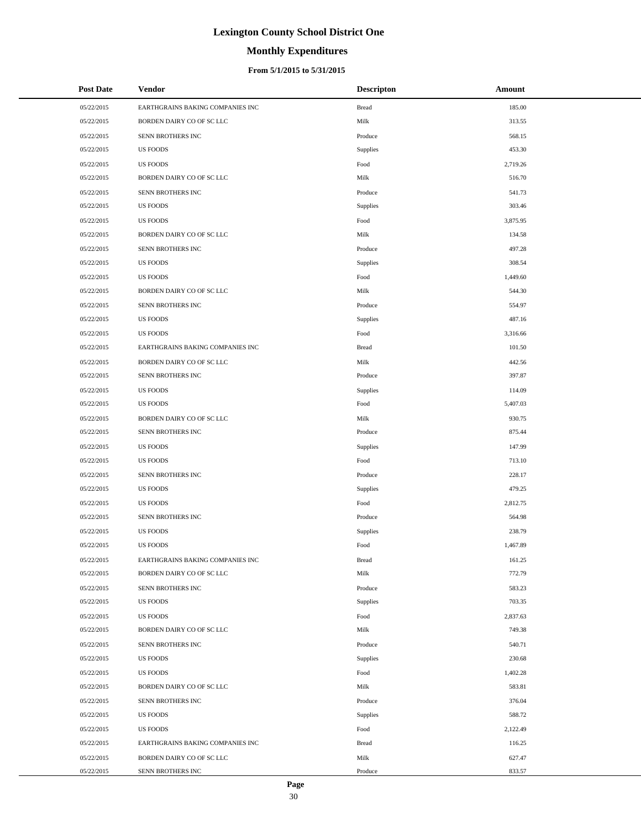# **Monthly Expenditures**

#### **From 5/1/2015 to 5/31/2015**

| <b>Post Date</b> | <b>Vendor</b>                    | <b>Descripton</b> | Amount   |  |
|------------------|----------------------------------|-------------------|----------|--|
| 05/22/2015       | EARTHGRAINS BAKING COMPANIES INC | <b>Bread</b>      | 185.00   |  |
| 05/22/2015       | BORDEN DAIRY CO OF SC LLC        | Milk              | 313.55   |  |
| 05/22/2015       | SENN BROTHERS INC                | Produce           | 568.15   |  |
| 05/22/2015       | <b>US FOODS</b>                  | Supplies          | 453.30   |  |
| 05/22/2015       | <b>US FOODS</b>                  | Food              | 2,719.26 |  |
| 05/22/2015       | BORDEN DAIRY CO OF SC LLC        | Milk              | 516.70   |  |
| 05/22/2015       | SENN BROTHERS INC                | Produce           | 541.73   |  |
| 05/22/2015       | <b>US FOODS</b>                  | Supplies          | 303.46   |  |
| 05/22/2015       | <b>US FOODS</b>                  | Food              | 3,875.95 |  |
| 05/22/2015       | BORDEN DAIRY CO OF SC LLC        | Milk              | 134.58   |  |
| 05/22/2015       | SENN BROTHERS INC                | Produce           | 497.28   |  |
| 05/22/2015       | <b>US FOODS</b>                  | Supplies          | 308.54   |  |
| 05/22/2015       | <b>US FOODS</b>                  | Food              | 1,449.60 |  |
| 05/22/2015       | BORDEN DAIRY CO OF SC LLC        | Milk              | 544.30   |  |
| 05/22/2015       | SENN BROTHERS INC                | Produce           | 554.97   |  |
| 05/22/2015       | <b>US FOODS</b>                  | Supplies          | 487.16   |  |
| 05/22/2015       | <b>US FOODS</b>                  | Food              | 3,316.66 |  |
| 05/22/2015       | EARTHGRAINS BAKING COMPANIES INC | <b>Bread</b>      | 101.50   |  |
| 05/22/2015       | BORDEN DAIRY CO OF SC LLC        | Milk              | 442.56   |  |
| 05/22/2015       | SENN BROTHERS INC                | Produce           | 397.87   |  |
| 05/22/2015       | <b>US FOODS</b>                  | Supplies          | 114.09   |  |
| 05/22/2015       | <b>US FOODS</b>                  | Food              | 5,407.03 |  |
| 05/22/2015       | BORDEN DAIRY CO OF SC LLC        | Milk              | 930.75   |  |
| 05/22/2015       | SENN BROTHERS INC                | Produce           | 875.44   |  |
| 05/22/2015       | <b>US FOODS</b>                  | Supplies          | 147.99   |  |
| 05/22/2015       | <b>US FOODS</b>                  | Food              | 713.10   |  |
| 05/22/2015       | SENN BROTHERS INC                | Produce           | 228.17   |  |
| 05/22/2015       | <b>US FOODS</b>                  | Supplies          | 479.25   |  |
| 05/22/2015       | <b>US FOODS</b>                  | Food              | 2,812.75 |  |
| 05/22/2015       | SENN BROTHERS INC                | Produce           | 564.98   |  |
| 05/22/2015       | <b>US FOODS</b>                  | Supplies          | 238.79   |  |
| 05/22/2015       | <b>US FOODS</b>                  | Food              | 1,467.89 |  |
| 05/22/2015       | EARTHGRAINS BAKING COMPANIES INC | <b>Bread</b>      | 161.25   |  |
| 05/22/2015       | BORDEN DAIRY CO OF SC LLC        | Milk              | 772.79   |  |
| 05/22/2015       | SENN BROTHERS INC                | Produce           | 583.23   |  |
| 05/22/2015       | <b>US FOODS</b>                  | Supplies          | 703.35   |  |
| 05/22/2015       | <b>US FOODS</b>                  | Food              | 2,837.63 |  |
| 05/22/2015       | BORDEN DAIRY CO OF SC LLC        | Milk              | 749.38   |  |
| 05/22/2015       | SENN BROTHERS INC                | Produce           | 540.71   |  |
| 05/22/2015       | <b>US FOODS</b>                  | Supplies          | 230.68   |  |
| 05/22/2015       | <b>US FOODS</b>                  | Food              | 1,402.28 |  |
| 05/22/2015       | BORDEN DAIRY CO OF SC LLC        | Milk              | 583.81   |  |
| 05/22/2015       | SENN BROTHERS INC                | Produce           | 376.04   |  |
| 05/22/2015       | US FOODS                         | Supplies          | 588.72   |  |
| 05/22/2015       | <b>US FOODS</b>                  | Food              | 2,122.49 |  |
| 05/22/2015       | EARTHGRAINS BAKING COMPANIES INC | <b>Bread</b>      | 116.25   |  |
| 05/22/2015       | BORDEN DAIRY CO OF SC LLC        | Milk              | 627.47   |  |
| 05/22/2015       | SENN BROTHERS INC                | Produce           | 833.57   |  |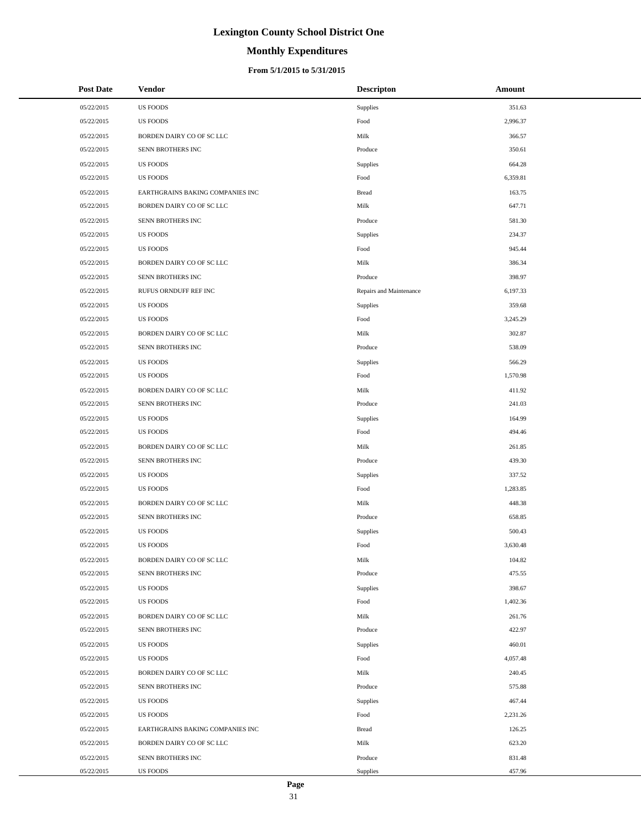# **Monthly Expenditures**

#### **From 5/1/2015 to 5/31/2015**

| <b>Post Date</b> | <b>Vendor</b>                    | <b>Descripton</b>       | Amount   |
|------------------|----------------------------------|-------------------------|----------|
| 05/22/2015       | <b>US FOODS</b>                  | Supplies                | 351.63   |
| 05/22/2015       | US FOODS                         | Food                    | 2,996.37 |
| 05/22/2015       | BORDEN DAIRY CO OF SC LLC        | Milk                    | 366.57   |
| 05/22/2015       | SENN BROTHERS INC                | Produce                 | 350.61   |
| 05/22/2015       | <b>US FOODS</b>                  | Supplies                | 664.28   |
| 05/22/2015       | <b>US FOODS</b>                  | Food                    | 6,359.81 |
| 05/22/2015       | EARTHGRAINS BAKING COMPANIES INC | <b>Bread</b>            | 163.75   |
| 05/22/2015       | BORDEN DAIRY CO OF SC LLC        | Milk                    | 647.71   |
| 05/22/2015       | SENN BROTHERS INC                | Produce                 | 581.30   |
| 05/22/2015       | <b>US FOODS</b>                  | Supplies                | 234.37   |
| 05/22/2015       | <b>US FOODS</b>                  | Food                    | 945.44   |
| 05/22/2015       | BORDEN DAIRY CO OF SC LLC        | Milk                    | 386.34   |
| 05/22/2015       | SENN BROTHERS INC                | Produce                 | 398.97   |
| 05/22/2015       | RUFUS ORNDUFF REF INC            | Repairs and Maintenance | 6,197.33 |
| 05/22/2015       | <b>US FOODS</b>                  | Supplies                | 359.68   |
| 05/22/2015       | <b>US FOODS</b>                  | Food                    | 3,245.29 |
| 05/22/2015       | BORDEN DAIRY CO OF SC LLC        | Milk                    | 302.87   |
| 05/22/2015       | SENN BROTHERS INC                | Produce                 | 538.09   |
| 05/22/2015       | <b>US FOODS</b>                  | Supplies                | 566.29   |
| 05/22/2015       | <b>US FOODS</b>                  | Food                    | 1,570.98 |
| 05/22/2015       | BORDEN DAIRY CO OF SC LLC        | Milk                    | 411.92   |
| 05/22/2015       | SENN BROTHERS INC                | Produce                 | 241.03   |
| 05/22/2015       | <b>US FOODS</b>                  | Supplies                | 164.99   |
| 05/22/2015       | <b>US FOODS</b>                  | Food                    | 494.46   |
| 05/22/2015       | BORDEN DAIRY CO OF SC LLC        | Milk                    | 261.85   |
| 05/22/2015       | SENN BROTHERS INC                | Produce                 | 439.30   |
| 05/22/2015       | <b>US FOODS</b>                  | Supplies                | 337.52   |
| 05/22/2015       | <b>US FOODS</b>                  | Food                    | 1,283.85 |
| 05/22/2015       | BORDEN DAIRY CO OF SC LLC        | Milk                    | 448.38   |
| 05/22/2015       | SENN BROTHERS INC                | Produce                 | 658.85   |
| 05/22/2015       | <b>US FOODS</b>                  | Supplies                | 500.43   |
| 05/22/2015       | <b>US FOODS</b>                  | Food                    | 3,630.48 |
| 05/22/2015       | BORDEN DAIRY CO OF SC LLC        | Milk                    | 104.82   |
| 05/22/2015       | SENN BROTHERS INC                | Produce                 | 475.55   |
| 05/22/2015       | <b>US FOODS</b>                  | Supplies                | 398.67   |
| 05/22/2015       | <b>US FOODS</b>                  | Food                    | 1,402.36 |
| 05/22/2015       | BORDEN DAIRY CO OF SC LLC        | Milk                    | 261.76   |
| 05/22/2015       | SENN BROTHERS INC                | Produce                 | 422.97   |
| 05/22/2015       | <b>US FOODS</b>                  | Supplies                | 460.01   |
| 05/22/2015       | <b>US FOODS</b>                  | Food                    | 4,057.48 |
| 05/22/2015       | BORDEN DAIRY CO OF SC LLC        | Milk                    | 240.45   |
| 05/22/2015       | SENN BROTHERS INC                | Produce                 | 575.88   |
| 05/22/2015       | <b>US FOODS</b>                  | Supplies                | 467.44   |
| 05/22/2015       | <b>US FOODS</b>                  | Food                    | 2,231.26 |
| 05/22/2015       | EARTHGRAINS BAKING COMPANIES INC | <b>Bread</b>            | 126.25   |
| 05/22/2015       | BORDEN DAIRY CO OF SC LLC        | Milk                    | 623.20   |
| 05/22/2015       | SENN BROTHERS INC                | Produce                 | 831.48   |
| 05/22/2015       | US FOODS                         | Supplies                | 457.96   |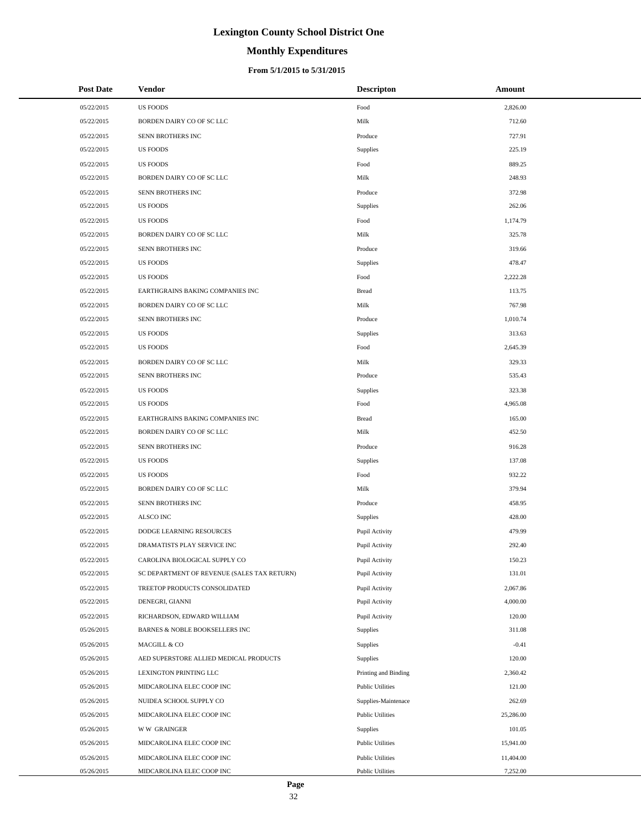# **Monthly Expenditures**

#### **From 5/1/2015 to 5/31/2015**

| <b>Post Date</b> | Vendor                                      | <b>Descripton</b>       | Amount    |
|------------------|---------------------------------------------|-------------------------|-----------|
| 05/22/2015       | <b>US FOODS</b>                             | Food                    | 2,826.00  |
| 05/22/2015       | BORDEN DAIRY CO OF SC LLC                   | Milk                    | 712.60    |
| 05/22/2015       | SENN BROTHERS INC                           | Produce                 | 727.91    |
| 05/22/2015       | <b>US FOODS</b>                             | Supplies                | 225.19    |
| 05/22/2015       | <b>US FOODS</b>                             | Food                    | 889.25    |
| 05/22/2015       | BORDEN DAIRY CO OF SC LLC                   | Milk                    | 248.93    |
| 05/22/2015       | SENN BROTHERS INC                           | Produce                 | 372.98    |
| 05/22/2015       | <b>US FOODS</b>                             | Supplies                | 262.06    |
| 05/22/2015       | <b>US FOODS</b>                             | Food                    | 1,174.79  |
| 05/22/2015       | BORDEN DAIRY CO OF SC LLC                   | Milk                    | 325.78    |
| 05/22/2015       | SENN BROTHERS INC                           | Produce                 | 319.66    |
| 05/22/2015       | <b>US FOODS</b>                             | Supplies                | 478.47    |
| 05/22/2015       | <b>US FOODS</b>                             | Food                    | 2,222.28  |
| 05/22/2015       | EARTHGRAINS BAKING COMPANIES INC            | <b>Bread</b>            | 113.75    |
| 05/22/2015       | BORDEN DAIRY CO OF SC LLC                   | Milk                    | 767.98    |
| 05/22/2015       | SENN BROTHERS INC                           | Produce                 | 1,010.74  |
| 05/22/2015       | <b>US FOODS</b>                             | <b>Supplies</b>         | 313.63    |
| 05/22/2015       | <b>US FOODS</b>                             | Food                    | 2,645.39  |
| 05/22/2015       | BORDEN DAIRY CO OF SC LLC                   | Milk                    | 329.33    |
| 05/22/2015       | SENN BROTHERS INC                           | Produce                 | 535.43    |
| 05/22/2015       | <b>US FOODS</b>                             | <b>Supplies</b>         | 323.38    |
| 05/22/2015       | <b>US FOODS</b>                             | Food                    | 4,965.08  |
| 05/22/2015       | EARTHGRAINS BAKING COMPANIES INC            | <b>Bread</b>            | 165.00    |
| 05/22/2015       | BORDEN DAIRY CO OF SC LLC                   | Milk                    | 452.50    |
| 05/22/2015       | SENN BROTHERS INC                           | Produce                 | 916.28    |
| 05/22/2015       | <b>US FOODS</b>                             | Supplies                | 137.08    |
| 05/22/2015       | <b>US FOODS</b>                             | Food                    | 932.22    |
| 05/22/2015       | BORDEN DAIRY CO OF SC LLC                   | Milk                    | 379.94    |
| 05/22/2015       | SENN BROTHERS INC                           | Produce                 | 458.95    |
| 05/22/2015       | <b>ALSCO INC</b>                            | <b>Supplies</b>         | 428.00    |
| 05/22/2015       | DODGE LEARNING RESOURCES                    | Pupil Activity          | 479.99    |
| 05/22/2015       | DRAMATISTS PLAY SERVICE INC                 | Pupil Activity          | 292.40    |
| 05/22/2015       | CAROLINA BIOLOGICAL SUPPLY CO               | Pupil Activity          | 150.23    |
| 05/22/2015       | SC DEPARTMENT OF REVENUE (SALES TAX RETURN) | Pupil Activity          | 131.01    |
| 05/22/2015       | TREETOP PRODUCTS CONSOLIDATED               | Pupil Activity          | 2,067.86  |
| 05/22/2015       | DENEGRI, GIANNI                             | Pupil Activity          | 4,000.00  |
| 05/22/2015       | RICHARDSON, EDWARD WILLIAM                  | Pupil Activity          | 120.00    |
| 05/26/2015       | BARNES & NOBLE BOOKSELLERS INC              | Supplies                | 311.08    |
| 05/26/2015       | MACGILL & CO                                | <b>Supplies</b>         | $-0.41$   |
| 05/26/2015       | AED SUPERSTORE ALLIED MEDICAL PRODUCTS      | Supplies                | 120.00    |
| 05/26/2015       | LEXINGTON PRINTING LLC                      | Printing and Binding    | 2,360.42  |
| 05/26/2015       | MIDCAROLINA ELEC COOP INC                   | <b>Public Utilities</b> | 121.00    |
| 05/26/2015       | NUIDEA SCHOOL SUPPLY CO                     | Supplies-Maintenace     | 262.69    |
| 05/26/2015       | MIDCAROLINA ELEC COOP INC                   | <b>Public Utilities</b> | 25,286.00 |
| 05/26/2015       | <b>WW GRAINGER</b>                          | Supplies                | 101.05    |
| 05/26/2015       | MIDCAROLINA ELEC COOP INC                   | <b>Public Utilities</b> | 15,941.00 |
| 05/26/2015       | MIDCAROLINA ELEC COOP INC                   | <b>Public Utilities</b> | 11,404.00 |
| 05/26/2015       | MIDCAROLINA ELEC COOP INC                   | <b>Public Utilities</b> | 7,252.00  |

 $\overline{a}$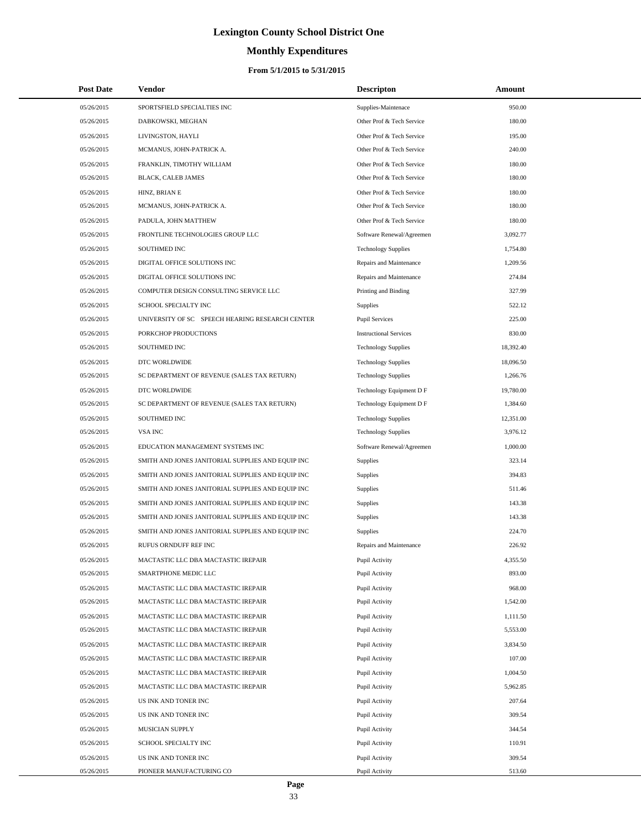# **Monthly Expenditures**

#### **From 5/1/2015 to 5/31/2015**

| <b>Post Date</b>         | Vendor                                            | <b>Descripton</b>                | Amount           |
|--------------------------|---------------------------------------------------|----------------------------------|------------------|
| 05/26/2015               | SPORTSFIELD SPECIALTIES INC                       | Supplies-Maintenace              | 950.00           |
| 05/26/2015               | DABKOWSKI, MEGHAN                                 | Other Prof & Tech Service        | 180.00           |
| 05/26/2015               | LIVINGSTON, HAYLI                                 | Other Prof & Tech Service        | 195.00           |
| 05/26/2015               | MCMANUS, JOHN-PATRICK A.                          | Other Prof & Tech Service        | 240.00           |
| 05/26/2015               | FRANKLIN, TIMOTHY WILLIAM                         | Other Prof & Tech Service        | 180.00           |
| 05/26/2015               | BLACK, CALEB JAMES                                | Other Prof & Tech Service        | 180.00           |
| 05/26/2015               | HINZ, BRIAN E                                     | Other Prof & Tech Service        | 180.00           |
| 05/26/2015               | MCMANUS, JOHN-PATRICK A.                          | Other Prof & Tech Service        | 180.00           |
| 05/26/2015               | PADULA, JOHN MATTHEW                              | Other Prof & Tech Service        | 180.00           |
| 05/26/2015               | FRONTLINE TECHNOLOGIES GROUP LLC                  | Software Renewal/Agreemen        | 3,092.77         |
| 05/26/2015               | SOUTHMED INC                                      | <b>Technology Supplies</b>       | 1,754.80         |
| 05/26/2015               | DIGITAL OFFICE SOLUTIONS INC                      | Repairs and Maintenance          | 1,209.56         |
| 05/26/2015               | DIGITAL OFFICE SOLUTIONS INC                      | Repairs and Maintenance          | 274.84           |
| 05/26/2015               | COMPUTER DESIGN CONSULTING SERVICE LLC            | Printing and Binding             | 327.99           |
| 05/26/2015               | SCHOOL SPECIALTY INC                              | Supplies                         | 522.12           |
| 05/26/2015               | UNIVERSITY OF SC SPEECH HEARING RESEARCH CENTER   | <b>Pupil Services</b>            | 225.00           |
| 05/26/2015               | PORKCHOP PRODUCTIONS                              | <b>Instructional Services</b>    | 830.00           |
| 05/26/2015               | SOUTHMED INC                                      | <b>Technology Supplies</b>       | 18,392.40        |
| 05/26/2015               | DTC WORLDWIDE                                     | <b>Technology Supplies</b>       | 18,096.50        |
| 05/26/2015               | SC DEPARTMENT OF REVENUE (SALES TAX RETURN)       | <b>Technology Supplies</b>       | 1,266.76         |
| 05/26/2015               | DTC WORLDWIDE                                     | Technology Equipment D F         | 19,780.00        |
| 05/26/2015               | SC DEPARTMENT OF REVENUE (SALES TAX RETURN)       | Technology Equipment D F         | 1,384.60         |
| 05/26/2015               | SOUTHMED INC                                      | <b>Technology Supplies</b>       | 12,351.00        |
| 05/26/2015               | VSA INC                                           | <b>Technology Supplies</b>       | 3,976.12         |
| 05/26/2015               | EDUCATION MANAGEMENT SYSTEMS INC                  | Software Renewal/Agreemen        | 1,000.00         |
| 05/26/2015               | SMITH AND JONES JANITORIAL SUPPLIES AND EQUIP INC | Supplies                         | 323.14           |
| 05/26/2015               | SMITH AND JONES JANITORIAL SUPPLIES AND EQUIP INC | Supplies                         | 394.83           |
| 05/26/2015               | SMITH AND JONES JANITORIAL SUPPLIES AND EQUIP INC | Supplies                         | 511.46           |
| 05/26/2015               | SMITH AND JONES JANITORIAL SUPPLIES AND EQUIP INC | Supplies                         | 143.38           |
| 05/26/2015               | SMITH AND JONES JANITORIAL SUPPLIES AND EQUIP INC | Supplies                         | 143.38           |
| 05/26/2015               | SMITH AND JONES JANITORIAL SUPPLIES AND EQUIP INC | Supplies                         | 224.70           |
| 05/26/2015               | RUFUS ORNDUFF REF INC                             | Repairs and Maintenance          | 226.92           |
| 05/26/2015               | MACTASTIC LLC DBA MACTASTIC IREPAIR               | Pupil Activity                   | 4,355.50         |
| 05/26/2015               | SMARTPHONE MEDIC LLC                              | Pupil Activity                   | 893.00           |
| 05/26/2015               | MACTASTIC LLC DBA MACTASTIC IREPAIR               | Pupil Activity                   | 968.00           |
| 05/26/2015               | MACTASTIC LLC DBA MACTASTIC IREPAIR               | Pupil Activity                   | 1,542.00         |
| 05/26/2015               | MACTASTIC LLC DBA MACTASTIC IREPAIR               | Pupil Activity                   | 1,111.50         |
| 05/26/2015               | MACTASTIC LLC DBA MACTASTIC IREPAIR               | Pupil Activity                   | 5,553.00         |
| 05/26/2015               | MACTASTIC LLC DBA MACTASTIC IREPAIR               | Pupil Activity                   | 3,834.50         |
| 05/26/2015               | MACTASTIC LLC DBA MACTASTIC IREPAIR               | Pupil Activity                   | 107.00           |
| 05/26/2015               | MACTASTIC LLC DBA MACTASTIC IREPAIR               | Pupil Activity                   | 1,004.50         |
| 05/26/2015               | MACTASTIC LLC DBA MACTASTIC IREPAIR               | Pupil Activity                   | 5,962.85         |
| 05/26/2015               | US INK AND TONER INC                              | Pupil Activity                   | 207.64           |
| 05/26/2015               | US INK AND TONER INC                              | Pupil Activity                   | 309.54           |
| 05/26/2015               | MUSICIAN SUPPLY                                   | Pupil Activity                   | 344.54           |
| 05/26/2015               | SCHOOL SPECIALTY INC                              | Pupil Activity                   | 110.91           |
| 05/26/2015<br>05/26/2015 | US INK AND TONER INC<br>PIONEER MANUFACTURING CO  | Pupil Activity<br>Pupil Activity | 309.54<br>513.60 |
|                          |                                                   |                                  |                  |

L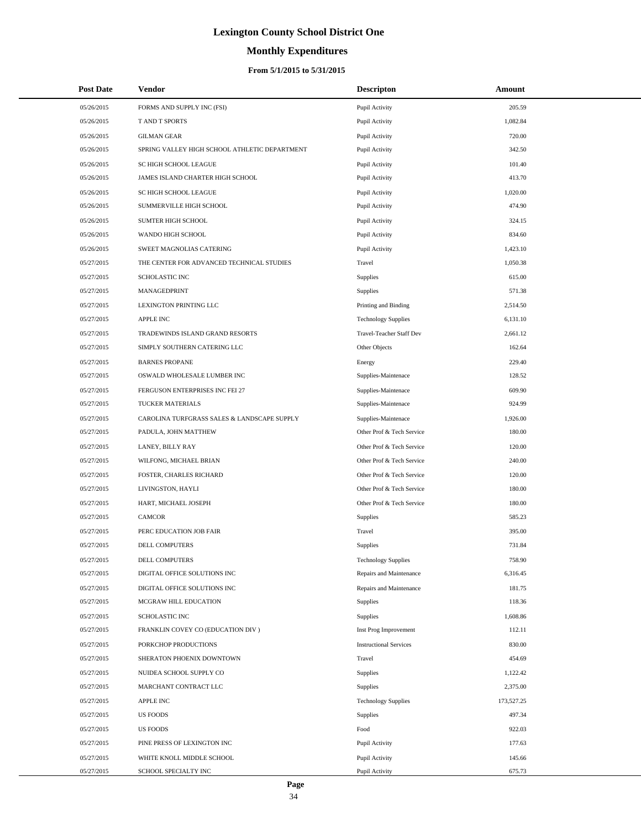# **Monthly Expenditures**

#### **From 5/1/2015 to 5/31/2015**

| <b>Post Date</b> | Vendor                                        | <b>Descripton</b>             | Amount     |
|------------------|-----------------------------------------------|-------------------------------|------------|
| 05/26/2015       | FORMS AND SUPPLY INC (FSI)                    | Pupil Activity                | 205.59     |
| 05/26/2015       | T AND T SPORTS                                | Pupil Activity                | 1,082.84   |
| 05/26/2015       | <b>GILMAN GEAR</b>                            | Pupil Activity                | 720.00     |
| 05/26/2015       | SPRING VALLEY HIGH SCHOOL ATHLETIC DEPARTMENT | Pupil Activity                | 342.50     |
| 05/26/2015       | SC HIGH SCHOOL LEAGUE                         | Pupil Activity                | 101.40     |
| 05/26/2015       | JAMES ISLAND CHARTER HIGH SCHOOL              | Pupil Activity                | 413.70     |
| 05/26/2015       | SC HIGH SCHOOL LEAGUE                         | Pupil Activity                | 1,020.00   |
| 05/26/2015       | SUMMERVILLE HIGH SCHOOL                       | Pupil Activity                | 474.90     |
| 05/26/2015       | SUMTER HIGH SCHOOL                            | Pupil Activity                | 324.15     |
| 05/26/2015       | WANDO HIGH SCHOOL                             | Pupil Activity                | 834.60     |
| 05/26/2015       | SWEET MAGNOLIAS CATERING                      | Pupil Activity                | 1,423.10   |
| 05/27/2015       | THE CENTER FOR ADVANCED TECHNICAL STUDIES     | Travel                        | 1,050.38   |
| 05/27/2015       | <b>SCHOLASTIC INC</b>                         | Supplies                      | 615.00     |
| 05/27/2015       | MANAGEDPRINT                                  | Supplies                      | 571.38     |
| 05/27/2015       | <b>LEXINGTON PRINTING LLC</b>                 | Printing and Binding          | 2,514.50   |
| 05/27/2015       | <b>APPLE INC</b>                              | <b>Technology Supplies</b>    | 6,131.10   |
| 05/27/2015       | TRADEWINDS ISLAND GRAND RESORTS               | Travel-Teacher Staff Dev      | 2,661.12   |
| 05/27/2015       | SIMPLY SOUTHERN CATERING LLC                  | Other Objects                 | 162.64     |
| 05/27/2015       | <b>BARNES PROPANE</b>                         | Energy                        | 229.40     |
| 05/27/2015       | OSWALD WHOLESALE LUMBER INC                   | Supplies-Maintenace           | 128.52     |
| 05/27/2015       | FERGUSON ENTERPRISES INC FEI 27               | Supplies-Maintenace           | 609.90     |
| 05/27/2015       | TUCKER MATERIALS                              | Supplies-Maintenace           | 924.99     |
| 05/27/2015       | CAROLINA TURFGRASS SALES & LANDSCAPE SUPPLY   | Supplies-Maintenace           | 1,926.00   |
| 05/27/2015       | PADULA, JOHN MATTHEW                          | Other Prof & Tech Service     | 180.00     |
| 05/27/2015       | LANEY, BILLY RAY                              | Other Prof & Tech Service     | 120.00     |
| 05/27/2015       | WILFONG, MICHAEL BRIAN                        | Other Prof & Tech Service     | 240.00     |
| 05/27/2015       | FOSTER, CHARLES RICHARD                       | Other Prof & Tech Service     | 120.00     |
| 05/27/2015       | LIVINGSTON, HAYLI                             | Other Prof & Tech Service     | 180.00     |
| 05/27/2015       | HART, MICHAEL JOSEPH                          | Other Prof & Tech Service     | 180.00     |
| 05/27/2015       | <b>CAMCOR</b>                                 | Supplies                      | 585.23     |
| 05/27/2015       | PERC EDUCATION JOB FAIR                       | Travel                        | 395.00     |
| 05/27/2015       | <b>DELL COMPUTERS</b>                         | Supplies                      | 731.84     |
| 05/27/2015       | DELL COMPUTERS                                | <b>Technology Supplies</b>    | 758.90     |
| 05/27/2015       | DIGITAL OFFICE SOLUTIONS INC                  | Repairs and Maintenance       | 6,316.45   |
| 05/27/2015       | DIGITAL OFFICE SOLUTIONS INC                  | Repairs and Maintenance       | 181.75     |
| 05/27/2015       | MCGRAW HILL EDUCATION                         | Supplies                      | 118.36     |
| 05/27/2015       | SCHOLASTIC INC                                | Supplies                      | 1,608.86   |
| 05/27/2015       | FRANKLIN COVEY CO (EDUCATION DIV )            | Inst Prog Improvement         | 112.11     |
| 05/27/2015       | PORKCHOP PRODUCTIONS                          | <b>Instructional Services</b> | 830.00     |
| 05/27/2015       | SHERATON PHOENIX DOWNTOWN                     | Travel                        | 454.69     |
| 05/27/2015       | NUIDEA SCHOOL SUPPLY CO                       | Supplies                      | 1,122.42   |
| 05/27/2015       | MARCHANT CONTRACT LLC                         | Supplies                      | 2,375.00   |
| 05/27/2015       | <b>APPLE INC</b>                              | <b>Technology Supplies</b>    | 173,527.25 |
| 05/27/2015       | <b>US FOODS</b>                               | Supplies                      | 497.34     |
| 05/27/2015       | <b>US FOODS</b>                               | Food                          | 922.03     |
| 05/27/2015       | PINE PRESS OF LEXINGTON INC                   | Pupil Activity                | 177.63     |
| 05/27/2015       | WHITE KNOLL MIDDLE SCHOOL                     | Pupil Activity                | 145.66     |
| 05/27/2015       | SCHOOL SPECIALTY INC                          | Pupil Activity                | 675.73     |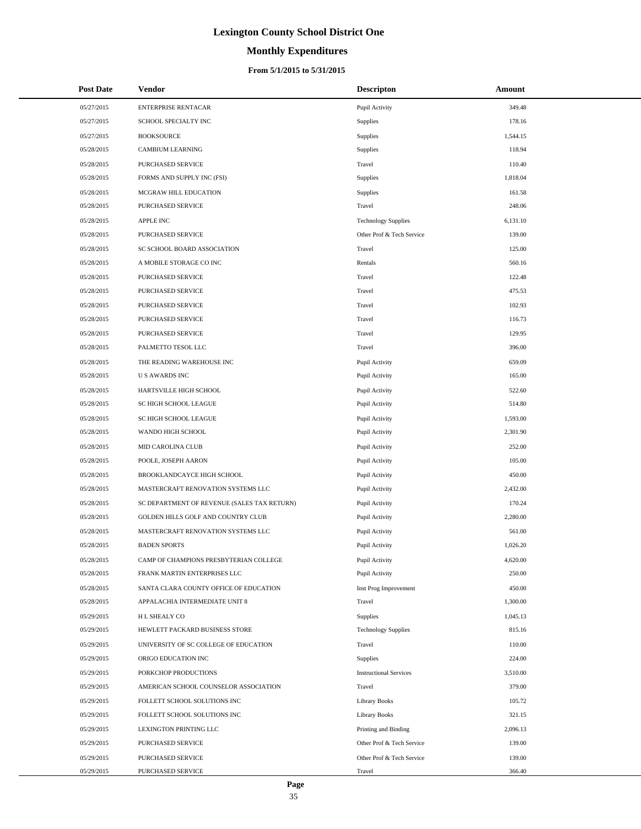# **Monthly Expenditures**

| <b>Post Date</b> | Vendor                                      | <b>Descripton</b>             | Amount   |
|------------------|---------------------------------------------|-------------------------------|----------|
| 05/27/2015       | <b>ENTERPRISE RENTACAR</b>                  | Pupil Activity                | 349.48   |
| 05/27/2015       | SCHOOL SPECIALTY INC                        | Supplies                      | 178.16   |
| 05/27/2015       | <b>BOOKSOURCE</b>                           | Supplies                      | 1,544.15 |
| 05/28/2015       | CAMBIUM LEARNING                            | Supplies                      | 118.94   |
| 05/28/2015       | PURCHASED SERVICE                           | Travel                        | 110.40   |
| 05/28/2015       | FORMS AND SUPPLY INC (FSI)                  | Supplies                      | 1,818.04 |
| 05/28/2015       | MCGRAW HILL EDUCATION                       | Supplies                      | 161.58   |
| 05/28/2015       | PURCHASED SERVICE                           | Travel                        | 248.06   |
| 05/28/2015       | <b>APPLE INC</b>                            | <b>Technology Supplies</b>    | 6,131.10 |
| 05/28/2015       | PURCHASED SERVICE                           | Other Prof & Tech Service     | 139.00   |
| 05/28/2015       | SC SCHOOL BOARD ASSOCIATION                 | Travel                        | 125.00   |
| 05/28/2015       | A MOBILE STORAGE CO INC                     | Rentals                       | 560.16   |
| 05/28/2015       | PURCHASED SERVICE                           | Travel                        | 122.48   |
| 05/28/2015       | <b>PURCHASED SERVICE</b>                    | Travel                        | 475.53   |
| 05/28/2015       | PURCHASED SERVICE                           | Travel                        | 102.93   |
| 05/28/2015       | PURCHASED SERVICE                           | Travel                        | 116.73   |
| 05/28/2015       | PURCHASED SERVICE                           | Travel                        | 129.95   |
| 05/28/2015       | PALMETTO TESOL LLC                          | Travel                        | 396.00   |
| 05/28/2015       | THE READING WAREHOUSE INC                   | Pupil Activity                | 659.09   |
| 05/28/2015       | <b>US AWARDS INC</b>                        | Pupil Activity                | 165.00   |
| 05/28/2015       | HARTSVILLE HIGH SCHOOL                      | Pupil Activity                | 522.60   |
| 05/28/2015       | SC HIGH SCHOOL LEAGUE                       | Pupil Activity                | 514.80   |
| 05/28/2015       | SC HIGH SCHOOL LEAGUE                       | Pupil Activity                | 1,593.00 |
| 05/28/2015       | WANDO HIGH SCHOOL                           | Pupil Activity                | 2,301.90 |
| 05/28/2015       | MID CAROLINA CLUB                           | Pupil Activity                | 252.00   |
| 05/28/2015       | POOLE, JOSEPH AARON                         | Pupil Activity                | 105.00   |
| 05/28/2015       | BROOKLANDCAYCE HIGH SCHOOL                  | Pupil Activity                | 450.00   |
| 05/28/2015       | MASTERCRAFT RENOVATION SYSTEMS LLC          | Pupil Activity                | 2,432.00 |
| 05/28/2015       | SC DEPARTMENT OF REVENUE (SALES TAX RETURN) | Pupil Activity                | 170.24   |
| 05/28/2015       | GOLDEN HILLS GOLF AND COUNTRY CLUB          | Pupil Activity                | 2,280.00 |
| 05/28/2015       | MASTERCRAFT RENOVATION SYSTEMS LLC          | Pupil Activity                | 561.00   |
| 05/28/2015       | <b>BADEN SPORTS</b>                         | Pupil Activity                | 1,026.20 |
| 05/28/2015       | CAMP OF CHAMPIONS PRESBYTERIAN COLLEGE      | Pupil Activity                | 4,620.00 |
| 05/28/2015       | FRANK MARTIN ENTERPRISES LLC                | Pupil Activity                | 250.00   |
| 05/28/2015       | SANTA CLARA COUNTY OFFICE OF EDUCATION      | Inst Prog Improvement         | 450.00   |
| 05/28/2015       | APPALACHIA INTERMEDIATE UNIT 8              | Travel                        | 1,300.00 |
| 05/29/2015       | H L SHEALY CO                               | Supplies                      | 1,045.13 |
| 05/29/2015       | HEWLETT PACKARD BUSINESS STORE              | <b>Technology Supplies</b>    | 815.16   |
| 05/29/2015       | UNIVERSITY OF SC COLLEGE OF EDUCATION       | Travel                        | 110.00   |
| 05/29/2015       | ORIGO EDUCATION INC                         | Supplies                      | 224.00   |
| 05/29/2015       | PORKCHOP PRODUCTIONS                        | <b>Instructional Services</b> | 3,510.00 |
| 05/29/2015       | AMERICAN SCHOOL COUNSELOR ASSOCIATION       | Travel                        | 379.00   |
| 05/29/2015       | FOLLETT SCHOOL SOLUTIONS INC                | Library Books                 | 105.72   |
| 05/29/2015       | FOLLETT SCHOOL SOLUTIONS INC                | Library Books                 | 321.15   |
| 05/29/2015       | LEXINGTON PRINTING LLC                      | Printing and Binding          | 2,096.13 |
| 05/29/2015       | PURCHASED SERVICE                           | Other Prof & Tech Service     | 139.00   |
| 05/29/2015       | PURCHASED SERVICE                           | Other Prof & Tech Service     | 139.00   |
| 05/29/2015       | PURCHASED SERVICE                           | Travel                        | 366.40   |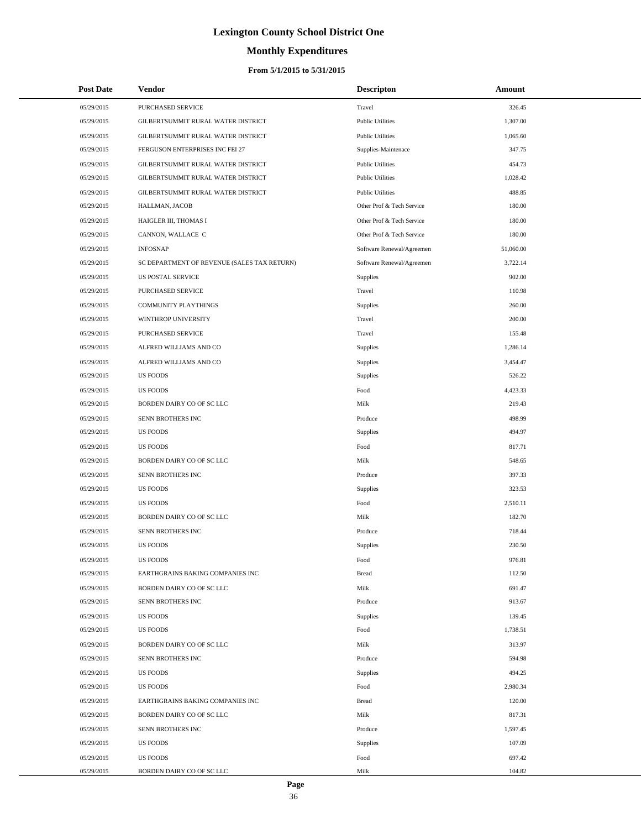# **Monthly Expenditures**

| <b>Post Date</b> | <b>Vendor</b>                               | <b>Descripton</b>         | Amount    |
|------------------|---------------------------------------------|---------------------------|-----------|
| 05/29/2015       | PURCHASED SERVICE                           | Travel                    | 326.45    |
| 05/29/2015       | GILBERTSUMMIT RURAL WATER DISTRICT          | <b>Public Utilities</b>   | 1,307.00  |
| 05/29/2015       | GILBERTSUMMIT RURAL WATER DISTRICT          | <b>Public Utilities</b>   | 1,065.60  |
| 05/29/2015       | FERGUSON ENTERPRISES INC FEI 27             | Supplies-Maintenace       | 347.75    |
| 05/29/2015       | GILBERTSUMMIT RURAL WATER DISTRICT          | <b>Public Utilities</b>   | 454.73    |
| 05/29/2015       | GILBERTSUMMIT RURAL WATER DISTRICT          | <b>Public Utilities</b>   | 1,028.42  |
| 05/29/2015       | GILBERTSUMMIT RURAL WATER DISTRICT          | <b>Public Utilities</b>   | 488.85    |
| 05/29/2015       | HALLMAN, JACOB                              | Other Prof & Tech Service | 180.00    |
| 05/29/2015       | HAIGLER III, THOMAS I                       | Other Prof & Tech Service | 180.00    |
| 05/29/2015       | CANNON, WALLACE C                           | Other Prof & Tech Service | 180.00    |
| 05/29/2015       | <b>INFOSNAP</b>                             | Software Renewal/Agreemen | 51,060.00 |
| 05/29/2015       | SC DEPARTMENT OF REVENUE (SALES TAX RETURN) | Software Renewal/Agreemen | 3,722.14  |
| 05/29/2015       | <b>US POSTAL SERVICE</b>                    | Supplies                  | 902.00    |
| 05/29/2015       | PURCHASED SERVICE                           | Travel                    | 110.98    |
| 05/29/2015       | COMMUNITY PLAYTHINGS                        | Supplies                  | 260.00    |
| 05/29/2015       | WINTHROP UNIVERSITY                         | Travel                    | 200.00    |
| 05/29/2015       | PURCHASED SERVICE                           | Travel                    | 155.48    |
| 05/29/2015       | ALFRED WILLIAMS AND CO                      | <b>Supplies</b>           | 1,286.14  |
| 05/29/2015       | ALFRED WILLIAMS AND CO                      | Supplies                  | 3,454.47  |
| 05/29/2015       | <b>US FOODS</b>                             | Supplies                  | 526.22    |
| 05/29/2015       | <b>US FOODS</b>                             | Food                      | 4,423.33  |
| 05/29/2015       | BORDEN DAIRY CO OF SC LLC                   | Milk                      | 219.43    |
| 05/29/2015       | SENN BROTHERS INC                           | Produce                   | 498.99    |
| 05/29/2015       | <b>US FOODS</b>                             | Supplies                  | 494.97    |
| 05/29/2015       | <b>US FOODS</b>                             | Food                      | 817.71    |
| 05/29/2015       | BORDEN DAIRY CO OF SC LLC                   | Milk                      | 548.65    |
| 05/29/2015       | SENN BROTHERS INC                           | Produce                   | 397.33    |
| 05/29/2015       | <b>US FOODS</b>                             | Supplies                  | 323.53    |
| 05/29/2015       | <b>US FOODS</b>                             | Food                      | 2,510.11  |
| 05/29/2015       | BORDEN DAIRY CO OF SC LLC                   | Milk                      | 182.70    |
| 05/29/2015       | SENN BROTHERS INC                           | Produce                   | 718.44    |
| 05/29/2015       | <b>US FOODS</b>                             | Supplies                  | 230.50    |
| 05/29/2015       | <b>US FOODS</b>                             | Food                      | 976.81    |
| 05/29/2015       | EARTHGRAINS BAKING COMPANIES INC            | <b>Bread</b>              | 112.50    |
| 05/29/2015       | BORDEN DAIRY CO OF SC LLC                   | Milk                      | 691.47    |
| 05/29/2015       | SENN BROTHERS INC                           | Produce                   | 913.67    |
| 05/29/2015       | <b>US FOODS</b>                             | Supplies                  | 139.45    |
| 05/29/2015       | <b>US FOODS</b>                             | Food                      | 1,738.51  |
| 05/29/2015       | BORDEN DAIRY CO OF SC LLC                   | Milk                      | 313.97    |
| 05/29/2015       | SENN BROTHERS INC                           | Produce                   | 594.98    |
| 05/29/2015       | <b>US FOODS</b>                             | Supplies                  | 494.25    |
| 05/29/2015       | <b>US FOODS</b>                             | Food                      | 2,980.34  |
| 05/29/2015       | EARTHGRAINS BAKING COMPANIES INC            | <b>Bread</b>              | 120.00    |
| 05/29/2015       | BORDEN DAIRY CO OF SC LLC                   | Milk                      | 817.31    |
| 05/29/2015       | SENN BROTHERS INC                           | Produce                   | 1,597.45  |
| 05/29/2015       | <b>US FOODS</b>                             | Supplies                  | 107.09    |
| 05/29/2015       | <b>US FOODS</b>                             | Food                      | 697.42    |
| 05/29/2015       | BORDEN DAIRY CO OF SC LLC                   | Milk                      | 104.82    |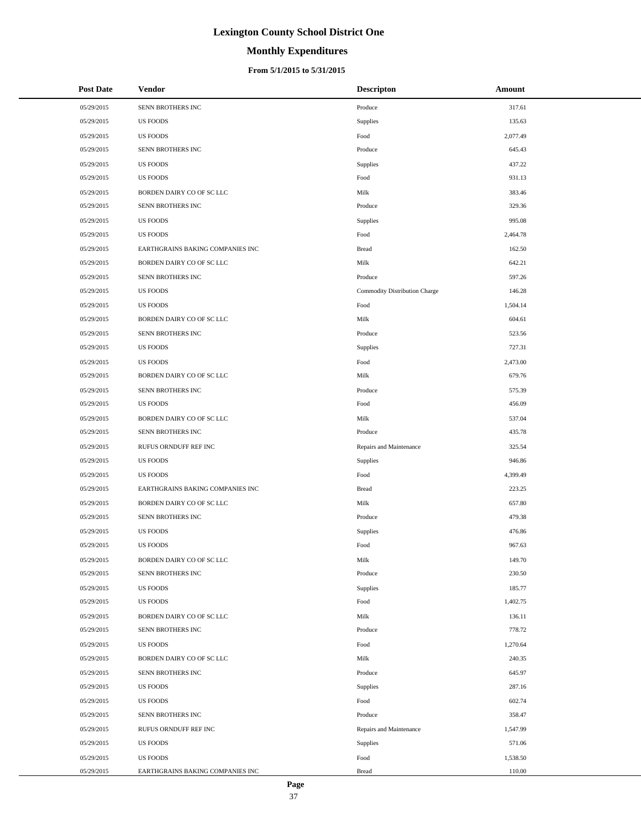# **Monthly Expenditures**

#### **From 5/1/2015 to 5/31/2015**

| <b>Post Date</b> | <b>Vendor</b>                    | <b>Descripton</b>             | Amount   |
|------------------|----------------------------------|-------------------------------|----------|
| 05/29/2015       | SENN BROTHERS INC                | Produce                       | 317.61   |
| 05/29/2015       | <b>US FOODS</b>                  | Supplies                      | 135.63   |
| 05/29/2015       | <b>US FOODS</b>                  | Food                          | 2,077.49 |
| 05/29/2015       | SENN BROTHERS INC                | Produce                       | 645.43   |
| 05/29/2015       | <b>US FOODS</b>                  | Supplies                      | 437.22   |
| 05/29/2015       | <b>US FOODS</b>                  | Food                          | 931.13   |
| 05/29/2015       | BORDEN DAIRY CO OF SC LLC        | Milk                          | 383.46   |
| 05/29/2015       | SENN BROTHERS INC                | Produce                       | 329.36   |
| 05/29/2015       | <b>US FOODS</b>                  | Supplies                      | 995.08   |
| 05/29/2015       | <b>US FOODS</b>                  | Food                          | 2,464.78 |
| 05/29/2015       | EARTHGRAINS BAKING COMPANIES INC | <b>Bread</b>                  | 162.50   |
| 05/29/2015       | BORDEN DAIRY CO OF SC LLC        | Milk                          | 642.21   |
| 05/29/2015       | SENN BROTHERS INC                | Produce                       | 597.26   |
| 05/29/2015       | <b>US FOODS</b>                  | Commodity Distribution Charge | 146.28   |
| 05/29/2015       | <b>US FOODS</b>                  | Food                          | 1,504.14 |
| 05/29/2015       | BORDEN DAIRY CO OF SC LLC        | Milk                          | 604.61   |
| 05/29/2015       | SENN BROTHERS INC                | Produce                       | 523.56   |
| 05/29/2015       | <b>US FOODS</b>                  | Supplies                      | 727.31   |
| 05/29/2015       | <b>US FOODS</b>                  | Food                          | 2,473.00 |
| 05/29/2015       | BORDEN DAIRY CO OF SC LLC        | Milk                          | 679.76   |
| 05/29/2015       | SENN BROTHERS INC                | Produce                       | 575.39   |
| 05/29/2015       | <b>US FOODS</b>                  | Food                          | 456.09   |
| 05/29/2015       | BORDEN DAIRY CO OF SC LLC        | Milk                          | 537.04   |
| 05/29/2015       | SENN BROTHERS INC                | Produce                       | 435.78   |
| 05/29/2015       | RUFUS ORNDUFF REF INC            | Repairs and Maintenance       | 325.54   |
| 05/29/2015       | <b>US FOODS</b>                  | Supplies                      | 946.86   |
| 05/29/2015       | <b>US FOODS</b>                  | Food                          | 4,399.49 |
| 05/29/2015       | EARTHGRAINS BAKING COMPANIES INC | <b>Bread</b>                  | 223.25   |
| 05/29/2015       | BORDEN DAIRY CO OF SC LLC        | Milk                          | 657.80   |
| 05/29/2015       | SENN BROTHERS INC                | Produce                       | 479.38   |
| 05/29/2015       | <b>US FOODS</b>                  | Supplies                      | 476.86   |
| 05/29/2015       | <b>US FOODS</b>                  | Food                          | 967.63   |
| 05/29/2015       | BORDEN DAIRY CO OF SC LLC        | Milk                          | 149.70   |
| 05/29/2015       | SENN BROTHERS INC                | Produce                       | 230.50   |
| 05/29/2015       | <b>US FOODS</b>                  | Supplies                      | 185.77   |
| 05/29/2015       | <b>US FOODS</b>                  | Food                          | 1,402.75 |
| 05/29/2015       | BORDEN DAIRY CO OF SC LLC        | Milk                          | 136.11   |
| 05/29/2015       | SENN BROTHERS INC                | Produce                       | 778.72   |
| 05/29/2015       | <b>US FOODS</b>                  | Food                          | 1,270.64 |
| 05/29/2015       | BORDEN DAIRY CO OF SC LLC        | Milk                          | 240.35   |
| 05/29/2015       | SENN BROTHERS INC                | Produce                       | 645.97   |
| 05/29/2015       | <b>US FOODS</b>                  | Supplies                      | 287.16   |
| 05/29/2015       | <b>US FOODS</b>                  | Food                          | 602.74   |
| 05/29/2015       | SENN BROTHERS INC                | Produce                       | 358.47   |
| 05/29/2015       | RUFUS ORNDUFF REF INC            | Repairs and Maintenance       | 1,547.99 |
| 05/29/2015       | US FOODS                         | Supplies                      | 571.06   |
| 05/29/2015       | <b>US FOODS</b>                  | Food                          | 1,538.50 |
| 05/29/2015       | EARTHGRAINS BAKING COMPANIES INC | <b>Bread</b>                  | 110.00   |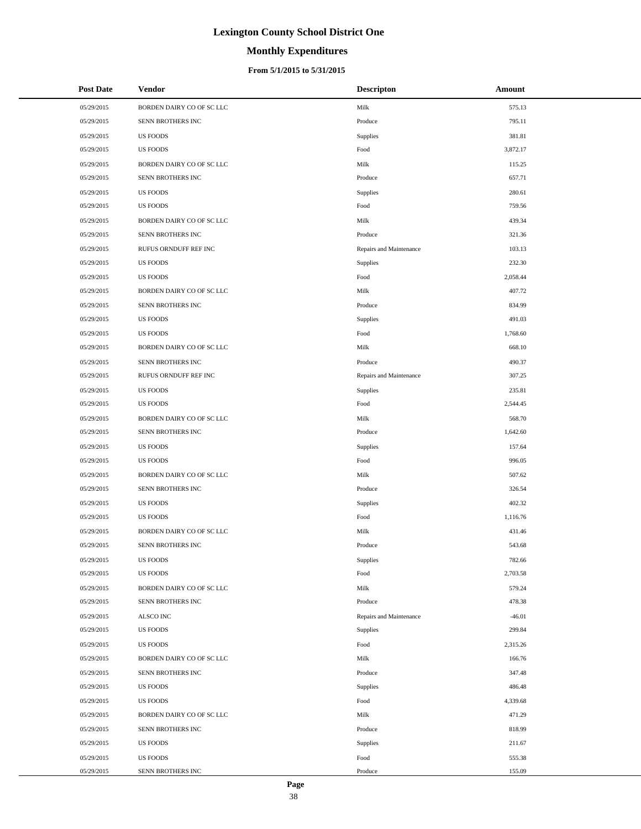# **Monthly Expenditures**

#### **From 5/1/2015 to 5/31/2015**

| <b>Post Date</b> | Vendor                    | <b>Descripton</b>       | Amount   |
|------------------|---------------------------|-------------------------|----------|
| 05/29/2015       | BORDEN DAIRY CO OF SC LLC | Milk                    | 575.13   |
| 05/29/2015       | SENN BROTHERS INC         | Produce                 | 795.11   |
| 05/29/2015       | <b>US FOODS</b>           | Supplies                | 381.81   |
| 05/29/2015       | <b>US FOODS</b>           | Food                    | 3,872.17 |
| 05/29/2015       | BORDEN DAIRY CO OF SC LLC | Milk                    | 115.25   |
| 05/29/2015       | SENN BROTHERS INC         | Produce                 | 657.71   |
| 05/29/2015       | <b>US FOODS</b>           | Supplies                | 280.61   |
| 05/29/2015       | <b>US FOODS</b>           | Food                    | 759.56   |
| 05/29/2015       | BORDEN DAIRY CO OF SC LLC | Milk                    | 439.34   |
| 05/29/2015       | SENN BROTHERS INC         | Produce                 | 321.36   |
| 05/29/2015       | RUFUS ORNDUFF REF INC     | Repairs and Maintenance | 103.13   |
| 05/29/2015       | <b>US FOODS</b>           | Supplies                | 232.30   |
| 05/29/2015       | <b>US FOODS</b>           | Food                    | 2,058.44 |
| 05/29/2015       | BORDEN DAIRY CO OF SC LLC | Milk                    | 407.72   |
| 05/29/2015       | SENN BROTHERS INC         | Produce                 | 834.99   |
| 05/29/2015       | <b>US FOODS</b>           | Supplies                | 491.03   |
| 05/29/2015       | <b>US FOODS</b>           | Food                    | 1,768.60 |
| 05/29/2015       | BORDEN DAIRY CO OF SC LLC | Milk                    | 668.10   |
| 05/29/2015       | SENN BROTHERS INC         | Produce                 | 490.37   |
| 05/29/2015       | RUFUS ORNDUFF REF INC     | Repairs and Maintenance | 307.25   |
| 05/29/2015       | <b>US FOODS</b>           | Supplies                | 235.81   |
| 05/29/2015       | <b>US FOODS</b>           | Food                    | 2,544.45 |
| 05/29/2015       | BORDEN DAIRY CO OF SC LLC | Milk                    | 568.70   |
| 05/29/2015       | SENN BROTHERS INC         | Produce                 | 1,642.60 |
| 05/29/2015       | <b>US FOODS</b>           | Supplies                | 157.64   |
| 05/29/2015       | <b>US FOODS</b>           | Food                    | 996.05   |
| 05/29/2015       | BORDEN DAIRY CO OF SC LLC | Milk                    | 507.62   |
| 05/29/2015       | SENN BROTHERS INC         | Produce                 | 326.54   |
| 05/29/2015       | <b>US FOODS</b>           | Supplies                | 402.32   |
| 05/29/2015       | <b>US FOODS</b>           | Food                    | 1,116.76 |
| 05/29/2015       | BORDEN DAIRY CO OF SC LLC | Milk                    | 431.46   |
| 05/29/2015       | <b>SENN BROTHERS INC</b>  | Produce                 | 543.68   |
| 05/29/2015       | <b>US FOODS</b>           | Supplies                | 782.66   |
| 05/29/2015       | <b>US FOODS</b>           | Food                    | 2,703.58 |
| 05/29/2015       | BORDEN DAIRY CO OF SC LLC | Milk                    | 579.24   |
| 05/29/2015       | SENN BROTHERS INC         | Produce                 | 478.38   |
| 05/29/2015       | ALSCO INC                 | Repairs and Maintenance | $-46.01$ |
| 05/29/2015       | <b>US FOODS</b>           | Supplies                | 299.84   |
| 05/29/2015       | <b>US FOODS</b>           | Food                    | 2,315.26 |
| 05/29/2015       | BORDEN DAIRY CO OF SC LLC | Milk                    | 166.76   |
| 05/29/2015       | SENN BROTHERS INC         | Produce                 | 347.48   |
| 05/29/2015       | <b>US FOODS</b>           | Supplies                | 486.48   |
| 05/29/2015       | <b>US FOODS</b>           | Food                    | 4,339.68 |
| 05/29/2015       | BORDEN DAIRY CO OF SC LLC | Milk                    | 471.29   |
| 05/29/2015       | SENN BROTHERS INC         | Produce                 | 818.99   |
| 05/29/2015       | <b>US FOODS</b>           | Supplies                | 211.67   |
| 05/29/2015       | <b>US FOODS</b>           | Food                    | 555.38   |
| 05/29/2015       | SENN BROTHERS INC         | Produce                 | 155.09   |